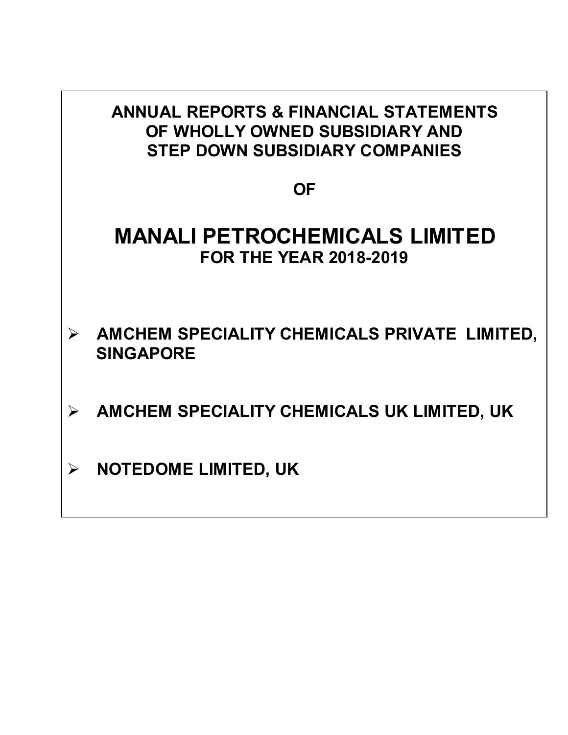# **ANNUAL REPORTS & FINANCIAL STATEMENTS OF WHOLLY OWNED SUBSIDIARY AND STEP DOWN SUBSIDIARY COMPANIES**

**OF**

# **MANALI PETROCHEMICALS LIMITED FOR THE YEAR 2018-2019**

- ÿ **AMCHEM SPECIALITY CHEMICALS PRIVATE LIMITED, SINGAPORE**
- ÿ **AMCHEM SPECIALITY CHEMICALS UK LIMITED, UK**
- ÿ **NOTEDOME LIMITED, UK**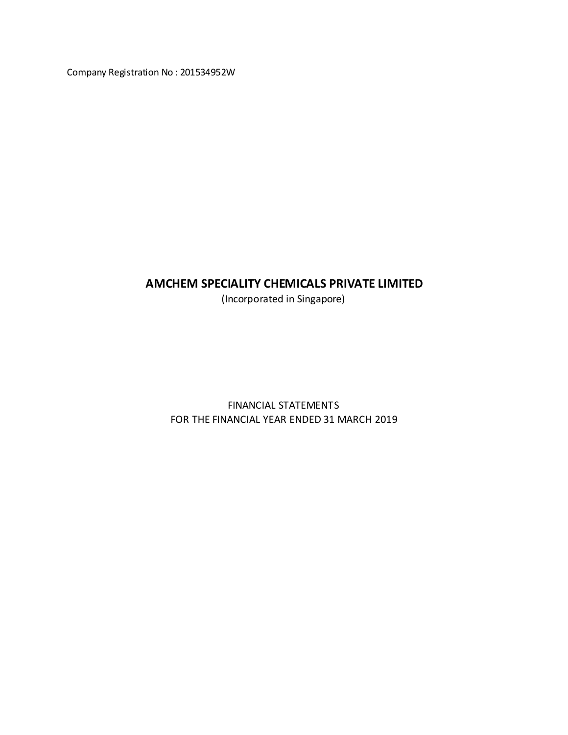Company Registration No : 201534952W

# **AMCHEM SPECIALITY CHEMICALS PRIVATE LIMITED**

(Incorporated in Singapore)

FINANCIAL STATEMENTS FOR THE FINANCIAL YEAR ENDED 31 MARCH 2019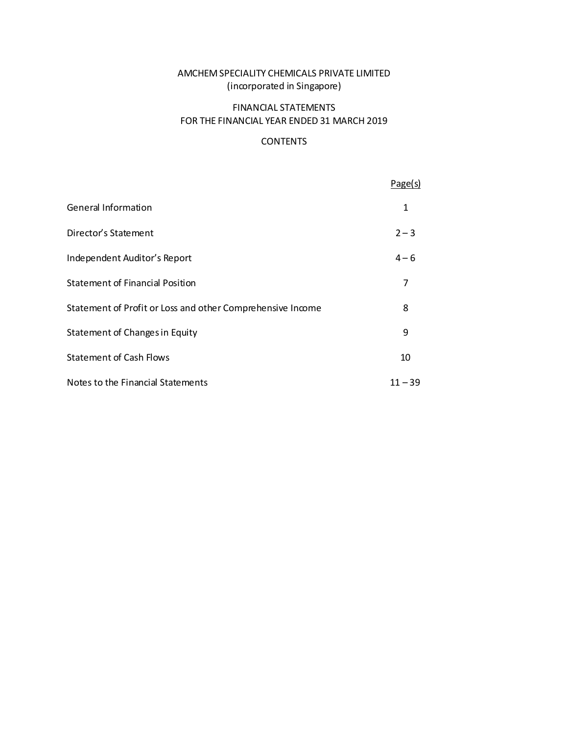# FINANCIAL STATEMENTS FOR THE FINANCIAL YEAR ENDED 31 MARCH 2019

## CONTENTS

|                                                            | Page(s)   |
|------------------------------------------------------------|-----------|
| General Information                                        | 1         |
| Director's Statement                                       | $2 - 3$   |
| Independent Auditor's Report                               | $4 - 6$   |
| <b>Statement of Financial Position</b>                     | 7         |
| Statement of Profit or Loss and other Comprehensive Income | 8         |
| Statement of Changes in Equity                             | 9         |
| <b>Statement of Cash Flows</b>                             | 10        |
| Notes to the Financial Statements                          | $11 - 39$ |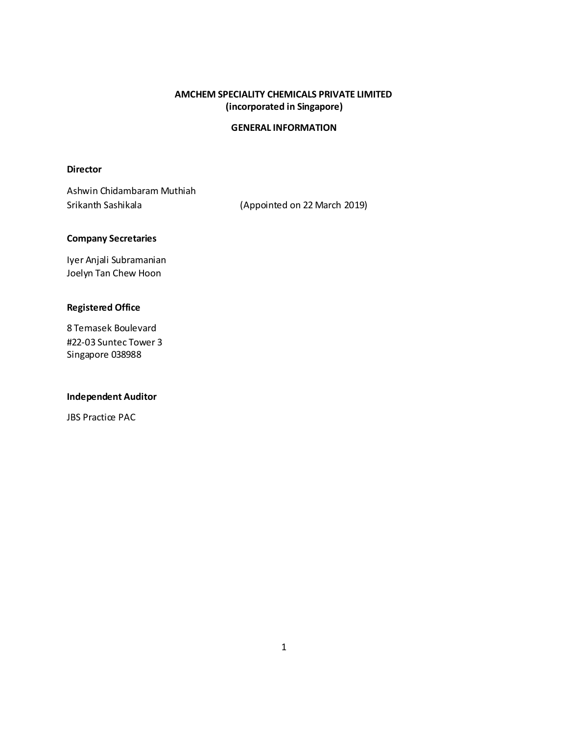#### **GENERAL INFORMATION**

## **Director**

Ashwin Chidambaram Muthiah Srikanth Sashikala (Appointed on 22 March 2019)

## **Company Secretaries**

Iyer Anjali Subramanian Joelyn Tan Chew Hoon

# **Registered Office**

8 Temasek Boulevard #22-03 Suntec Tower 3 Singapore 038988

## **Independent Auditor**

JBS Practice PAC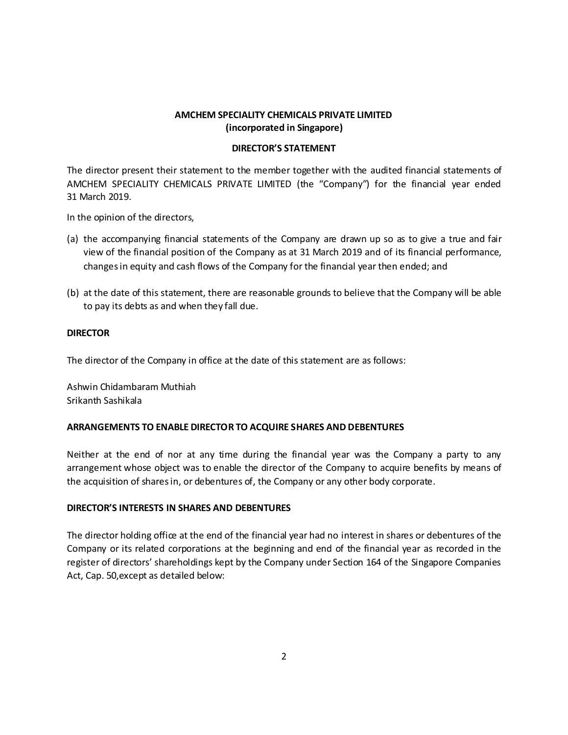## **DIRECTOR'S STATEMENT**

The director present their statement to the member together with the audited financial statements of AMCHEM SPECIALITY CHEMICALS PRIVATE LIMITED (the "Company") for the financial year ended 31 March 2019.

In the opinion of the directors,

- (a) the accompanying financial statements of the Company are drawn up so as to give a true and fair view of the financial position of the Company as at 31 March 2019 and of its financial performance, changes in equity and cash flows of the Company for the financial year then ended; and
- (b) at the date of this statement, there are reasonable grounds to believe that the Company will be able to pay its debts as and when they fall due.

## **DIRECTOR**

The director of the Company in office at the date of this statement are as follows:

Ashwin Chidambaram Muthiah Srikanth Sashikala

#### **ARRANGEMENTS TO ENABLE DIRECTOR TO ACQUIRE SHARES AND DEBENTURES**

Neither at the end of nor at any time during the financial year was the Company a party to any arrangement whose object was to enable the director of the Company to acquire benefits by means of the acquisition of shares in, or debentures of, the Company or any other body corporate.

## **DIRECTOR'S INTERESTS IN SHARES AND DEBENTURES**

The director holding office at the end of the financial year had no interest in shares or debentures of the Company or its related corporations at the beginning and end of the financial year as recorded in the register of directors' shareholdings kept by the Company under Section 164 of the Singapore Companies Act, Cap. 50,except as detailed below: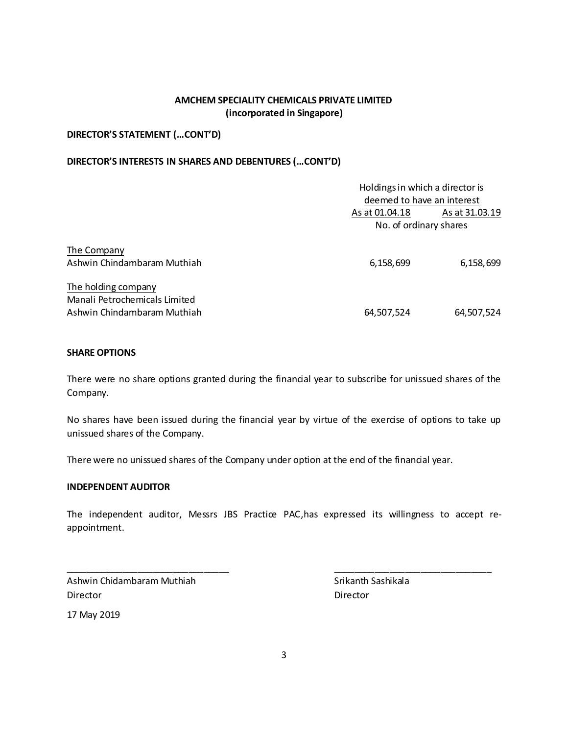## **DIRECTOR'S STATEMENT (…CONT'D)**

## **DIRECTOR'S INTERESTS IN SHARES AND DEBENTURES (…CONT'D)**

|                               | Holdings in which a director is |                |  |
|-------------------------------|---------------------------------|----------------|--|
|                               | deemed to have an interest      |                |  |
|                               | As at 01.04.18                  | As at 31.03.19 |  |
|                               | No. of ordinary shares          |                |  |
| The Company                   |                                 |                |  |
| Ashwin Chindambaram Muthiah   | 6,158,699                       | 6,158,699      |  |
| The holding company           |                                 |                |  |
| Manali Petrochemicals Limited |                                 |                |  |
| Ashwin Chindambaram Muthiah   | 64,507,524                      | 64,507,524     |  |

## **SHARE OPTIONS**

There were no share options granted during the financial year to subscribe for unissued shares of the Company.

No shares have been issued during the financial year by virtue of the exercise of options to take up unissued shares of the Company.

There were no unissued shares of the Company under option at the end of the financial year.

## **INDEPENDENT AUDITOR**

The independent auditor, Messrs JBS Practice PAC,has expressed its willingness to accept reappointment.

\_\_\_\_\_\_\_\_\_\_\_\_\_\_\_\_\_\_\_\_\_\_\_\_\_\_\_\_\_\_\_\_ \_\_\_\_\_\_\_\_\_\_\_\_\_\_\_\_\_\_\_\_\_\_\_\_\_\_\_\_\_\_\_

Ashwin Chidambaram Muthiah Srikanth Sashikala Director Director

17 May 2019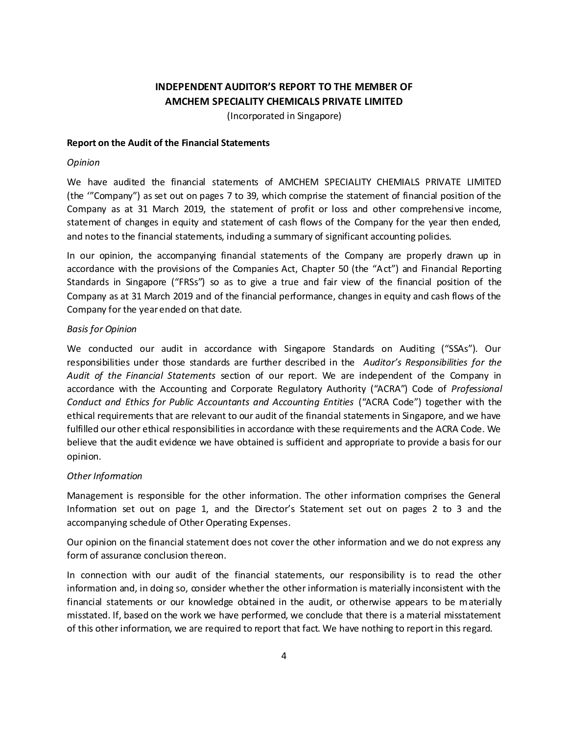# **INDEPENDENT AUDITOR'S REPORT TO THE MEMBER OF AMCHEM SPECIALITY CHEMICALS PRIVATE LIMITED**

(Incorporated in Singapore)

#### **Report on the Audit of the Financial Statements**

#### *Opinion*

We have audited the financial statements of AMCHEM SPECIALITY CHEMIALS PRIVATE LIMITED (the '"Company") as set out on pages 7 to 39, which comprise the statement of financial position of the Company as at 31 March 2019, the statement of profit or loss and other comprehensive income, statement of changes in equity and statement of cash flows of the Company for the year then ended, and notes to the financial statements, induding a summary of significant accounting policies.

In our opinion, the accompanying financial statements of the Company are properly drawn up in accordance with the provisions of the Companies Act, Chapter 50 (the "Act") and Financial Reporting Standards in Singapore ("FRSs") so as to give a true and fair view of the financial position of the Company as at 31 March 2019 and of the financial performance, changes in equity and cash flows of the Company for the year ended on that date.

#### *Basis for Opinion*

We conducted our audit in accordance with Singapore Standards on Auditing ("SSAs"). Our responsibilities under those standards are further described in the *Auditor's Responsibilities for the Audit of the Financial Statements* section of our report. We are independent of the Company in accordance with the Accounting and Corporate Regulatory Authority ("ACRA") Code of *Professional Conduct and Ethics for Public Accountants and Accounting Entities* ("ACRA Code") together with the ethical requirements that are relevant to our audit of the financial statements in Singapore, and we have fulfilled our other ethical responsibilities in accordance with these requirements and the ACRA Code. We believe that the audit evidence we have obtained is sufficient and appropriate to provide a basis for our opinion.

#### *Other Information*

Management is responsible for the other information. The other information comprises the General Information set out on page 1, and the Director's Statement set out on pages 2 to 3 and the accompanying schedule of Other Operating Expenses.

Our opinion on the financial statement does not cover the other information and we do not express any form of assurance conclusion thereon.

In connection with our audit of the financial statements, our responsibility is to read the other information and, in doing so, consider whether the other information is materially inconsistent with the financial statements or our knowledge obtained in the audit, or otherwise appears to be materially misstated. If, based on the work we have performed, we conclude that there is a material misstatement of this other information, we are required to report that fact. We have nothing to report in this regard.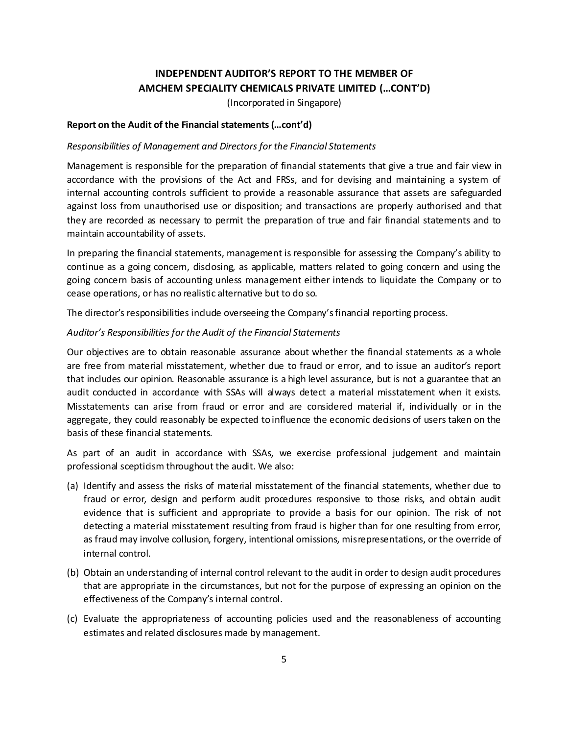# **INDEPENDENT AUDITOR'S REPORT TO THE MEMBER OF AMCHEM SPECIALITY CHEMICALS PRIVATE LIMITED (…CONT'D)**

(Incorporated in Singapore)

#### **Report on the Audit of the Financial statements (…cont'd)**

#### *Responsibilities of Management and Directors for the Financial Statements*

Management is responsible for the preparation of financial statements that give a true and fair view in accordance with the provisions of the Act and FRSs, and for devising and maintaining a system of internal accounting controls sufficient to provide a reasonable assurance that assets are safeguarded against loss from unauthorised use or disposition; and transactions are properly authorised and that they are recorded as necessary to permit the preparation of true and fair financial statements and to maintain accountability of assets.

In preparing the financial statements, management is responsible for assessing the Company's ability to continue as a going concern, disclosing, as applicable, matters related to going concern and using the going concern basis of accounting unless management either intends to liquidate the Company or to cease operations, or has no realistic alternative but to do so.

The director's responsibilities include overseeing the Company's financial reporting process.

#### *Auditor's Responsibilities for the Audit of the Financial Statements*

Our objectives are to obtain reasonable assurance about whether the financial statements as a whole are free from material misstatement, whether due to fraud or error, and to issue an auditor's report that includes our opinion. Reasonable assurance is a high level assurance, but is not a guarantee that an audit conducted in accordance with SSAs will always detect a material misstatement when it exists. Misstatements can arise from fraud or error and are considered material if, individually or in the aggregate, they could reasonably be expected to influence the economic decisions of users taken on the basis of these financial statements.

As part of an audit in accordance with SSAs, we exercise professional judgement and maintain professional scepticism throughout the audit. We also:

- (a) Identify and assess the risks of material misstatement of the financial statements, whether due to fraud or error, design and perform audit procedures responsive to those risks, and obtain audit evidence that is sufficient and appropriate to provide a basis for our opinion. The risk of not detecting a material misstatement resulting from fraud is higher than for one resulting from error, as fraud may involve collusion, forgery, intentional omissions, misrepresentations, or the override of internal control.
- (b) Obtain an understanding of internal control relevant to the audit in order to design audit procedures that are appropriate in the circumstances, but not for the purpose of expressing an opinion on the effectiveness of the Company's internal control.
- (c) Evaluate the appropriateness of accounting policies used and the reasonableness of accounting estimates and related disclosures made by management.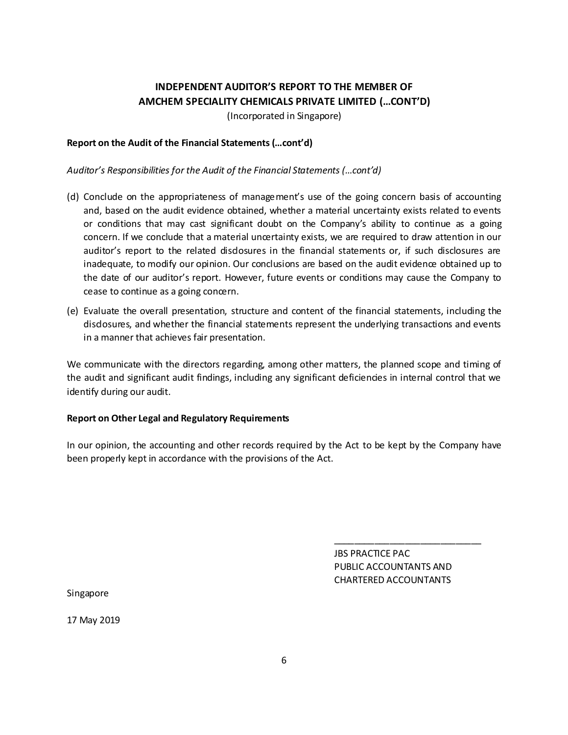# **INDEPENDENT AUDITOR'S REPORT TO THE MEMBER OF AMCHEM SPECIALITY CHEMICALS PRIVATE LIMITED (…CONT'D)**

(Incorporated in Singapore)

## **Report on the Audit of the Financial Statements (…cont'd)**

*Auditor's Responsibilities for the Audit of the Financial Statements (…cont'd)*

- (d) Conclude on the appropriateness of management's use of the going concern basis of accounting and, based on the audit evidence obtained, whether a material uncertainty exists related to events or conditions that may cast significant doubt on the Company's ability to continue as a going concern. If we conclude that a material uncertainty exists, we are required to draw attention in our auditor's report to the related disdosures in the financial statements or, if such disclosures are inadequate, to modify our opinion. Our conclusions are based on the audit evidence obtained up to the date of our auditor's report. However, future events or conditions may cause the Company to cease to continue as a going concern.
- (e) Evaluate the overall presentation, structure and content of the financial statements, including the disdosures, and whether the financial statements represent the underlying transactions and events in a manner that achieves fair presentation.

We communicate with the directors regarding, among other matters, the planned scope and timing of the audit and significant audit findings, including any significant deficiencies in internal control that we identify during our audit.

## **Report on Other Legal and Regulatory Requirements**

In our opinion, the accounting and other records required by the Act to be kept by the Company have been properly kept in accordance with the provisions of the Act.

 $\overline{\phantom{a}}$  , and the contract of the contract of the contract of the contract of the contract of the contract of the contract of the contract of the contract of the contract of the contract of the contract of the contrac

 JBS PRACTICE PAC PUBLIC ACCOUNTANTS AND CHARTERED ACCOUNTANTS

Singapore

17 May 2019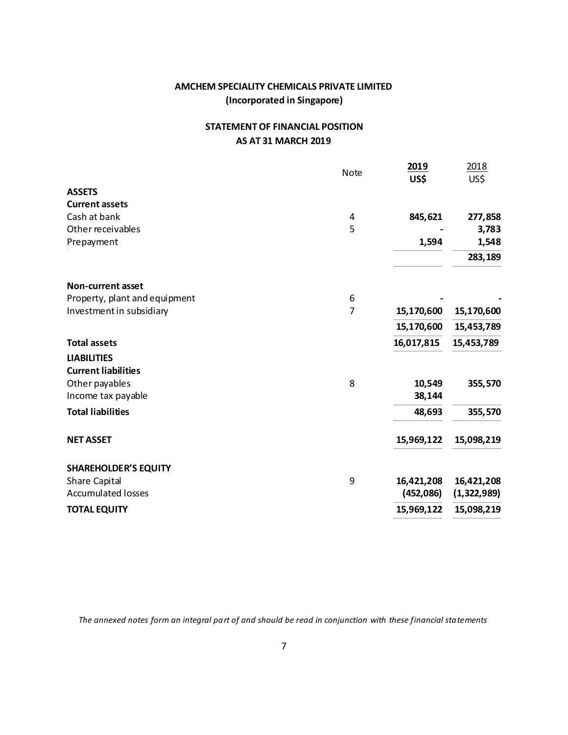# **STATEMENT OF FINANCIAL POSITION AS AT 31 MARCH 2019**

|                               | <b>Note</b>    | 2019<br>US\$ | 2018<br>US\$ |
|-------------------------------|----------------|--------------|--------------|
| <b>ASSETS</b>                 |                |              |              |
| <b>Current assets</b>         |                |              |              |
| Cash at bank                  | 4              | 845,621      | 277,858      |
| Other receivables             | 5              |              | 3,783        |
| Prepayment                    |                | 1,594        | 1,548        |
|                               |                |              | 283, 189     |
| <b>Non-current asset</b>      |                |              |              |
| Property, plant and equipment | 6              |              |              |
| Investment in subsidiary      | $\overline{7}$ | 15,170,600   | 15,170,600   |
|                               |                | 15,170,600   | 15,453,789   |
| <b>Total assets</b>           |                | 16,017,815   | 15,453,789   |
| <b>LIABILITIES</b>            |                |              |              |
| <b>Current liabilities</b>    |                |              |              |
| Other payables                | 8              | 10,549       | 355,570      |
| Income tax payable            |                | 38,144       |              |
| <b>Total liabilities</b>      |                | 48,693       | 355,570      |
| <b>NET ASSET</b>              |                | 15,969,122   | 15,098,219   |
| <b>SHAREHOLDER'S EQUITY</b>   |                |              |              |
| Share Capital                 | 9              | 16,421,208   | 16,421,208   |
| <b>Accumulated losses</b>     |                | (452,086)    | (1,322,989)  |
| <b>TOTAL EQUITY</b>           |                | 15,969,122   | 15,098,219   |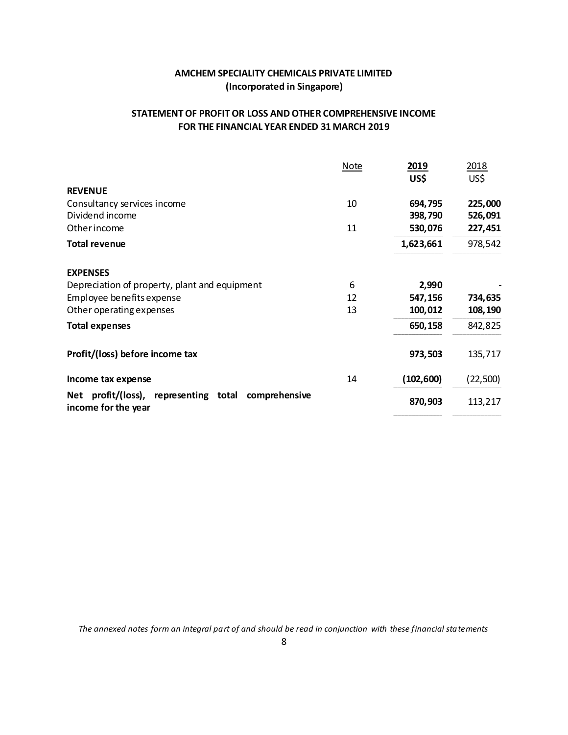# **STATEMENT OF PROFIT OR LOSS AND OTHER COMPREHENSIVE INCOME FOR THE FINANCIAL YEAR ENDED 31 MARCH 2019**

|                                                                            | <b>Note</b> | 2019<br>US\$       | 2018<br>US\$       |
|----------------------------------------------------------------------------|-------------|--------------------|--------------------|
| <b>REVENUE</b>                                                             |             |                    |                    |
| Consultancy services income<br>Dividend income                             | 10          | 694,795<br>398,790 | 225,000<br>526,091 |
| Otherincome                                                                | 11          | 530,076            | 227,451            |
| <b>Total revenue</b>                                                       |             | 1,623,661          | 978,542            |
| <b>EXPENSES</b>                                                            |             |                    |                    |
| Depreciation of property, plant and equipment                              | 6           | 2,990              |                    |
| Employee benefits expense                                                  | 12          | 547,156            | 734,635            |
| Other operating expenses                                                   | 13          | 100,012            | 108, 190           |
| <b>Total expenses</b>                                                      |             | 650,158            | 842,825            |
| Profit/(loss) before income tax                                            |             | 973,503            | 135,717            |
| Income tax expense                                                         | 14          | (102, 600)         | (22, 500)          |
| Net profit/(loss), representing total comprehensive<br>income for the year |             | 870,903            | 113,217            |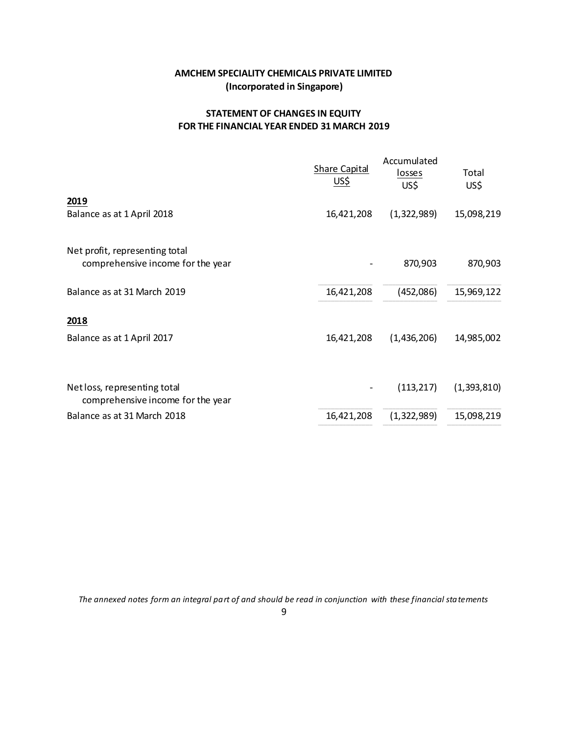## **STATEMENT OF CHANGES IN EQUITY FOR THE FINANCIAL YEAR ENDED 31 MARCH 2019**

|                                                                     | Share Capital<br><u>US\$</u> | Accumulated<br>losses<br>US\$ | Total<br>US\$ |
|---------------------------------------------------------------------|------------------------------|-------------------------------|---------------|
| 2019<br>Balance as at 1 April 2018                                  | 16,421,208                   | (1,322,989)                   | 15,098,219    |
| Net profit, representing total<br>comprehensive income for the year |                              | 870,903                       | 870,903       |
| Balance as at 31 March 2019                                         | 16,421,208                   | (452,086)                     | 15,969,122    |
| 2018                                                                |                              |                               |               |
| Balance as at 1 April 2017                                          | 16,421,208                   | (1,436,206)                   | 14,985,002    |
| Net loss, representing total<br>comprehensive income for the year   |                              | (113, 217)                    | (1,393,810)   |
| Balance as at 31 March 2018                                         | 16,421,208                   | (1,322,989)                   | 15,098,219    |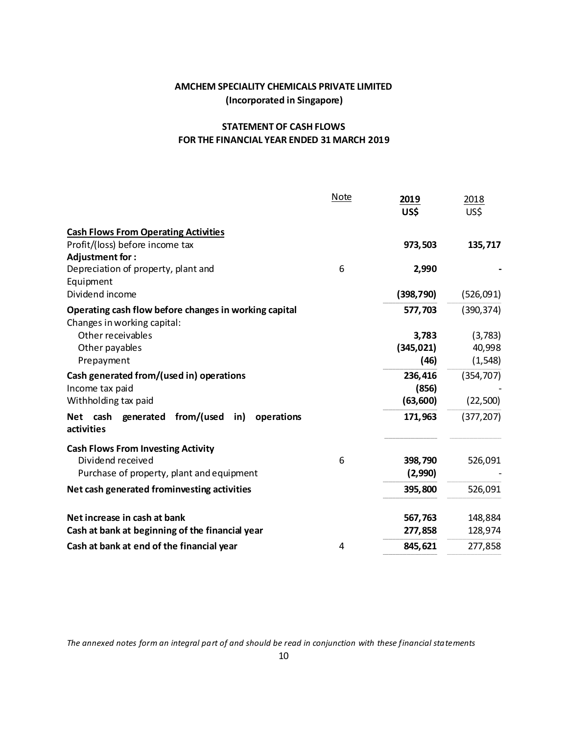# **STATEMENT OF CASH FLOWS FOR THE FINANCIAL YEAR ENDED 31 MARCH 2019**

|                                                                                      | <b>Note</b> | 2019<br>US\$     | 2018<br>US\$ |
|--------------------------------------------------------------------------------------|-------------|------------------|--------------|
| <b>Cash Flows From Operating Activities</b>                                          |             |                  |              |
| Profit/(loss) before income tax                                                      |             | 973,503          | 135,717      |
| Adjustment for:<br>Depreciation of property, plant and<br>Equipment                  | 6           | 2,990            |              |
| Dividend income                                                                      |             | (398, 790)       | (526,091)    |
| Operating cash flow before changes in working capital<br>Changes in working capital: |             | 577,703          | (390, 374)   |
| Other receivables                                                                    |             | 3,783            | (3,783)      |
| Other payables                                                                       |             | (345, 021)       | 40,998       |
| Prepayment                                                                           |             | (46)             | (1, 548)     |
| Cash generated from/(used in) operations<br>Income tax paid                          |             | 236,416<br>(856) | (354, 707)   |
| Withholding tax paid                                                                 |             | (63, 600)        | (22, 500)    |
| from/(used<br>generated<br>in)<br>operations<br><b>Net</b><br>cash<br>activities     |             | 171,963          | (377, 207)   |
| <b>Cash Flows From Investing Activity</b>                                            |             |                  |              |
| Dividend received                                                                    | 6           | 398,790          | 526,091      |
| Purchase of property, plant and equipment                                            |             | (2,990)          |              |
| Net cash generated frominvesting activities                                          |             | 395,800          | 526,091      |
| Net increase in cash at bank                                                         |             | 567,763          | 148,884      |
| Cash at bank at beginning of the financial year                                      |             | 277,858          | 128,974      |
| Cash at bank at end of the financial year                                            | 4           | 845,621          | 277,858      |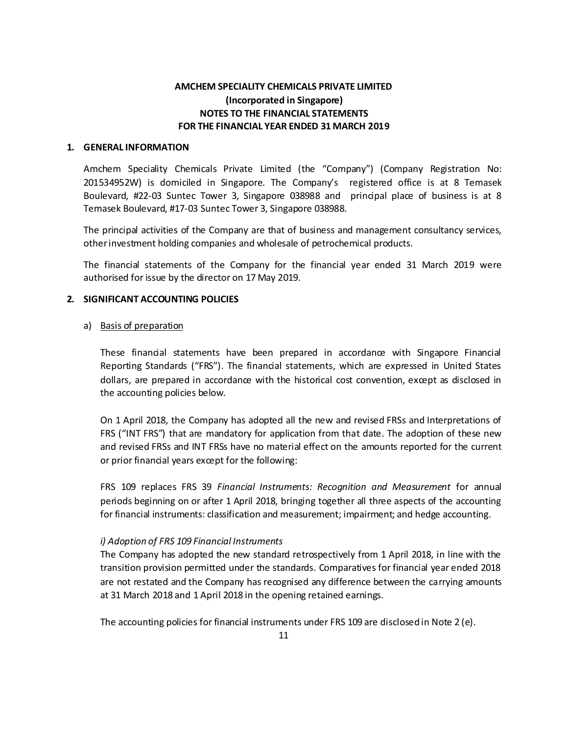# **AMCHEM SPECIALITY CHEMICALS PRIVATE LIMITED (Incorporated in Singapore) NOTES TO THE FINANCIAL STATEMENTS FOR THE FINANCIAL YEAR ENDED 31 MARCH 2019**

#### **1. GENERAL INFORMATION**

Amchem Speciality Chemicals Private Limited (the "Company") (Company Registration No: 201534952W) is domiciled in Singapore. The Company's registered office is at 8 Temasek Boulevard, #22-03 Suntec Tower 3, Singapore 038988 and principal place of business is at 8 Temasek Boulevard, #17-03 Suntec Tower 3, Singapore 038988.

The principal activities of the Company are that of business and management consultancy services, other investment holding companies and wholesale of petrochemical products.

The financial statements of the Company for the financial year ended 31 March 2019 were authorised for issue by the director on 17 May 2019.

## **2. SIGNIFICANT ACCOUNTING POLICIES**

## a) Basis of preparation

These financial statements have been prepared in accordance with Singapore Financial Reporting Standards ("FRS"). The financial statements, which are expressed in United States dollars, are prepared in accordance with the historical cost convention, except as disclosed in the accounting policies below.

On 1 April 2018, the Company has adopted all the new and revised FRSs and Interpretations of FRS ("INT FRS") that are mandatory for application from that date. The adoption of these new and revised FRSs and INT FRSs have no material effect on the amounts reported for the current or prior financial years except for the following:

FRS 109 replaces FRS 39 *Financial Instruments: Recognition and Measurement* for annual periods beginning on or after 1 April 2018, bringing together all three aspects of the accounting for financial instruments: classification and measurement; impairment; and hedge accounting.

#### *i) Adoption of FRS 109 Financial Instruments*

The Company has adopted the new standard retrospectively from 1 April 2018, in line with the transition provision permitted under the standards. Comparatives for financial year ended 2018 are not restated and the Company has recognised any difference between the carrying amounts at 31 March 2018 and 1 April 2018 in the opening retained earnings.

The accounting policies for financial instruments under FRS 109 are disclosed in Note 2 (e).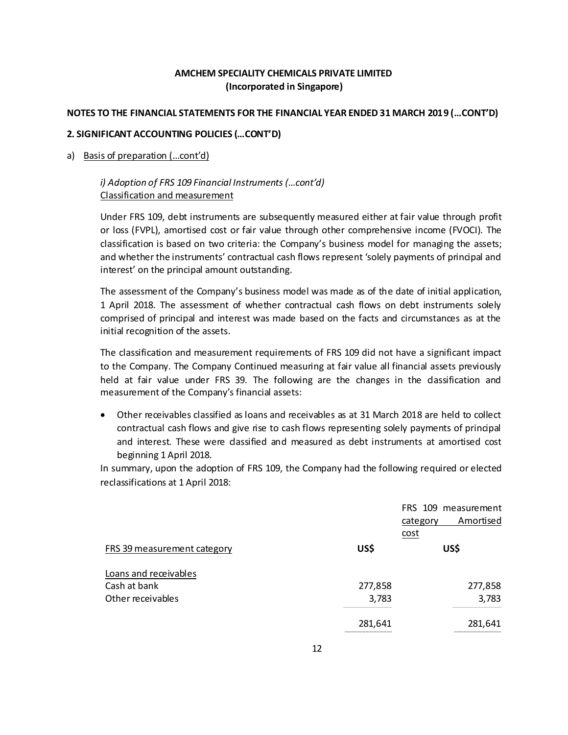## **NOTES TO THE FINANCIAL STATEMENTS FOR THE FINANCIAL YEAR ENDED 31 MARCH 2019 (…CONT'D)**

#### **2. SIGNIFICANT ACCOUNTING POLICIES (…CONT'D)**

## a) Basis of preparation (…cont'd)

## *i) Adoption of FRS 109 Financial Instruments (…cont'd)* Classification and measurement

Under FRS 109, debt instruments are subsequently measured either at fair value through profit or loss (FVPL), amortised cost or fair value through other comprehensive income (FVOCI). The classification is based on two criteria: the Company's business model for managing the assets; and whether the instruments' contractual cash flows represent 'solely payments of principal and interest' on the principal amount outstanding.

The assessment of the Company's business model was made as of the date of initial application, 1 April 2018. The assessment of whether contractual cash flows on debt instruments solely comprised of principal and interest was made based on the facts and circumstances as at the initial recognition of the assets.

The classification and measurement requirements of FRS 109 did not have a significant impact to the Company. The Company Continued measuring at fair value all financial assets previously held at fair value under FRS 39. The following are the changes in the dassification and measurement of the Company's financial assets:

· Other receivables classified as loans and receivables as at 31 March 2018 are held to collect contractual cash flows and give rise to cash flows representing solely payments of principal and interest. These were classified and measured as debt instruments at amortised cost beginning 1 April 2018.

In summary, upon the adoption of FRS 109, the Company had the following required or elected reclassifications at 1 April 2018:

|                             |             | FRS 109 measurement<br>Amortised<br>category<br>cost |
|-----------------------------|-------------|------------------------------------------------------|
| FRS 39 measurement category | US\$        | US\$                                                 |
| Loans and receivables       |             |                                                      |
| Cash at bank                | 277,858     | 277,858                                              |
| Other receivables           | 3,783       | 3,783                                                |
|                             | 281,641<br> | 281,641<br>                                          |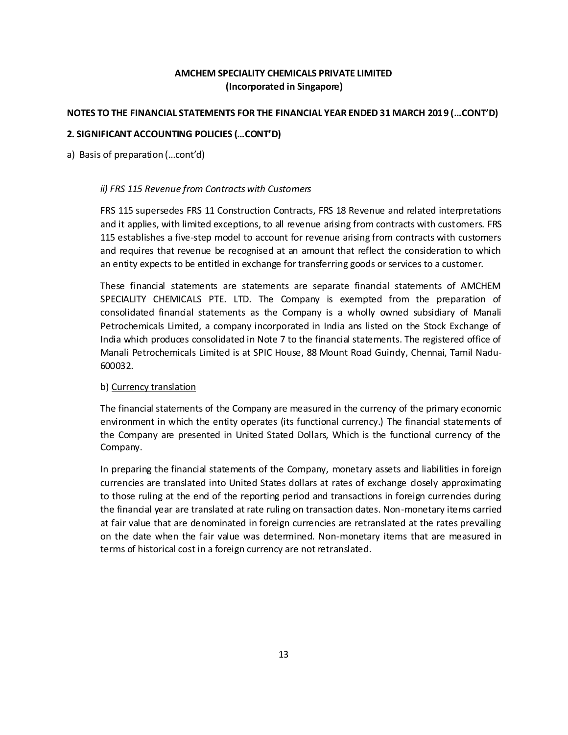## **NOTES TO THE FINANCIAL STATEMENTS FOR THE FINANCIAL YEAR ENDED 31 MARCH 2019 (…CONT'D)**

#### **2. SIGNIFICANT ACCOUNTING POLICIES (…CONT'D)**

#### a) Basis of preparation (…cont'd)

## *ii) FRS 115 Revenue from Contracts with Customers*

FRS 115 supersedes FRS 11 Construction Contracts, FRS 18 Revenue and related interpretations and it applies, with limited exceptions, to all revenue arising from contracts with customers. FRS 115 establishes a five-step model to account for revenue arising from contracts with customers and requires that revenue be recognised at an amount that reflect the consideration to which an entity expects to be entitled in exchange for transferring goods or services to a customer.

These financial statements are statements are separate financial statements of AMCHEM SPECIALITY CHEMICALS PTE. LTD. The Company is exempted from the preparation of consolidated financial statements as the Company is a wholly owned subsidiary of Manali Petrochemicals Limited, a company incorporated in India ans listed on the Stock Exchange of India which produces consolidated in Note 7 to the financial statements. The registered office of Manali Petrochemicals Limited is at SPIC House, 88 Mount Road Guindy, Chennai, Tamil Nadu-600032.

## b) Currency translation

The financial statements of the Company are measured in the currency of the primary economic environment in which the entity operates (its functional currency.) The financial statements of the Company are presented in United Stated Dollars, Which is the functional currency of the Company.

In preparing the financial statements of the Company, monetary assets and liabilities in foreign currencies are translated into United States dollars at rates of exchange dosely approximating to those ruling at the end of the reporting period and transactions in foreign currencies during the financial year are translated at rate ruling on transaction dates. Non-monetary items carried at fair value that are denominated in foreign currencies are retranslated at the rates prevailing on the date when the fair value was determined. Non-monetary items that are measured in terms of historical cost in a foreign currency are not retranslated.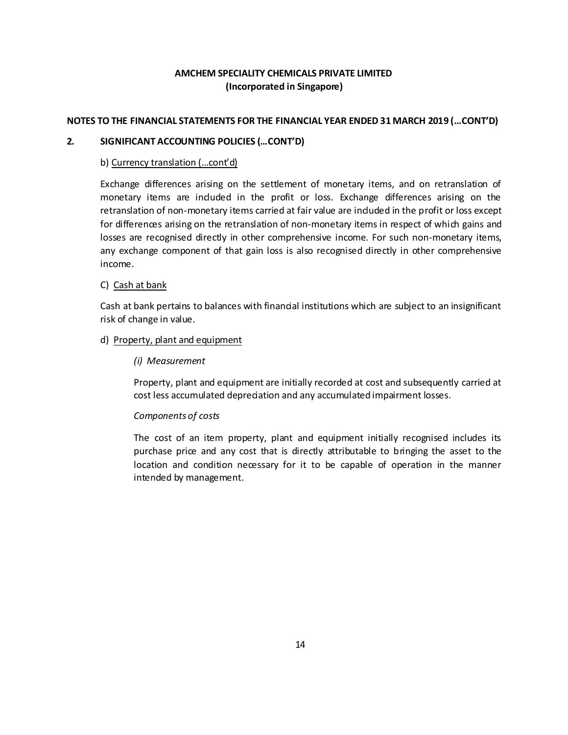## **NOTES TO THE FINANCIAL STATEMENTS FOR THE FINANCIAL YEAR ENDED 31 MARCH 2019 (…CONT'D)**

## **2. SIGNIFICANT ACCOUNTING POLICIES (…CONT'D)**

## b) Currency translation (…cont'd)

Exchange differences arising on the settlement of monetary items, and on retranslation of monetary items are included in the profit or loss. Exchange differences arising on the retranslation of non-monetary items carried at fair value are included in the profit or loss except for differences arising on the retranslation of non-monetary items in respect of which gains and losses are recognised directly in other comprehensive income. For such non-monetary items, any exchange component of that gain loss is also recognised directly in other comprehensive income.

## C) Cash at bank

Cash at bank pertains to balances with financial institutions which are subject to an insignificant risk of change in value.

#### d) Property, plant and equipment

## *(i) Measurement*

Property, plant and equipment are initially recorded at cost and subsequently carried at cost less accumulated depreciation and any accumulated impairment losses.

## *Components of costs*

The cost of an item property, plant and equipment initially recognised includes its purchase price and any cost that is directly attributable to bringing the asset to the location and condition necessary for it to be capable of operation in the manner intended by management.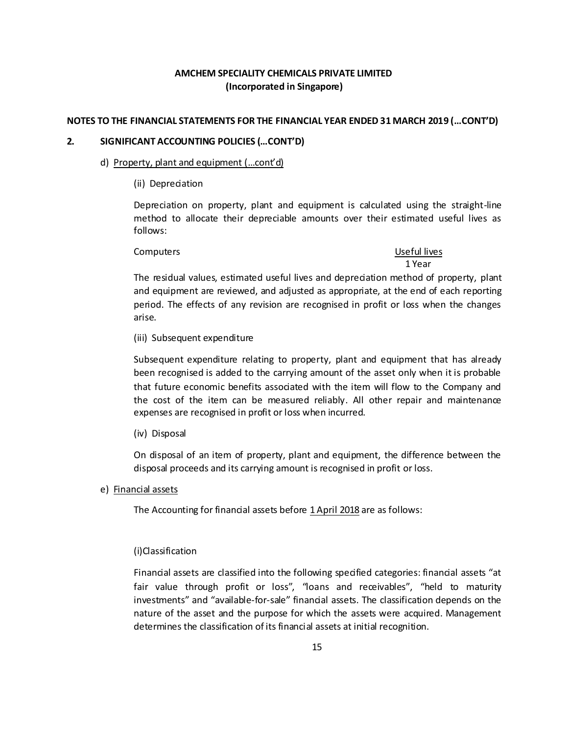#### **NOTES TO THE FINANCIAL STATEMENTS FOR THE FINANCIAL YEAR ENDED 31 MARCH 2019 (…CONT'D)**

#### **2. SIGNIFICANT ACCOUNTING POLICIES (…CONT'D)**

- d) Property, plant and equipment (…cont'd)
	- (ii) Depreciation

Depreciation on property, plant and equipment is calculated using the straight-line method to allocate their depreciable amounts over their estimated useful lives as follows:

#### Computers **Computers Useful lives**

#### 1 Year

The residual values, estimated useful lives and depreciation method of property, plant and equipment are reviewed, and adjusted as appropriate, at the end of each reporting period. The effects of any revision are recognised in profit or loss when the changes arise.

## (iii) Subsequent expenditure

Subsequent expenditure relating to property, plant and equipment that has already been recognised is added to the carrying amount of the asset only when it is probable that future economic benefits associated with the item will flow to the Company and the cost of the item can be measured reliably. All other repair and maintenance expenses are recognised in profit or loss when incurred.

(iv) Disposal

On disposal of an item of property, plant and equipment, the difference between the disposal proceeds and its carrying amount is recognised in profit or loss.

e) Financial assets

The Accounting for financial assets before 1 April 2018 are as follows:

## (i)Classification

Financial assets are classified into the following specified categories: financial assets "at fair value through profit or loss", "loans and receivables", "held to maturity investments" and "available-for-sale" financial assets. The classification depends on the nature of the asset and the purpose for which the assets were acquired. Management determines the classification of its financial assets at initial recognition.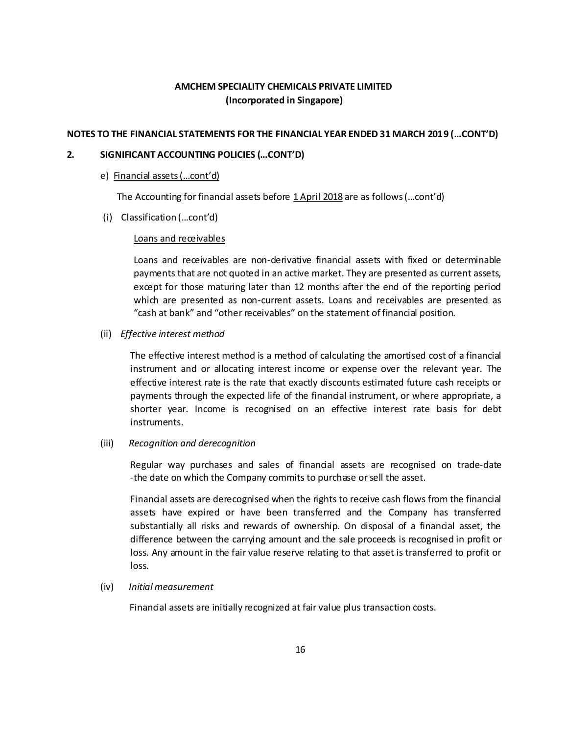## **NOTES TO THE FINANCIAL STATEMENTS FOR THE FINANCIAL YEAR ENDED 31 MARCH 2019 (…CONT'D)**

#### **2. SIGNIFICANT ACCOUNTING POLICIES (…CONT'D)**

## e) Financial assets (…cont'd)

The Accounting for financial assets before 1 April 2018 are as follows (…cont'd)

(i) Classification (…cont'd)

## Loans and receivables

Loans and receivables are non-derivative financial assets with fixed or determinable payments that are not quoted in an active market. They are presented as current assets, except for those maturing later than 12 months after the end of the reporting period which are presented as non-current assets. Loans and receivables are presented as "cash at bank" and "other receivables" on the statement of financial position.

## (ii) *Effective interest method*

The effective interest method is a method of calculating the amortised cost of a financial instrument and or allocating interest income or expense over the relevant year. The effective interest rate is the rate that exactly discounts estimated future cash receipts or payments through the expected life of the financial instrument, or where appropriate, a shorter year. Income is recognised on an effective interest rate basis for debt instruments.

#### (iii) *Recognition and derecognition*

Regular way purchases and sales of financial assets are recognised on trade-date -the date on which the Company commits to purchase or sell the asset.

Financial assets are derecognised when the rights to receive cash flows from the financial assets have expired or have been transferred and the Company has transferred substantially all risks and rewards of ownership. On disposal of a financial asset, the difference between the carrying amount and the sale proceeds is recognised in profit or loss. Any amount in the fair value reserve relating to that asset is transferred to profit or loss.

## (iv) *Initial measurement*

Financial assets are initially recognized at fair value plus transaction costs.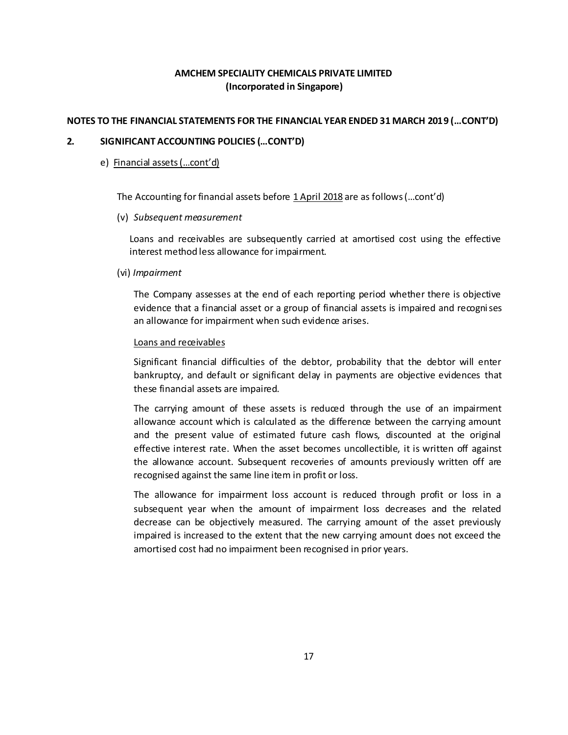#### **NOTES TO THE FINANCIAL STATEMENTS FOR THE FINANCIAL YEAR ENDED 31 MARCH 2019 (…CONT'D)**

#### **2. SIGNIFICANT ACCOUNTING POLICIES (…CONT'D)**

## e) Financial assets (…cont'd)

The Accounting for financial assets before 1 April 2018 are as follows (…cont'd)

## (v) *Subsequent measurement*

Loans and receivables are subsequently carried at amortised cost using the effective interest method less allowance for impairment.

## (vi) *Impairment*

The Company assesses at the end of each reporting period whether there is objective evidence that a financial asset or a group of financial assets is impaired and recogni ses an allowance for impairment when such evidence arises.

#### Loans and receivables

Significant financial difficulties of the debtor, probability that the debtor will enter bankruptcy, and default or significant delay in payments are objective evidences that these financial assets are impaired.

The carrying amount of these assets is reduced through the use of an impairment allowance account which is calculated as the difference between the carrying amount and the present value of estimated future cash flows, discounted at the original effective interest rate. When the asset becomes uncollectible, it is written off against the allowance account. Subsequent recoveries of amounts previously written off are recognised against the same line item in profit or loss.

The allowance for impairment loss account is reduced through profit or loss in a subsequent year when the amount of impairment loss decreases and the related decrease can be objectively measured. The carrying amount of the asset previously impaired is increased to the extent that the new carrying amount does not exceed the amortised cost had no impairment been recognised in prior years.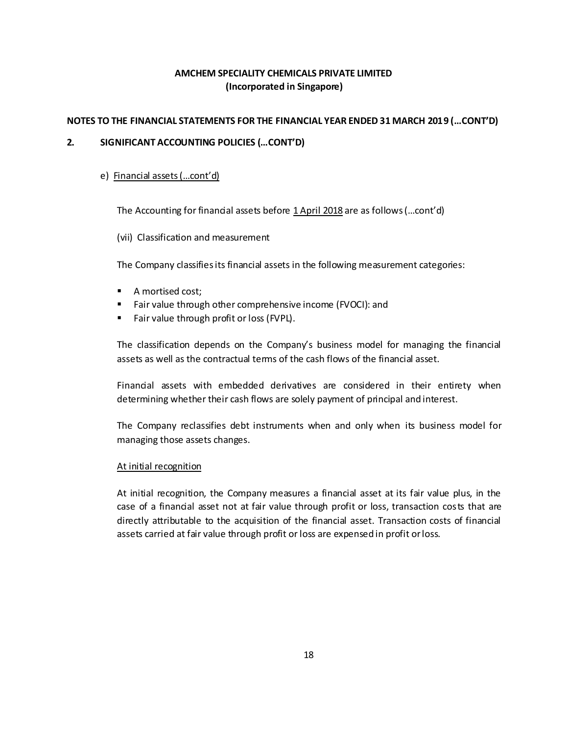## **NOTES TO THE FINANCIAL STATEMENTS FOR THE FINANCIAL YEAR ENDED 31 MARCH 2019 (…CONT'D)**

## **2. SIGNIFICANT ACCOUNTING POLICIES (…CONT'D)**

## e) Financial assets (…cont'd)

The Accounting for financial assets before 1 April 2018 are as follows (…cont'd)

(vii) Classification and measurement

The Company classifies its financial assets in the following measurement categories:

- A mortised cost;
- **Fair value through other comprehensive income (FVOCI): and**
- **Fair value through profit or loss (FVPL).**

The classification depends on the Company's business model for managing the financial assets as well as the contractual terms of the cash flows of the financial asset.

Financial assets with embedded derivatives are considered in their entirety when determining whether their cash flows are solely payment of principal and interest.

The Company reclassifies debt instruments when and only when its business model for managing those assets changes.

## At initial recognition

At initial recognition, the Company measures a financial asset at its fair value plus, in the case of a financial asset not at fair value through profit or loss, transaction costs that are directly attributable to the acquisition of the financial asset. Transaction costs of financial assets carried at fair value through profit or loss are expensed in profit or loss.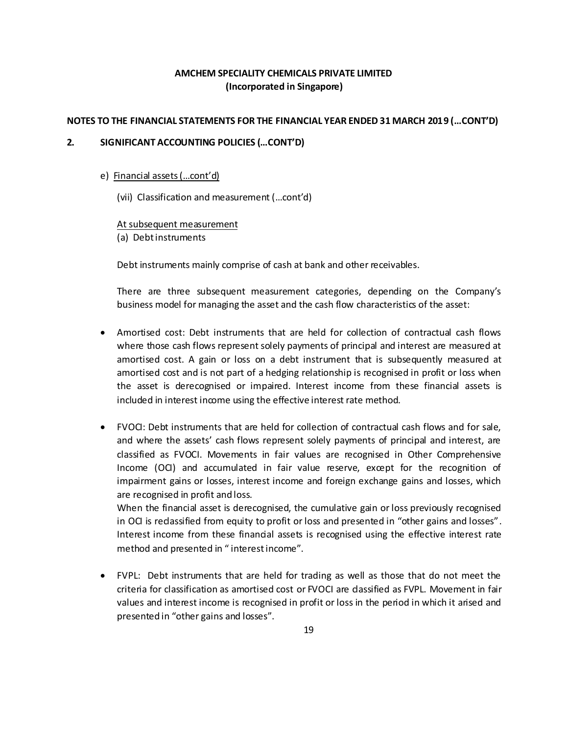## **NOTES TO THE FINANCIAL STATEMENTS FOR THE FINANCIAL YEAR ENDED 31 MARCH 2019 (…CONT'D)**

## **2. SIGNIFICANT ACCOUNTING POLICIES (…CONT'D)**

## e) Financial assets (…cont'd)

(vii) Classification and measurement (…cont'd)

## At subsequent measurement

(a) Debt instruments

Debt instruments mainly comprise of cash at bank and other receivables.

There are three subsequent measurement categories, depending on the Company's business model for managing the asset and the cash flow characteristics of the asset:

- · Amortised cost: Debt instruments that are held for collection of contractual cash flows where those cash flows represent solely payments of principal and interest are measured at amortised cost. A gain or loss on a debt instrument that is subsequently measured at amortised cost and is not part of a hedging relationship is recognised in profit or loss when the asset is derecognised or impaired. Interest income from these financial assets is included in interest income using the effective interest rate method.
- · FVOCI: Debt instruments that are held for collection of contractual cash flows and for sale, and where the assets' cash flows represent solely payments of principal and interest, are classified as FVOCI. Movements in fair values are recognised in Other Comprehensive Income (OCI) and accumulated in fair value reserve, except for the recognition of impairment gains or losses, interest income and foreign exchange gains and losses, which are recognised in profit and loss.

When the financial asset is derecognised, the cumulative gain or loss previously recognised in OCI is reclassified from equity to profit or loss and presented in "other gains and losses". Interest income from these financial assets is recognised using the effective interest rate method and presented in " interest income".

· FVPL: Debt instruments that are held for trading as well as those that do not meet the criteria for classification as amortised cost or FVOCI are classified as FVPL. Movement in fair values and interest income is recognised in profit or loss in the period in which it arised and presented in "other gains and losses".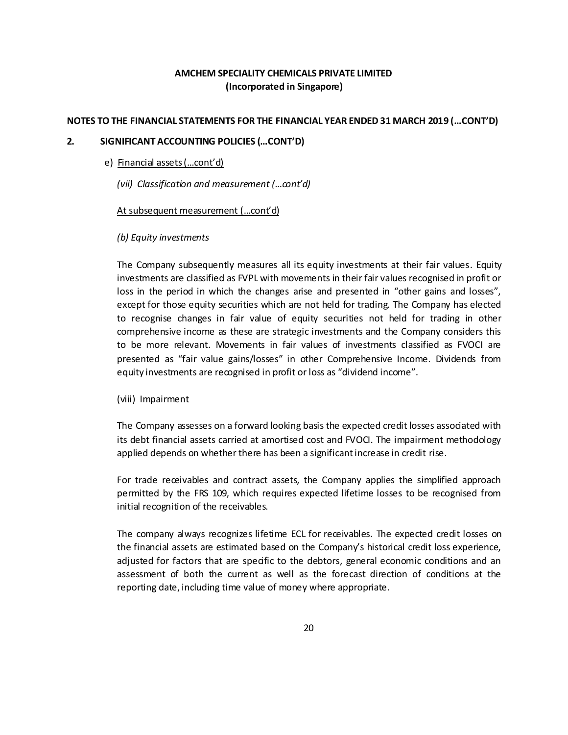## **NOTES TO THE FINANCIAL STATEMENTS FOR THE FINANCIAL YEAR ENDED 31 MARCH 2019 (…CONT'D)**

## **2. SIGNIFICANT ACCOUNTING POLICIES (…CONT'D)**

e) Financial assets (…cont'd)

*(vii) Classification and measurement (…cont'd)*

At subsequent measurement (…cont'd)

*(b) Equity investments* 

The Company subsequently measures all its equity investments at their fair values. Equity investments are classified as FVPL with movements in their fair values recognised in profit or loss in the period in which the changes arise and presented in "other gains and losses", except for those equity securities which are not held for trading. The Company has elected to recognise changes in fair value of equity securities not held for trading in other comprehensive income as these are strategic investments and the Company considers this to be more relevant. Movements in fair values of investments classified as FVOCI are presented as "fair value gains/losses" in other Comprehensive Income. Dividends from equity investments are recognised in profit or loss as "dividend income".

(viii) Impairment

The Company assesses on a forward looking basis the expected credit losses associated with its debt financial assets carried at amortised cost and FVOCI. The impairment methodology applied depends on whether there has been a significant increase in credit rise.

For trade receivables and contract assets, the Company applies the simplified approach permitted by the FRS 109, which requires expected lifetime losses to be recognised from initial recognition of the receivables.

The company always recognizes lifetime ECL for receivables. The expected credit losses on the financial assets are estimated based on the Company's historical credit loss experience, adjusted for factors that are specific to the debtors, general economic conditions and an assessment of both the current as well as the forecast direction of conditions at the reporting date, including time value of money where appropriate.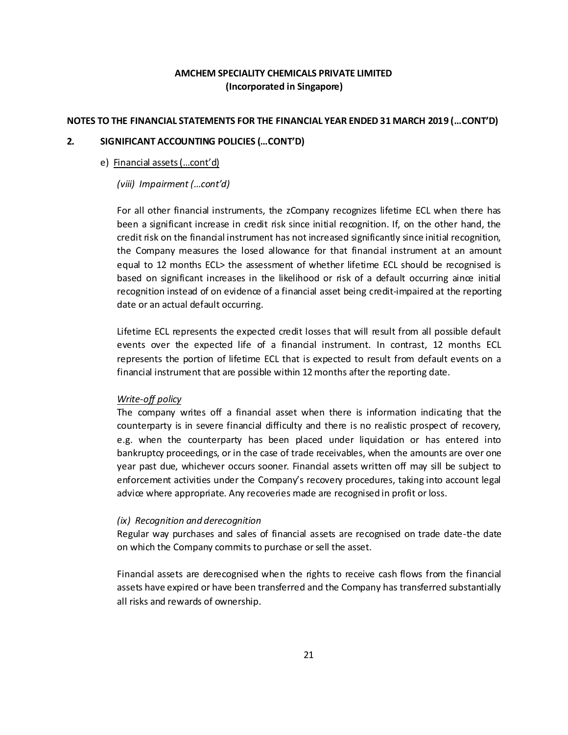#### **NOTES TO THE FINANCIAL STATEMENTS FOR THE FINANCIAL YEAR ENDED 31 MARCH 2019 (…CONT'D)**

## **2. SIGNIFICANT ACCOUNTING POLICIES (…CONT'D)**

## e) Financial assets (…cont'd)

## *(viii) Impairment (…cont'd)*

For all other financial instruments, the zCompany recognizes lifetime ECL when there has been a significant increase in credit risk since initial recognition. If, on the other hand, the credit risk on the financial instrument has not increased significantly since initial recognition, the Company measures the losed allowance for that financial instrument at an amount equal to 12 months ECL> the assessment of whether lifetime ECL should be recognised is based on significant increases in the likelihood or risk of a default occurring aince initial recognition instead of on evidence of a financial asset being credit-impaired at the reporting date or an actual default occurring.

Lifetime ECL represents the expected credit losses that will result from all possible default events over the expected life of a financial instrument. In contrast, 12 months ECL represents the portion of lifetime ECL that is expected to result from default events on a financial instrument that are possible within 12 months after the reporting date.

## *Write-off policy*

The company writes off a financial asset when there is information indicating that the counterparty is in severe financial difficulty and there is no realistic prospect of recovery, e.g. when the counterparty has been placed under liquidation or has entered into bankruptcy proceedings, or in the case of trade receivables, when the amounts are over one year past due, whichever occurs sooner. Financial assets written off may sill be subject to enforcement activities under the Company's recovery procedures, taking into account legal advice where appropriate. Any recoveries made are recognised in profit or loss.

#### *(ix) Recognition and derecognition*

Regular way purchases and sales of financial assets are recognised on trade date-the date on which the Company commits to purchase or sell the asset.

Financial assets are derecognised when the rights to receive cash flows from the financial assets have expired or have been transferred and the Company has transferred substantially all risks and rewards of ownership.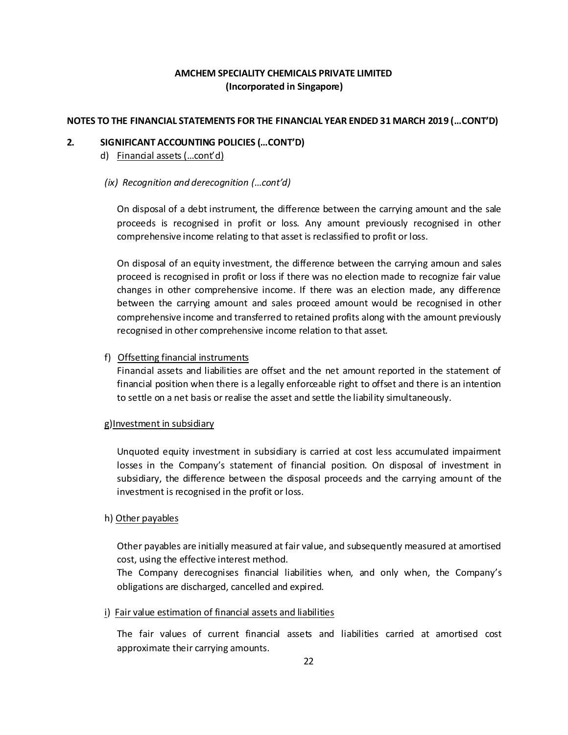## **NOTES TO THE FINANCIAL STATEMENTS FOR THE FINANCIAL YEAR ENDED 31 MARCH 2019 (…CONT'D)**

## **2. SIGNIFICANT ACCOUNTING POLICIES (…CONT'D)**

d) Financial assets (…cont'd)

## *(ix) Recognition and derecognition (…cont'd)*

On disposal of a debt instrument, the difference between the carrying amount and the sale proceeds is recognised in profit or loss. Any amount previously recognised in other comprehensive income relating to that asset is reclassified to profit or loss.

On disposal of an equity investment, the difference between the carrying amoun and sales proceed is recognised in profit or loss if there was no election made to recognize fair value changes in other comprehensive income. If there was an election made, any difference between the carrying amount and sales proceed amount would be recognised in other comprehensive income and transferred to retained profits along with the amount previously recognised in other comprehensive income relation to that asset.

## f) Offsetting financial instruments

Financial assets and liabilities are offset and the net amount reported in the statement of financial position when there is a legally enforceable right to offset and there is an intention to settle on a net basis or realise the asset and settle the liability simultaneously.

#### g)Investment in subsidiary

Unquoted equity investment in subsidiary is carried at cost less accumulated impairment losses in the Company's statement of financial position. On disposal of investment in subsidiary, the difference between the disposal proceeds and the carrying amount of the investment is recognised in the profit or loss.

## h) Other payables

Other payables are initially measured at fair value, and subsequently measured at amortised cost, using the effective interest method.

The Company derecognises financial liabilities when, and only when, the Company's obligations are discharged, cancelled and expired.

#### i) Fair value estimation of financial assets and liabilities

The fair values of current financial assets and liabilities carried at amortised cost approximate their carrying amounts.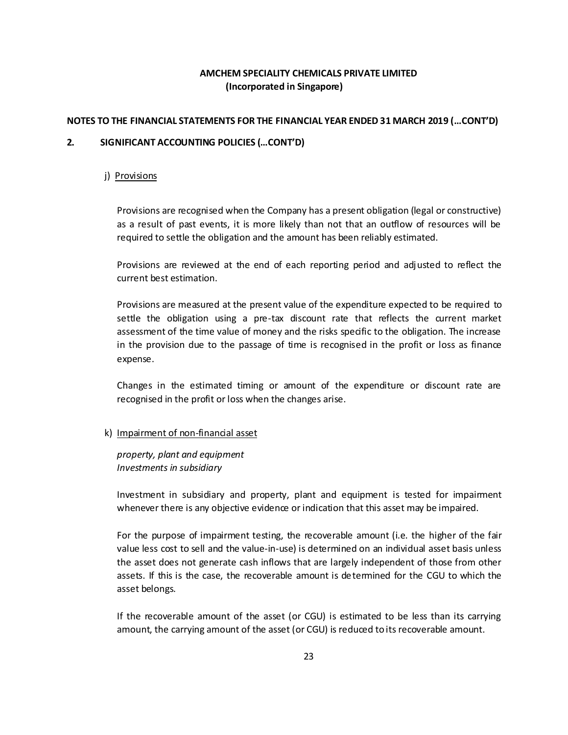## **NOTES TO THE FINANCIAL STATEMENTS FOR THE FINANCIAL YEAR ENDED 31 MARCH 2019 (…CONT'D)**

## **2. SIGNIFICANT ACCOUNTING POLICIES (…CONT'D)**

## j) Provisions

Provisions are recognised when the Company has a present obligation (legal or constructive) as a result of past events, it is more likely than not that an outflow of resources will be required to settle the obligation and the amount has been reliably estimated.

Provisions are reviewed at the end of each reporting period and adjusted to reflect the current best estimation.

Provisions are measured at the present value of the expenditure expected to be required to settle the obligation using a pre-tax discount rate that reflects the current market assessment of the time value of money and the risks specific to the obligation. The increase in the provision due to the passage of time is recognised in the profit or loss as finance expense.

Changes in the estimated timing or amount of the expenditure or discount rate are recognised in the profit or loss when the changes arise.

#### k) Impairment of non-financial asset

*property, plant and equipment Investments in subsidiary* 

Investment in subsidiary and property, plant and equipment is tested for impairment whenever there is any objective evidence or indication that this asset may be impaired.

For the purpose of impairment testing, the recoverable amount (i.e. the higher of the fair value less cost to sell and the value-in-use) is determined on an individual asset basis unless the asset does not generate cash inflows that are largely independent of those from other assets. If this is the case, the recoverable amount is determined for the CGU to which the asset belongs.

If the recoverable amount of the asset (or CGU) is estimated to be less than its carrying amount, the carrying amount of the asset (or CGU) is reduced to its recoverable amount.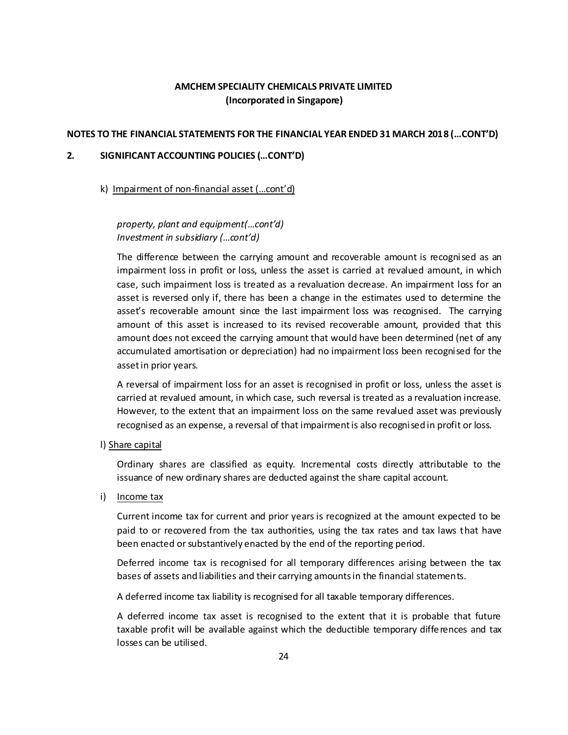## **NOTES TO THE FINANCIAL STATEMENTS FOR THE FINANCIAL YEAR ENDED 31 MARCH 2018 (…CONT'D)**

## **2. SIGNIFICANT ACCOUNTING POLICIES (…CONT'D)**

## k) Impairment of non-financial asset (…cont'd)

*property, plant and equipment(…cont'd) Investment in subsidiary (…cont'd)* 

The difference between the carrying amount and recoverable amount is recogni sed as an impairment loss in profit or loss, unless the asset is carried at revalued amount, in which case, such impairment loss is treated as a revaluation decrease. An impairment loss for an asset is reversed only if, there has been a change in the estimates used to determine the asset's recoverable amount since the last impairment loss was recognised. The carrying amount of this asset is increased to its revised recoverable amount, provided that this amount does not exceed the carrying amount that would have been determined (net of any accumulated amortisation or depreciation) had no impairment loss been recognised for the asset in prior years.

A reversal of impairment loss for an asset is recognised in profit or loss, unless the asset is carried at revalued amount, in which case, such reversal is treated as a revaluation increase. However, to the extent that an impairment loss on the same revalued asset was previously recognised as an expense, a reversal of that impairment is also recognised in profit or loss.

#### l) Share capital

Ordinary shares are classified as equity. Incremental costs directly attributable to the issuance of new ordinary shares are deducted against the share capital account.

i) Income tax

Current income tax for current and prior years is recognized at the amount expected to be paid to or recovered from the tax authorities, using the tax rates and tax laws that have been enacted or substantively enacted by the end of the reporting period.

Deferred income tax is recognised for all temporary differences arising between the tax bases of assets and liabilities and their carrying amounts in the financial statements.

A deferred income tax liability is recognised for all taxable temporary differences.

A deferred income tax asset is recognised to the extent that it is probable that future taxable profit will be available against which the deductible temporary differences and tax losses can be utilised.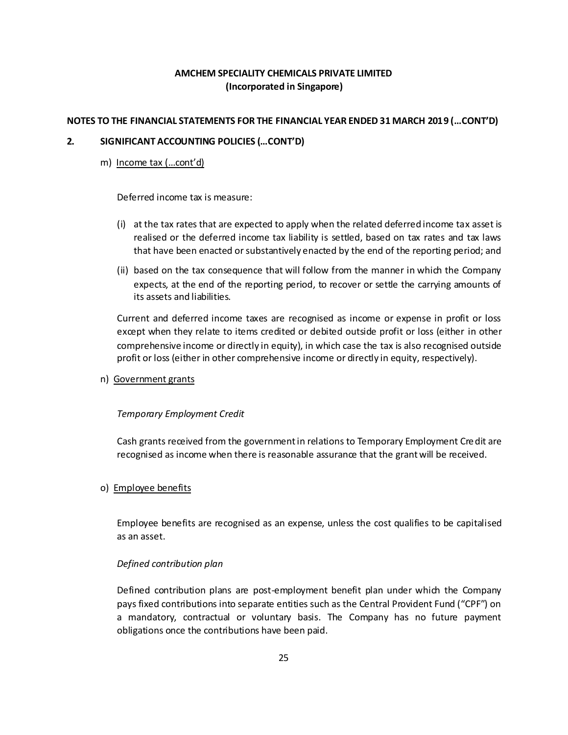## **NOTES TO THE FINANCIAL STATEMENTS FOR THE FINANCIAL YEAR ENDED 31 MARCH 2019 (…CONT'D)**

## **2. SIGNIFICANT ACCOUNTING POLICIES (…CONT'D)**

m) Income tax (…cont'd)

Deferred income tax is measure:

- (i) at the tax rates that are expected to apply when the related deferred income tax asset is realised or the deferred income tax liability is settled, based on tax rates and tax laws that have been enacted or substantively enacted by the end of the reporting period; and
- (ii) based on the tax consequence that will follow from the manner in which the Company expects, at the end of the reporting period, to recover or settle the carrying amounts of its assets and liabilities.

Current and deferred income taxes are recognised as income or expense in profit or loss except when they relate to items credited or debited outside profit or loss (either in other comprehensive income or directly in equity), in which case the tax is also recognised outside profit or loss (either in other comprehensive income or directly in equity, respectively).

n) Government grants

#### *Temporary Employment Credit*

Cash grants received from the government in relations to Temporary Employment Cre dit are recognised as income when there is reasonable assurance that the grant will be received.

## o) Employee benefits

Employee benefits are recognised as an expense, unless the cost qualifies to be capitalised as an asset.

## *Defined contribution plan*

Defined contribution plans are post-employment benefit plan under which the Company pays fixed contributions into separate entities such as the Central Provident Fund ("CPF") on a mandatory, contractual or voluntary basis. The Company has no future payment obligations once the contributions have been paid.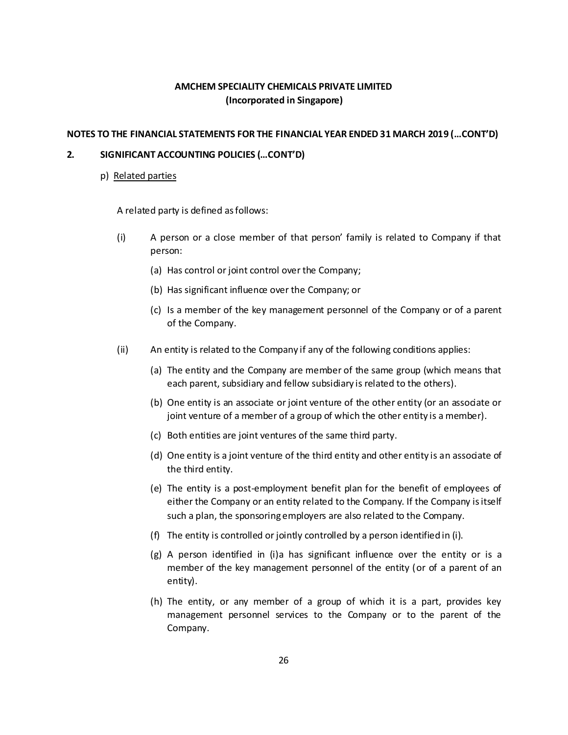## **NOTES TO THE FINANCIAL STATEMENTS FOR THE FINANCIAL YEAR ENDED 31 MARCH 2019 (…CONT'D)**

#### **2. SIGNIFICANT ACCOUNTING POLICIES (…CONT'D)**

p) Related parties

A related party is defined as follows:

- (i) A person or a close member of that person' family is related to Company if that person:
	- (a) Has control or joint control over the Company;
	- (b) Has significant influence over the Company; or
	- (c) Is a member of the key management personnel of the Company or of a parent of the Company.
- (ii) An entity is related to the Company if any of the following conditions applies:
	- (a) The entity and the Company are member of the same group (which means that each parent, subsidiary and fellow subsidiary is related to the others).
	- (b) One entity is an associate or joint venture of the other entity (or an associate or joint venture of a member of a group of which the other entity is a member).
	- (c) Both entities are joint ventures of the same third party.
	- (d) One entity is a joint venture of the third entity and other entity is an associate of the third entity.
	- (e) The entity is a post-employment benefit plan for the benefit of employees of either the Company or an entity related to the Company. If the Company is itself such a plan, the sponsoring employers are also related to the Company.
	- (f) The entity is controlled or jointly controlled by a person identified in (i).
	- (g) A person identified in (i)a has significant influence over the entity or is a member of the key management personnel of the entity (or of a parent of an entity).
	- (h) The entity, or any member of a group of which it is a part, provides key management personnel services to the Company or to the parent of the Company.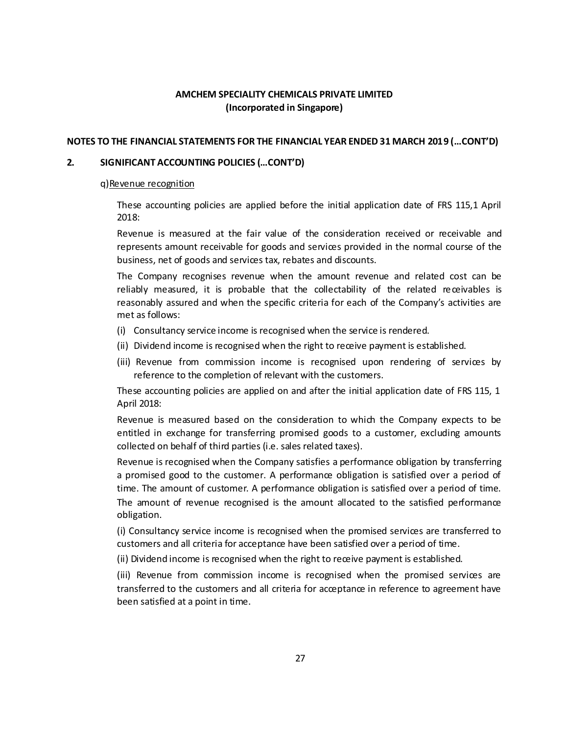## **NOTES TO THE FINANCIAL STATEMENTS FOR THE FINANCIAL YEAR ENDED 31 MARCH 2019 (…CONT'D)**

#### **2. SIGNIFICANT ACCOUNTING POLICIES (…CONT'D)**

#### q)Revenue recognition

These accounting policies are applied before the initial application date of FRS 115,1 April 2018:

Revenue is measured at the fair value of the consideration received or receivable and represents amount receivable for goods and services provided in the normal course of the business, net of goods and services tax, rebates and discounts.

The Company recognises revenue when the amount revenue and related cost can be reliably measured, it is probable that the collectability of the related receivables is reasonably assured and when the specific criteria for each of the Company's activities are met as follows:

- (i) Consultancy service income is recognised when the service is rendered.
- (ii) Dividend income is recognised when the right to receive payment is established.
- (iii) Revenue from commission income is recognised upon rendering of services by reference to the completion of relevant with the customers.

These accounting policies are applied on and after the initial application date of FRS 115, 1 April 2018:

Revenue is measured based on the consideration to which the Company expects to be entitled in exchange for transferring promised goods to a customer, excluding amounts collected on behalf of third parties (i.e. sales related taxes).

Revenue is recognised when the Company satisfies a performance obligation by transferring a promised good to the customer. A performance obligation is satisfied over a period of time. The amount of customer. A performance obligation is satisfied over a period of time. The amount of revenue recognised is the amount allocated to the satisfied performance obligation.

(i) Consultancy service income is recognised when the promised services are transferred to customers and all criteria for acceptance have been satisfied over a period of time.

(ii) Dividend income is recognised when the right to receive payment is established.

(iii) Revenue from commission income is recognised when the promised services are transferred to the customers and all criteria for acceptance in reference to agreement have been satisfied at a point in time.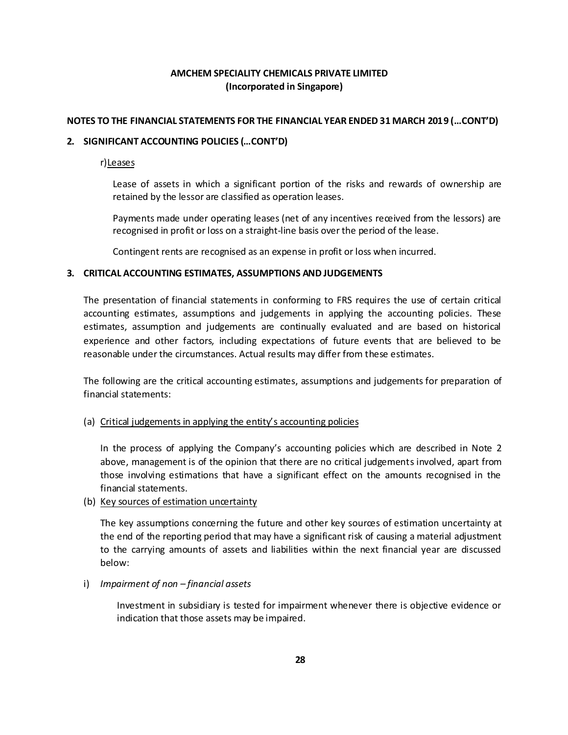## **NOTES TO THE FINANCIAL STATEMENTS FOR THE FINANCIAL YEAR ENDED 31 MARCH 2019 (…CONT'D)**

## **2. SIGNIFICANT ACCOUNTING POLICIES (…CONT'D)**

r)Leases

Lease of assets in which a significant portion of the risks and rewards of ownership are retained by the lessor are classified as operation leases.

Payments made under operating leases (net of any incentives received from the lessors) are recognised in profit or loss on a straight-line basis over the period of the lease.

Contingent rents are recognised as an expense in profit or loss when incurred.

## **3. CRITICAL ACCOUNTING ESTIMATES, ASSUMPTIONS AND JUDGEMENTS**

The presentation of financial statements in conforming to FRS requires the use of certain critical accounting estimates, assumptions and judgements in applying the accounting policies. These estimates, assumption and judgements are continually evaluated and are based on historical experience and other factors, including expectations of future events that are believed to be reasonable under the circumstances. Actual results may differ from these estimates.

The following are the critical accounting estimates, assumptions and judgements for preparation of financial statements:

## (a) Critical judgements in applying the entity's accounting policies

In the process of applying the Company's accounting policies which are described in Note 2 above, management is of the opinion that there are no critical judgements involved, apart from those involving estimations that have a significant effect on the amounts recognised in the financial statements.

(b) Key sources of estimation uncertainty

The key assumptions concerning the future and other key sources of estimation uncertainty at the end of the reporting period that may have a significant risk of causing a material adjustment to the carrying amounts of assets and liabilities within the next financial year are discussed below:

#### i) *Impairment of non – financial assets*

Investment in subsidiary is tested for impairment whenever there is objective evidence or indication that those assets may be impaired.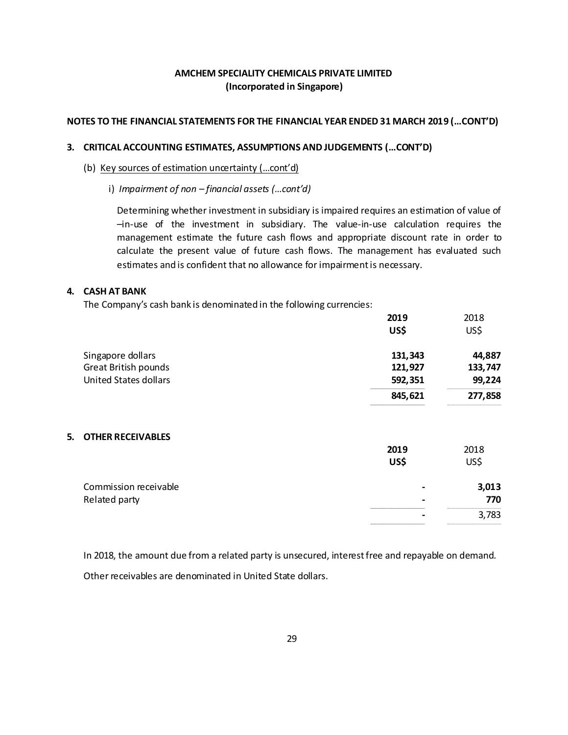## **NOTES TO THE FINANCIAL STATEMENTS FOR THE FINANCIAL YEAR ENDED 31 MARCH 2019 (…CONT'D)**

#### **3. CRITICAL ACCOUNTING ESTIMATES, ASSUMPTIONS AND JUDGEMENTS (…CONT'D)**

## (b) Key sources of estimation uncertainty (…cont'd)

i) *Impairment of non – financial assets (…cont'd)*

Determining whether investment in subsidiary is impaired requires an estimation of value of –in-use of the investment in subsidiary. The value-in-use calculation requires the management estimate the future cash flows and appropriate discount rate in order to calculate the present value of future cash flows. The management has evaluated such estimates and is confident that no allowance for impairment is necessary.

## **4. CASH AT BANK**

The Company's cash bank is denominated in the following currencies:

|                                | 2019    | 2018    |
|--------------------------------|---------|---------|
|                                | US\$    | US\$    |
| Singapore dollars              | 131,343 | 44,887  |
| Great British pounds           | 121,927 | 133,747 |
| <b>United States dollars</b>   | 592,351 | 99,224  |
|                                | 845,621 | 277,858 |
| 5.<br><b>OTHER RECEIVABLES</b> |         |         |
|                                | 2019    | 2018    |
|                                | US\$    | US\$    |
| Commission receivable          |         | 3,013   |
| Related party                  |         | 770     |
|                                |         | 3,783   |

In 2018, the amount due from a related party is unsecured, interest free and repayable on demand.

**\_\_\_\_\_\_\_\_\_\_\_\_\_\_\_\_\_\_\_\_\_\_\_\_\_\_\_\_\_\_\_\_\_\_\_\_\_\_\_** \_\_\_\_\_\_\_\_\_\_\_\_\_\_\_\_\_\_\_\_\_\_\_\_\_\_\_\_\_\_\_\_\_\_\_\_\_\_\_

Other receivables are denominated in United State dollars.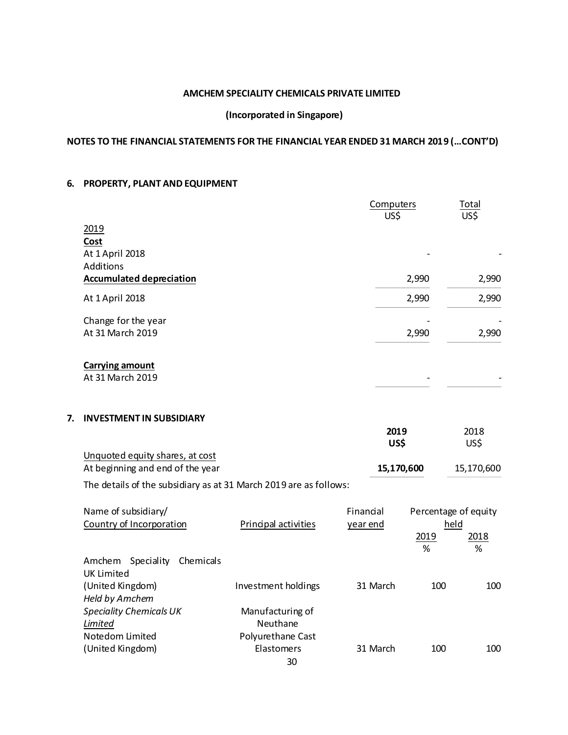# **AMCHEM SPECIALITY CHEMICALS PRIVATE LIMITED**

# **(Incorporated in Singapore)**

# **NOTES TO THE FINANCIAL STATEMENTS FOR THE FINANCIAL YEAR ENDED 31 MARCH 2019 (…CONT'D)**

# **6. PROPERTY, PLANT AND EQUIPMENT**

|    |                                                                   |                      |           | Computers<br>US\$ |      | Total                |
|----|-------------------------------------------------------------------|----------------------|-----------|-------------------|------|----------------------|
|    | 2019                                                              |                      |           |                   |      |                      |
|    | Cost                                                              |                      |           |                   |      |                      |
|    | At 1 April 2018                                                   |                      |           |                   |      |                      |
|    | Additions                                                         |                      |           |                   |      |                      |
|    | <b>Accumulated depreciation</b>                                   |                      |           | 2,990             |      | 2,990                |
|    | At 1 April 2018                                                   |                      |           | 2,990             |      | 2,990                |
|    | Change for the year                                               |                      |           |                   |      |                      |
|    | At 31 March 2019                                                  |                      |           | 2,990             |      | 2,990                |
|    | <b>Carrying amount</b>                                            |                      |           |                   |      |                      |
|    | At 31 March 2019                                                  |                      |           |                   |      |                      |
| 7. | <b>INVESTMENT IN SUBSIDIARY</b>                                   |                      |           |                   |      |                      |
|    |                                                                   |                      |           | 2019<br>US\$      |      | 2018<br>US\$         |
|    | Unquoted equity shares, at cost                                   |                      |           |                   |      |                      |
|    | At beginning and end of the year                                  |                      |           | 15,170,600        |      | 15,170,600           |
|    | The details of the subsidiary as at 31 March 2019 are as follows: |                      |           |                   |      |                      |
|    | Name of subsidiary/                                               |                      | Financial |                   |      | Percentage of equity |
|    | Country of Incorporation                                          | Principal activities | year end  |                   | held |                      |
|    |                                                                   |                      |           | 2019              |      | 2018                 |
|    |                                                                   |                      |           | %                 |      | $\%$                 |
|    | Amchem Speciality Chemicals                                       |                      |           |                   |      |                      |
|    | <b>UK Limited</b>                                                 |                      |           |                   |      |                      |
|    | (United Kingdom)                                                  | Investment holdings  | 31 March  |                   | 100  | 100                  |
|    | Held by Amchem                                                    |                      |           |                   |      |                      |
|    | <b>Speciality Chemicals UK</b>                                    | Manufacturing of     |           |                   |      |                      |
|    | Limited                                                           | Neuthane             |           |                   |      |                      |
|    | Notedom Limited                                                   | Polyurethane Cast    |           |                   |      |                      |
|    | (United Kingdom)                                                  | Elastomers           | 31 March  |                   | 100  | 100                  |
|    |                                                                   | 30                   |           |                   |      |                      |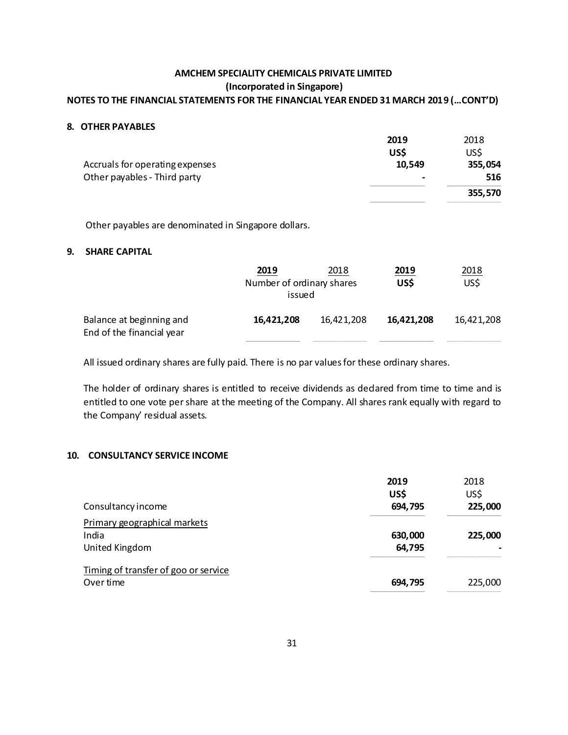## **NOTES TO THE FINANCIAL STATEMENTS FOR THE FINANCIAL YEAR ENDED 31 MARCH 2019 (…CONT'D)**

#### **8. OTHER PAYABLES**

|                                 | 2019                     | 2018    |
|---------------------------------|--------------------------|---------|
|                                 | US\$                     | US\$    |
| Accruals for operating expenses | 10,549                   | 355,054 |
| Other payables - Third party    | $\overline{\phantom{a}}$ | 516     |
|                                 |                          | 355,570 |
|                                 |                          |         |

Other payables are denominated in Singapore dollars.

## **9. SHARE CAPITAL**

|                                                       | 2019<br>Number of ordinary shares<br>issued | 2018       | <u>2019</u><br>US\$ | <u> 2018 </u><br>US\$ |
|-------------------------------------------------------|---------------------------------------------|------------|---------------------|-----------------------|
| Balance at beginning and<br>End of the financial year | 16,421,208                                  | 16,421,208 | 16,421,208          | 16,421,208            |

All issued ordinary shares are fully paid. There is no par values for these ordinary shares.

The holder of ordinary shares is entitled to receive dividends as dedared from time to time and is entitled to one vote per share at the meeting of the Company. All shares rank equally with regard to the Company' residual assets.

## **10. CONSULTANCY SERVICE INCOME**

|                                      | 2019    | 2018    |
|--------------------------------------|---------|---------|
|                                      | US\$    | US\$    |
| Consultancy income                   | 694,795 | 225,000 |
| Primary geographical markets         |         |         |
| India                                | 630,000 | 225,000 |
| United Kingdom                       | 64,795  |         |
| Timing of transfer of goo or service |         |         |
| Over time                            | 694,795 | 225,000 |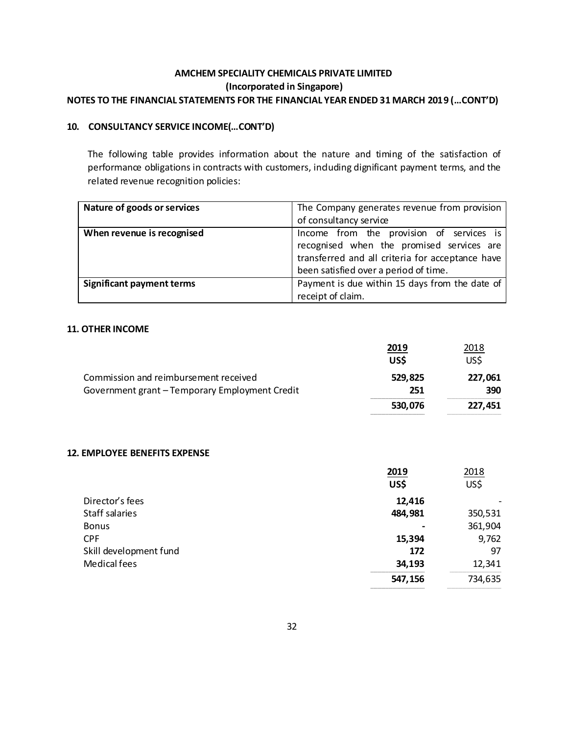# **AMCHEM SPECIALITY CHEMICALS PRIVATE LIMITED (Incorporated in Singapore) NOTES TO THE FINANCIAL STATEMENTS FOR THE FINANCIAL YEAR ENDED 31 MARCH 2019 (…CONT'D)**

## **10. CONSULTANCY SERVICE INCOME(…CONT'D)**

The following table provides information about the nature and timing of the satisfaction of performance obligations in contracts with customers, induding dignificant payment terms, and the related revenue recognition policies:

| Nature of goods or services      | The Company generates revenue from provision     |  |
|----------------------------------|--------------------------------------------------|--|
|                                  | of consultancy service                           |  |
| When revenue is recognised       | Income from the provision of services is         |  |
|                                  | recognised when the promised services are        |  |
|                                  | transferred and all criteria for acceptance have |  |
|                                  | been satisfied over a period of time.            |  |
| <b>Significant payment terms</b> | Payment is due within 15 days from the date of   |  |
|                                  | receipt of claim.                                |  |

## **11. OTHER INCOME**

|                                                | <u>2019</u> | <u> 2018</u> |
|------------------------------------------------|-------------|--------------|
|                                                | US\$        | US\$         |
| Commission and reimbursement received          | 529.825     | 227,061      |
| Government grant - Temporary Employment Credit | 251         | 390          |
|                                                | 530.076     | 227.451      |

#### **12. EMPLOYEE BENEFITS EXPENSE**

|                        | <u>2019</u> | <u>2018</u> |
|------------------------|-------------|-------------|
|                        | US\$        | US\$        |
| Director's fees        | 12,416      |             |
| Staff salaries         | 484,981     | 350,531     |
| <b>Bonus</b>           |             | 361,904     |
| <b>CPF</b>             | 15,394      | 9,762       |
| Skill development fund | 172         | 97          |
| <b>Medical fees</b>    | 34,193      | 12,341      |
|                        | 547,156     | 734,635     |

**\_\_\_\_\_\_\_\_\_\_\_\_\_\_\_\_\_\_\_\_\_\_\_\_\_\_\_\_\_\_\_\_\_\_\_\_\_\_\_** \_\_\_\_\_\_\_\_\_\_\_\_\_\_\_\_\_\_\_\_\_\_\_\_\_\_\_\_\_\_\_\_\_\_\_\_\_\_\_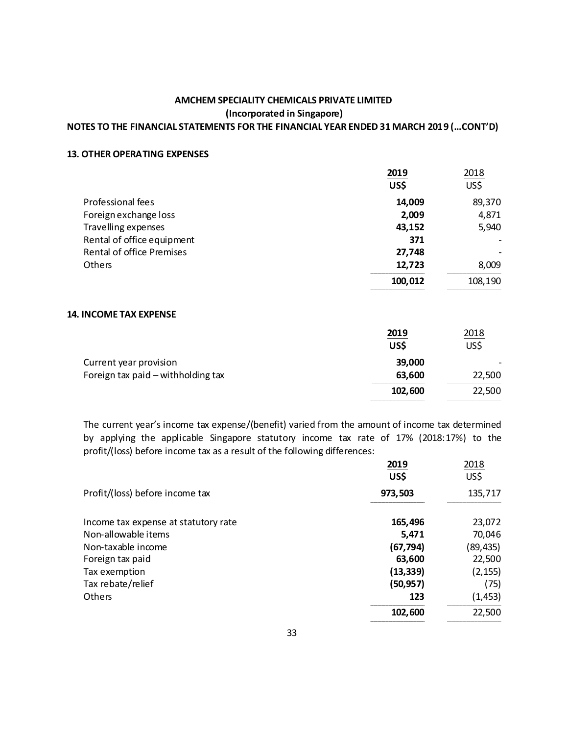# **AMCHEM SPECIALITY CHEMICALS PRIVATE LIMITED (Incorporated in Singapore) NOTES TO THE FINANCIAL STATEMENTS FOR THE FINANCIAL YEAR ENDED 31 MARCH 2019 (…CONT'D)**

## **13. OTHER OPERATING EXPENSES**

|                            | 2019    | 2018    |
|----------------------------|---------|---------|
|                            | US\$    | US\$    |
| Professional fees          | 14,009  | 89,370  |
| Foreign exchange loss      | 2,009   | 4,871   |
| Travelling expenses        | 43,152  | 5,940   |
| Rental of office equipment | 371     |         |
| Rental of office Premises  | 27,748  |         |
| Others                     | 12,723  | 8,009   |
|                            | 100,012 | 108,190 |

**\_\_\_\_\_\_\_\_\_\_\_\_\_\_\_\_\_\_\_\_\_\_\_\_\_\_\_\_\_\_\_\_\_\_\_\_\_\_\_** \_\_\_\_\_\_\_\_\_\_\_\_\_\_\_\_\_\_\_\_\_\_\_\_\_\_\_\_\_\_\_\_\_\_\_\_\_\_\_

**\_\_\_\_\_\_\_\_\_\_\_\_\_\_\_\_\_\_\_\_\_\_\_\_\_\_\_\_\_\_\_\_\_\_\_\_\_\_\_** \_\_\_\_\_\_\_\_\_\_\_\_\_\_\_\_\_\_\_\_\_\_\_\_\_\_\_\_\_\_\_\_\_\_\_\_\_\_\_

#### **14. INCOME TAX EXPENSE**

|                                    | <u>2019</u><br>US\$ | <u>2018</u><br>US\$ |
|------------------------------------|---------------------|---------------------|
| Current year provision             | 39,000              |                     |
| Foreign tax paid - withholding tax | 63,600              | 22,500              |
|                                    | 102,600             | 22,500              |
|                                    |                     |                     |

The current year's income tax expense/(benefit) varied from the amount of income tax determined by applying the applicable Singapore statutory income tax rate of 17% (2018:17%) to the profit/(loss) before income tax as a result of the following differences:

|                                      | 2019<br>US\$ | 2018<br>US\$ |
|--------------------------------------|--------------|--------------|
| Profit/(loss) before income tax      | 973,503      | 135,717      |
| Income tax expense at statutory rate | 165,496      | 23,072       |
| Non-allowable items                  | 5,471        | 70,046       |
| Non-taxable income                   | (67, 794)    | (89,435)     |
| Foreign tax paid                     | 63,600       | 22,500       |
| Tax exemption                        | (13, 339)    | (2, 155)     |
| Tax rebate/relief                    | (50,957)     | (75)         |
| <b>Others</b>                        | 123          | (1, 453)     |
|                                      | 102,600      | 22,500       |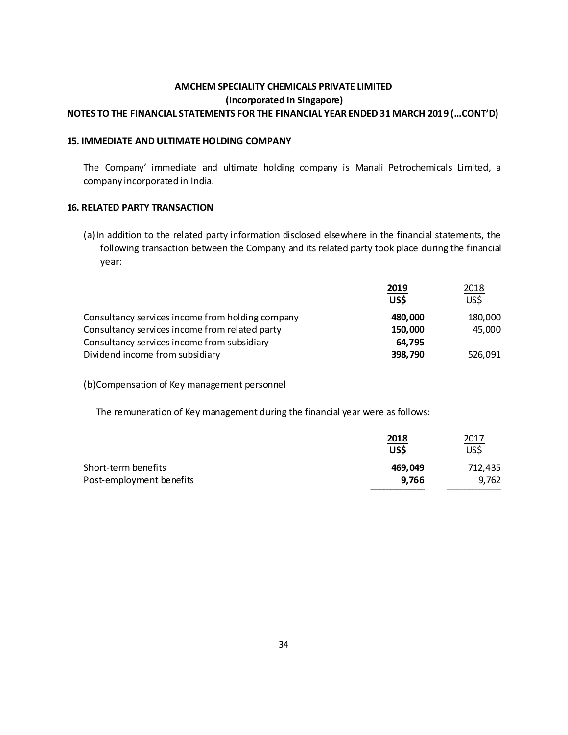## **AMCHEM SPECIALITY CHEMICALS PRIVATE LIMITED (Incorporated in Singapore) NOTES TO THE FINANCIAL STATEMENTS FOR THE FINANCIAL YEAR ENDED 31 MARCH 2019 (…CONT'D)**

## **15. IMMEDIATE AND ULTIMATE HOLDING COMPANY**

The Company' immediate and ultimate holding company is Manali Petrochemicals Limited, a company incorporated in India.

## **16. RELATED PARTY TRANSACTION**

(a)In addition to the related party information disclosed elsewhere in the financial statements, the following transaction between the Company and its related party took place during the financial year:

|                                                  | 2019    | 2018    |
|--------------------------------------------------|---------|---------|
|                                                  | US\$    | US\$    |
| Consultancy services income from holding company | 480.000 | 180,000 |
| Consultancy services income from related party   | 150,000 | 45,000  |
| Consultancy services income from subsidiary      | 64,795  |         |
| Dividend income from subsidiary                  | 398,790 | 526,091 |

## (b)Compensation of Key management personnel

The remuneration of Key management during the financial year were as follows:

|                          | 2018<br>US\$ | <u> 2017</u><br>US\$ |
|--------------------------|--------------|----------------------|
| Short-term benefits      | 469.049      | 712,435              |
| Post-employment benefits | 9.766        | 9,762                |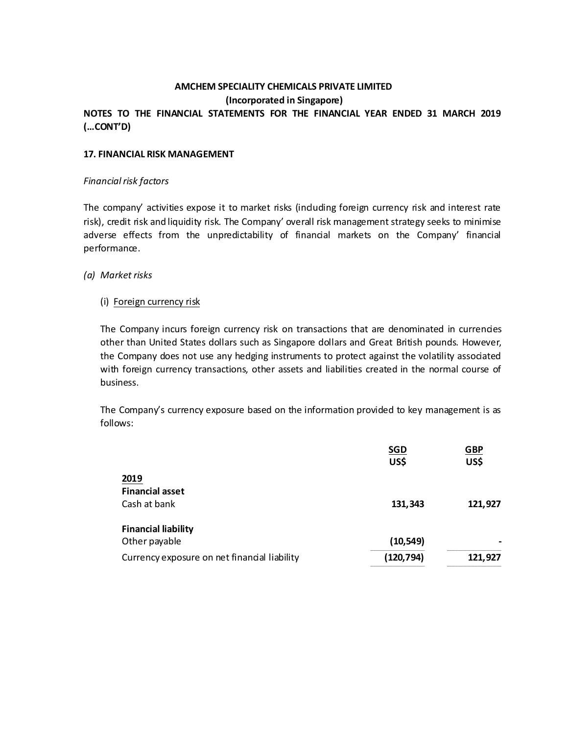## **AMCHEM SPECIALITY CHEMICALS PRIVATE LIMITED (Incorporated in Singapore)**

## **NOTES TO THE FINANCIAL STATEMENTS FOR THE FINANCIAL YEAR ENDED 31 MARCH 2019 (…CONT'D)**

## **17. FINANCIAL RISK MANAGEMENT**

## *Financial risk factors*

The company' activities expose it to market risks (induding foreign currency risk and interest rate risk), credit risk and liquidity risk. The Company' overall risk management strategy seeks to minimise adverse effects from the unpredictability of financial markets on the Company' financial performance.

## *(a) Market risks*

## (i) Foreign currency risk

The Company incurs foreign currency risk on transactions that are denominated in currencies other than United States dollars such as Singapore dollars and Great British pounds. However, the Company does not use any hedging instruments to protect against the volatility associated with foreign currency transactions, other assets and liabilities created in the normal course of business.

The Company's currency exposure based on the information provided to key management is as follows:

|                                              | <b>SGD</b><br>US\$ | GBP<br>US\$ |
|----------------------------------------------|--------------------|-------------|
| 2019                                         |                    |             |
| <b>Financial asset</b>                       |                    |             |
| Cash at bank                                 | 131,343            | 121,927     |
| <b>Financial liability</b>                   |                    |             |
| Other payable                                | (10, 549)          |             |
| Currency exposure on net financial liability | (120, 794)         | 121,927     |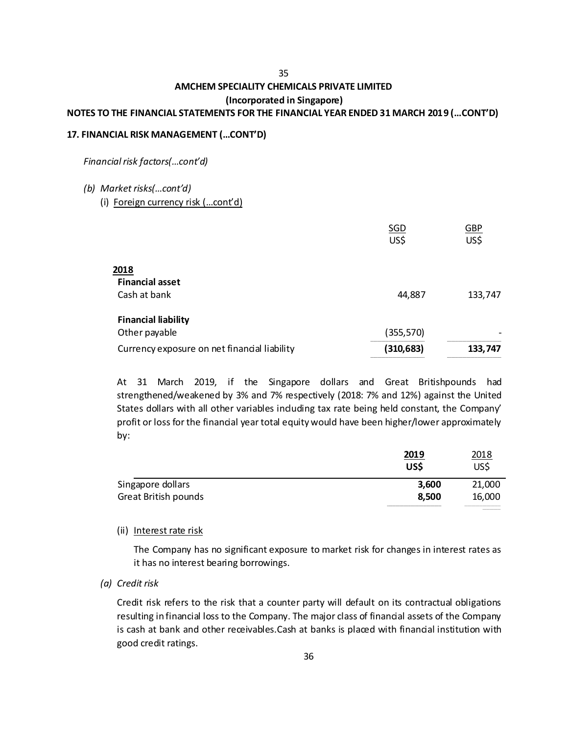## 35 **AMCHEM SPECIALITY CHEMICALS PRIVATE LIMITED**

### **(Incorporated in Singapore)**

## **NOTES TO THE FINANCIAL STATEMENTS FOR THE FINANCIAL YEAR ENDED 31 MARCH 2019 (…CONT'D)**

## **17. FINANCIAL RISK MANAGEMENT (…CONT'D)**

*Financial risk factors(…cont'd)*

*(b) Market risks(…cont'd)*

(i) Foreign currency risk (…cont'd)

|                                              | SGD<br>US\$ | <b>GBP</b><br>US\$ |
|----------------------------------------------|-------------|--------------------|
| 2018<br><b>Financial asset</b>               |             |                    |
| Cash at bank                                 | 44,887      | 133,747            |
| <b>Financial liability</b><br>Other payable  | (355, 570)  |                    |
| Currency exposure on net financial liability | (310, 683)  | 133,747            |

At 31 March 2019, if the Singapore dollars and Great Britishpounds had strengthened/weakened by 3% and 7% respectively (2018: 7% and 12%) against the United States dollars with all other variables induding tax rate being held constant, the Company' profit or loss for the financial year total equity would have been higher/lower approximately by:

|                      | 2019<br>US\$ | 2018<br>US\$ |
|----------------------|--------------|--------------|
| Singapore dollars    | 3,600        | 21,000       |
| Great British pounds | 8,500        | 16,000       |

(ii) Interest rate risk

The Company has no significant exposure to market risk for changes in interest rates as it has no interest bearing borrowings.

*(a) Credit risk* 

Credit risk refers to the risk that a counter party will default on its contractual obligations resulting in financial loss to the Company. The major class of financial assets of the Company is cash at bank and other receivables.Cash at banks is placed with financial institution with good credit ratings.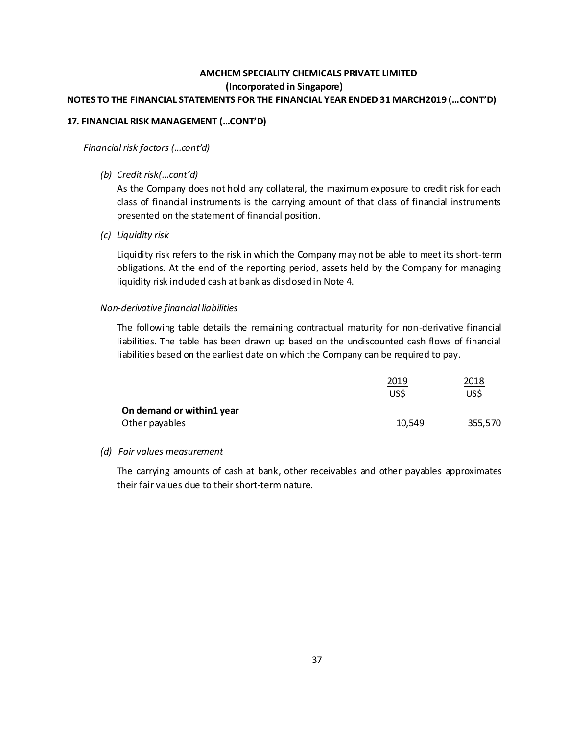## **AMCHEM SPECIALITY CHEMICALS PRIVATE LIMITED (Incorporated in Singapore) NOTES TO THE FINANCIAL STATEMENTS FOR THE FINANCIAL YEAR ENDED 31 MARCH2019 (…CONT'D)**

## **17. FINANCIAL RISK MANAGEMENT (…CONT'D)**

*Financial risk factors (…cont'd)*

## *(b) Credit risk(…cont'd)*

As the Company does not hold any collateral, the maximum exposure to credit risk for each class of financial instruments is the carrying amount of that class of financial instruments presented on the statement of financial position.

*(c) Liquidity risk* 

Liquidity risk refers to the risk in which the Company may not be able to meet its short-term obligations. At the end of the reporting period, assets held by the Company for managing liquidity risk induded cash at bank as disdosed in Note 4.

## *Non-derivative financial liabilities*

The following table details the remaining contractual maturity for non-derivative financial liabilities. The table has been drawn up based on the undiscounted cash flows of financial liabilities based on the earliest date on which the Company can be required to pay.

|                           | 2019   | 2018    |
|---------------------------|--------|---------|
|                           | US\$   | US\$    |
| On demand or within1 year |        |         |
| Other payables            | 10.549 | 355,570 |
|                           |        |         |

## *(d) Fair values measurement*

The carrying amounts of cash at bank, other receivables and other payables approximates their fair values due to their short-term nature.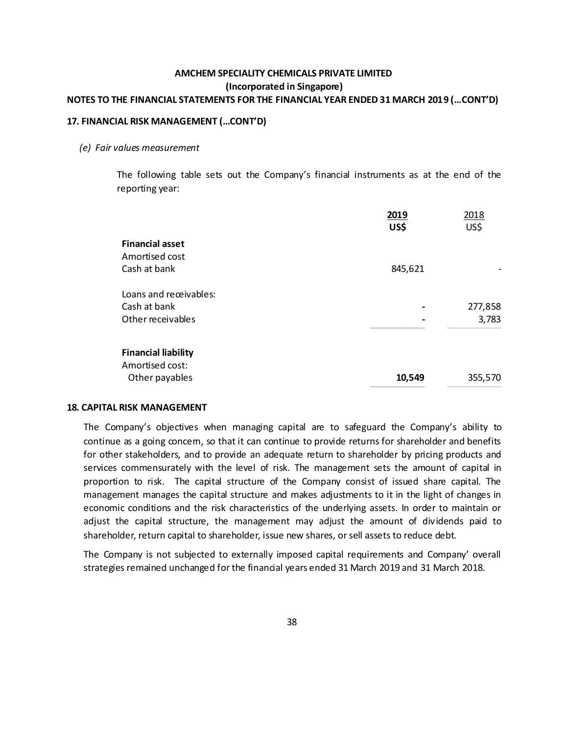## **AMCHEM SPECIALITY CHEMICALS PRIVATE LIMITED (Incorporated in Singapore) NOTES TO THE FINANCIAL STATEMENTS FOR THE FINANCIAL YEAR ENDED 31 MARCH 2019 (…CONT'D)**

## **17. FINANCIAL RISK MANAGEMENT (…CONT'D)**

## *(e) Fair values measurement*

The following table sets out the Company's financial instruments as at the end of the reporting year:

|                                               | 2019<br>US\$ | 2018<br>US\$ |
|-----------------------------------------------|--------------|--------------|
| <b>Financial asset</b>                        |              |              |
| Amortised cost                                |              |              |
| Cash at bank                                  | 845,621      |              |
| Loans and receivables:                        |              |              |
| Cash at bank                                  |              | 277,858      |
| Other receivables                             |              | 3,783        |
| <b>Financial liability</b><br>Amortised cost: |              |              |
| Other payables                                | 10,549       | 355,570      |

## **18. CAPITAL RISK MANAGEMENT**

The Company's objectives when managing capital are to safeguard the Company's ability to continue as a going concem, so that it can continue to provide returns for shareholder and benefits for other stakeholders, and to provide an adequate return to shareholder by pricing products and services commensurately with the level of risk. The management sets the amount of capital in proportion to risk. The capital structure of the Company consist of issued share capital. The management manages the capital structure and makes adjustments to it in the light of changes in economic conditions and the risk characteristics of the underlying assets. In order to maintain or adjust the capital structure, the management may adjust the amount of dividends paid to shareholder, return capital to shareholder, issue new shares, or sell assets to reduce debt.

The Company is not subjected to externally imposed capital requirements and Company' overall strategies remained unchanged for the financial years ended 31 March 2019 and 31 March 2018.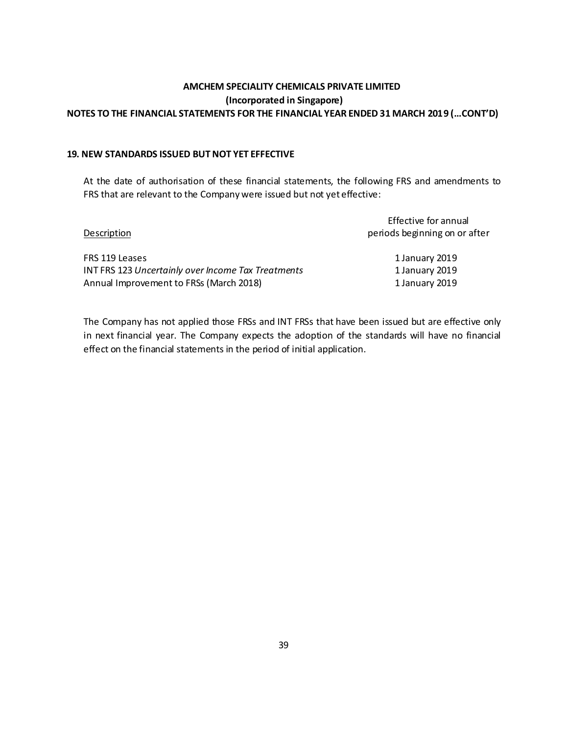## **AMCHEM SPECIALITY CHEMICALS PRIVATE LIMITED (Incorporated in Singapore) NOTES TO THE FINANCIAL STATEMENTS FOR THE FINANCIAL YEAR ENDED 31 MARCH 2019 (…CONT'D)**

## **19. NEW STANDARDS ISSUED BUT NOT YET EFFECTIVE**

At the date of authorisation of these financial statements, the following FRS and amendments to FRS that are relevant to the Company were issued but not yet effective:

| Description                                               | Effective for annual<br>periods beginning on or after |  |  |
|-----------------------------------------------------------|-------------------------------------------------------|--|--|
| FRS 119 Leases                                            | 1 January 2019                                        |  |  |
| <b>INT FRS 123 Uncertainly over Income Tax Treatments</b> | 1 January 2019                                        |  |  |
| Annual Improvement to FRSs (March 2018)                   | 1 January 2019                                        |  |  |

The Company has not applied those FRSs and INT FRSs that have been issued but are effective only in next financial year. The Company expects the adoption of the standards will have no financial effect on the financial statements in the period of initial application.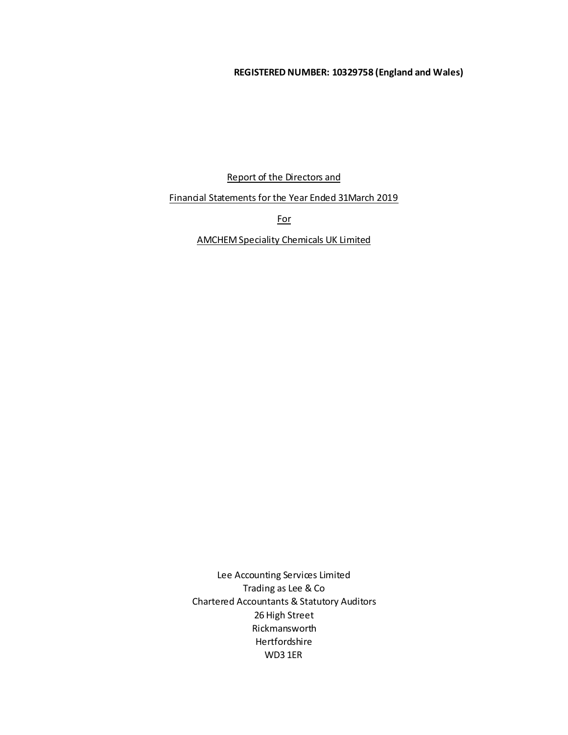## **REGISTERED NUMBER: 10329758 (England and Wales)**

Report of the Directors and

Financial Statements for the Year Ended 31March 2019

For

AMCHEM Speciality Chemicals UK Limited

Lee Accounting Services Limited Trading as Lee & Co Chartered Accountants & Statutory Auditors 26 High Street Rickmansworth Hertfordshire WD3 1ER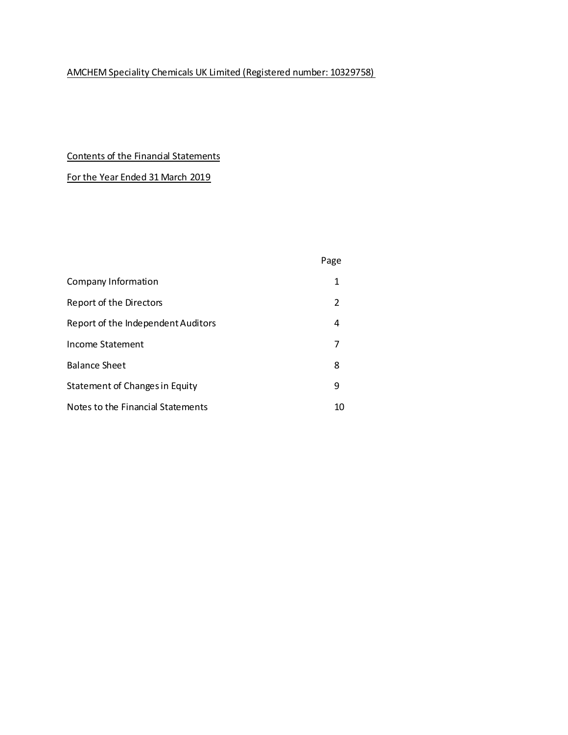## Contents of the Financial Statements

## For the Year Ended 31 March 2019

|                                    | Page |
|------------------------------------|------|
| Company Information                | 1    |
| Report of the Directors            | 2    |
| Report of the Independent Auditors | 4    |
| Income Statement                   | 7    |
| <b>Balance Sheet</b>               | 8    |
| Statement of Changes in Equity     | 9    |
| Notes to the Financial Statements  | 10   |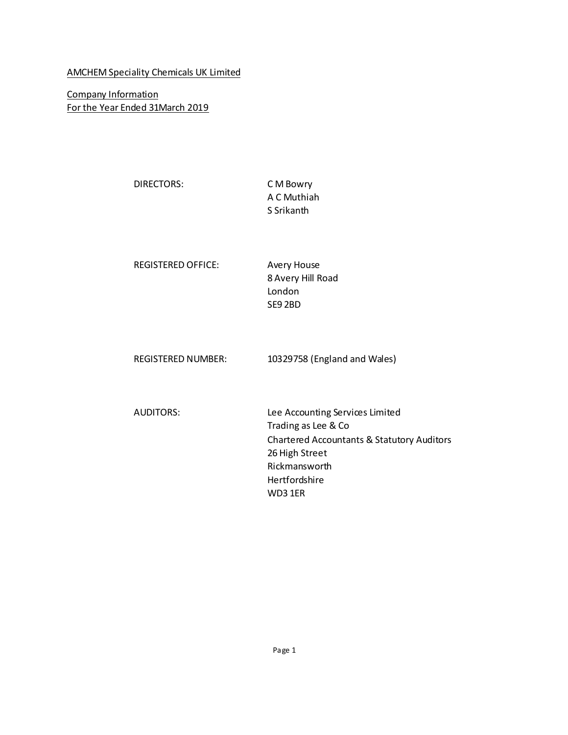AMCHEM Speciality Chemicals UK Limited

Company Information For the Year Ended 31March 2019

| DIRECTORS: | C M Bowry   |
|------------|-------------|
|            | A C Muthiah |
|            | S Srikanth  |

REGISTERED OFFICE: Avery House

 8 Avery Hill Road London SE9 2BD

REGISTERED NUMBER: 10329758 (England and Wales)

AUDITORS: Lee Accounting Services Limited Trading as Lee & Co Chartered Accountants & Statutory Auditors 26 High Street Rickmansworth Hertfordshire WD3 1ER

Page 1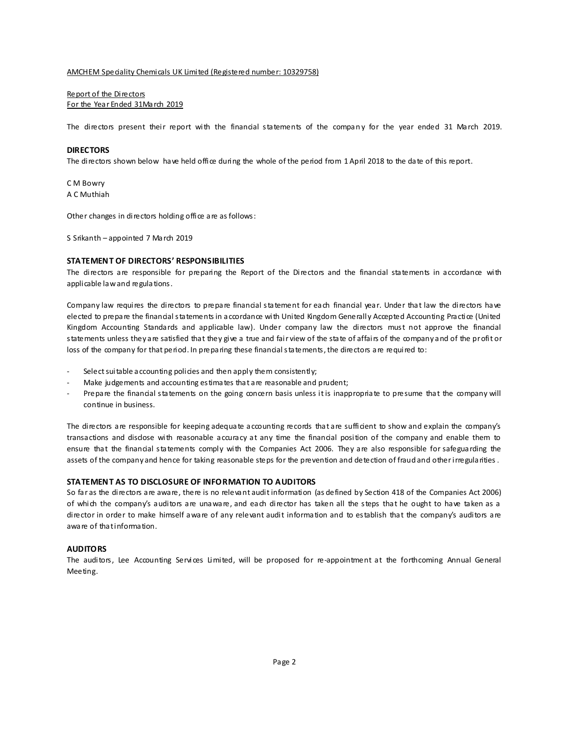Report of the Directors For the Year Ended 31March 2019

The directors present their report with the financial statements of the company for the year ended 31 March 2019.

#### **DIRECTORS**

The directors shown below have held office during the whole of the period from 1 April 2018 to the date of this report.

C M Bowry A C Muthiah

Other changes in directors holding office are as follows:

S Srikanth – appointed 7 March 2019

#### **STATEMENT OF DIRECTORS' RESPONSIBILITIES**

The directors are responsible for preparing the Report of the Directors and the financial statements in accordance with applicable law and regula tions.

Company law requires the directors to prepare financial statement for each financial year. Under that law the directors have elected to prepare the financial statements in accordance with United Kingdom Generally Accepted Accounting Practice (United Kingdom Accounting Standards and applicable law). Under company law the directors must not approve the financial statements unless they are satisfied that they give a true and fair view of the state of affairs of the company and of the profit or loss of the company for that period. In preparing these financial statements, the directors are required to:

- Select suitable accounting policies and then apply them consistently;
- Make judgements and accounting estimates that are reasonable and prudent;
- Prepare the financial statements on the going concern basis unless it is inappropriate to presume that the company will continue in business.

The directors are responsible for keeping adequate accounting records that are sufficient to show and explain the company's transactions and disclose with reasonable accuracy at any time the financial position of the company and enable them to ensure that the financial statements comply with the Companies Act 2006. They are also responsible for safeguarding the assets of the company and hence for taking reasonable steps for the prevention and detection of fraud and other irregularities.

#### **STATEMENT AS TO DISCLOSURE OF INFORMATION TO AUDITORS**

So far as the directors are aware, there is no relevant audit information (as defined by Section 418 of the Companies Act 2006) of which the company's auditors are unaware, and each director has taken all the steps that he ought to have taken as a director in order to make himself aware of any relevant audit information and to establish that the company's auditors are aware of that information.

#### **AUDITORS**

The auditors, Lee Accounting Services Limited, will be proposed for re-appointment at the forthcoming Annual General Meeting.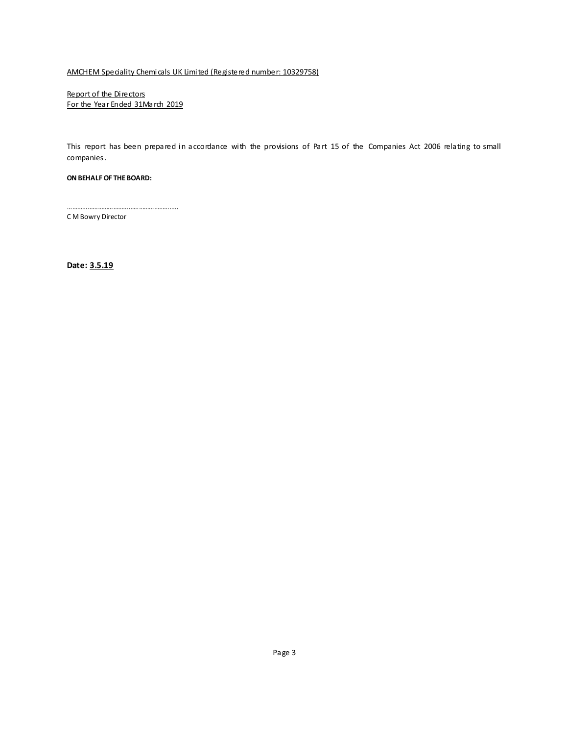### Report of the Directors For the Year Ended 31March 2019

This report has been prepared in accordance with the provisions of Part 15 of the Companies Act 2006 relating to small companies.

### **ON BEHALF OF THE BOARD:**

………………………………………………………..

C M Bowry Director

**Date: 3.5.19**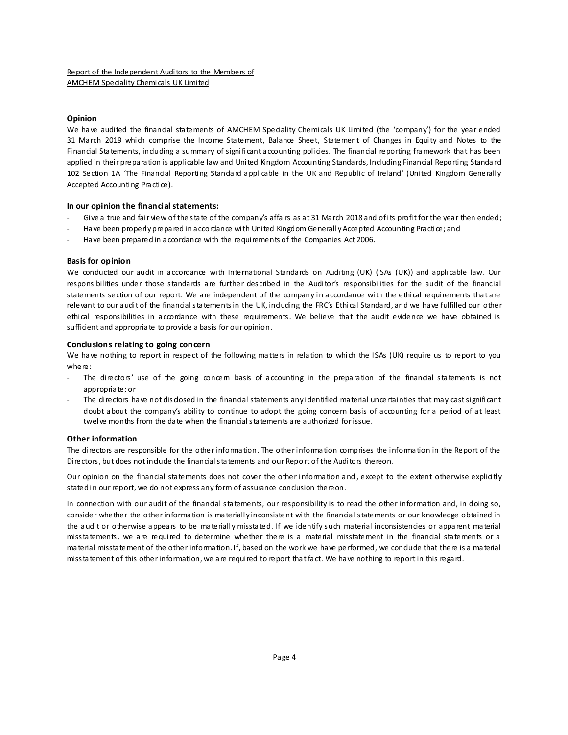## Report of the Independent Auditors to the Members of AMCHEM Speciality Chemicals UK Limited

### **Opinion**

We have audited the financial statements of AMCHEM Speciality Chemicals UK Limited (the 'company') for the year ended 31 March 2019 which comprise the Income Statement, Balance Sheet, Statement of Changes in Equity and Notes to the Financial Statements, induding a summary of significant accounting policies. The financial reporting framework that has been applied in their preparation is applicable law and United Kingdom Accounting Standards, Induding Financial Reporting Standard 102 Section 1A 'The Financial Reporting Standard applicable in the UK and Republic of Ireland' (United Kingdom Generally Accepted Accounting Practice).

### **In our opinion the financial statements:**

- Give a true and fair view of the state of the company's affairs as at 31 March 2018 and of its profit for the year then ended;
- Have been properly prepared in accordance with United Kingdom Generally Accepted Accounting Practice; and
- Have been prepared in accordance with the requirements of the Companies Act 2006.

### **Basis for opinion**

We conducted our audit in accordance with International Standards on Auditing (UK) (ISAs (UK)) and applicable law. Our responsibilities under those standards are further described in the Auditor's responsibilities for the audit of the financial statements section of our report. We are independent of the company in accordance with the ethical requirements that are relevant to our audit of the financial statements in the UK, including the FRC's Ethical Standard, and we have fulfilled our other ethical responsibilities in accordance with these requirements. We believe that the audit evidence we have obtained is sufficient and appropriate to provide a basis for our opinion.

### **Conclusions relating to going concern**

We have nothing to report in respect of the following matters in relation to which the ISAs (UK) require us to report to you where:

- The directors' use of the going concern basis of accounting in the preparation of the financial statements is not appropriate; or
- The directors have not disdosed in the financial statements any identified material uncertainties that may cast significant doubt about the company's ability to continue to adopt the going concern basis of accounting for a period of at least twelve months from the date when the financial statements are authorized for issue.

## **Other information**

The directors are responsible for the other information. The other information comprises the information in the Report of the Directors, but does not include the financial statements and our Report of the Auditors thereon.

Our opinion on the financial statements does not cover the other information and , except to the extent otherwise explicitly stated in our report, we do not express any form of assurance condusion thereon.

In connection with our audit of the financial statements, our responsibility is to read the other information and, in doing so, consider whether the other information is materially inconsistent with the financial statements or our knowledge obtained in the audit or otherwise appears to be materially misstated. If we identify such material inconsistencies or apparent material misstatements, we are required to determine whether there is a material misstatement in the financial statements or a material misstatement of the other information. If, based on the work we have performed, we conclude that there is a material misstatement of this other information, we are required to report that fact. We have nothing to report in this regard.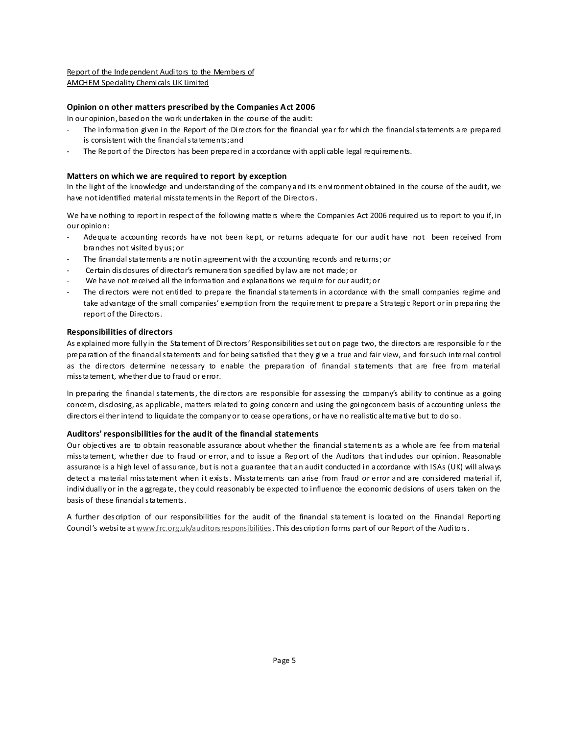Report of the Independent Auditors to the Members of AMCHEM Speciality Chemicals UK Limited

### **Opinion on other matters prescribed by the Companies Act 2006**

In our opinion, based on the work undertaken in the course of the audit:

- The information given in the Report of the Directors for the financial year for which the financial statements are prepared is consistent with the financial statements; and
- The Report of the Directors has been prepared in accordance with applicable legal requirements.

### **Matters on which we are required to report by exception**

In the light of the knowledge and understanding of the company and its environment obtained in the course of the audit, we have not identified material misstatements in the Report of the Directors.

We have nothing to report in respect of the following matters where the Companies Act 2006 required us to report to you if, in our opinion:

- Adequate accounting records have not been kept, or returns adequate for our audit have not been received from branches not visited by us; or
- The financial statements are not in agreement with the accounting records and returns; or
- Certain disdosures of director's remuneration specified by law are not made; or
- We have not received all the information and explanations we require for our audit; or
- The directors were not entitled to prepare the financial statements in accordance with the small companies regime and take advantage of the small companies' exemption from the requirement to prepare a Strategic Report or in preparing the report of the Directors.

### **Responsibilities of directors**

As explained more fully in the Statement of Directors' Responsibilities set out on page two, the directors are responsible fo r the preparation of the financial statements and for being satisfied that they give a true and fair view, and for such internal control as the directors determine necessary to enable the preparation of financial statements that are free from material misstatement, whether due to fraud or error.

In preparing the financial statements, the directors are responsible for assessing the company's ability to continue as a going concern, disclosing, as applicable, matters related to going concern and using the goingconcern basis of accounting unless the directors either intend to liquidate the company or to cease operations, or have no realistic alternative but to do so.

## **Auditors' responsibilities for the audit of the financial statements**

Our objectives are to obtain reasonable assurance about whether the financial statements as a whole are fee from material misstatement, whether due to fraud or error, and to issue a Rep ort of the Auditors that includes our opinion. Reasonable assurance is a high level of assurance, but is not a guarantee that an audit conducted in accordance with ISAs (UK) will always detect a material misstatement when it exists. Misstatements can arise from fraud or error and are considered material if, individually or in the aggregate, they could reasonably be expected to influence the economic decisions of users taken on the basis of these financial statements.

A further description of our responsibilities for the audit of the financial statement is located on the Financial Reporting Council's website at www.frc.org.uk/auditors responsibilities. This description forms part of our Report of the Auditors.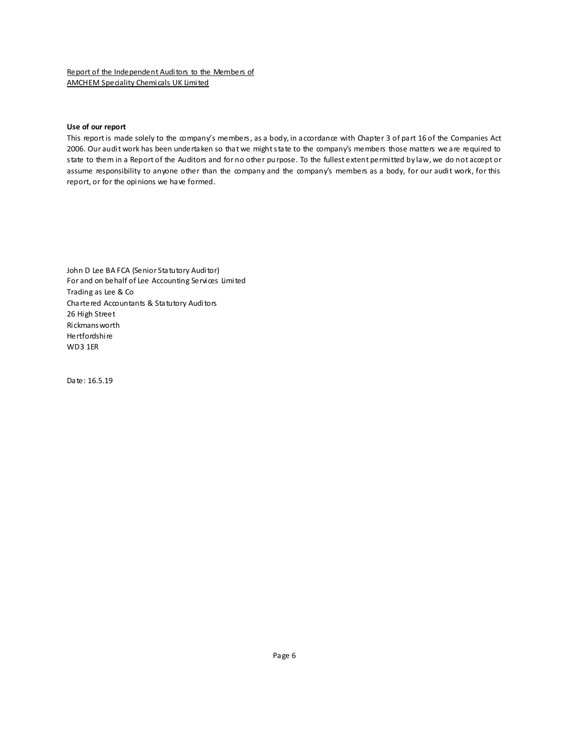## Report of the Independent Auditors to the Members of AMCHEM Speciality Chemicals UK Limited

### **Use of our report**

This report is made solely to the company's members, as a body, in accordance with Chapter 3 of part 16 of the Companies Act 2006. Our audit work has been undertaken so that we might state to the company's members those matters we are required to state to them in a Report of the Auditors and for no other pu rpose. To the fullest extent permitted by law, we do not accept or assume responsibility to anyone other than the company and the company's members as a body, for our audit work, for this report, or for the opinions we have formed.

John D Lee BA FCA (Senior Statutory Auditor) For and on behalf of Lee Accounting Services Limited Trading as Lee & Co Chartered Accountants & Statutory Auditors 26 High Street Rickmansworth Hertfordshire WD3 1ER

Date: 16.5.19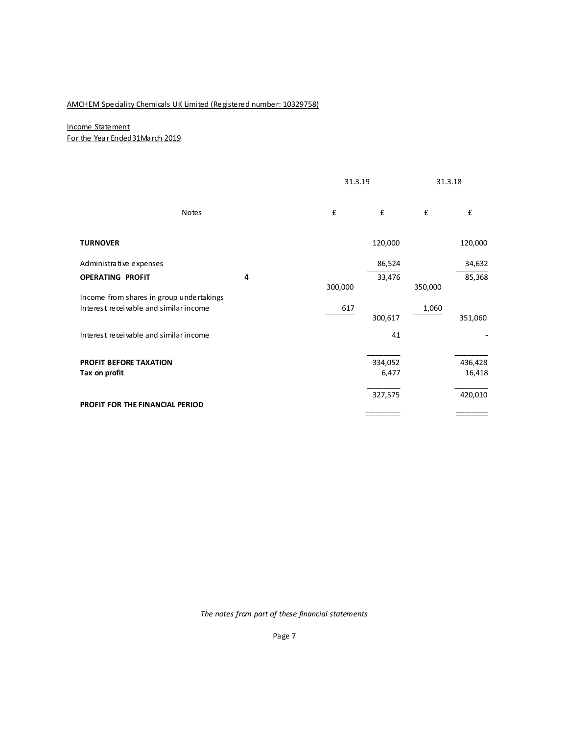# Income Statement

For the Year Ended31March 2019

|                                          |   | 31.3.19 |         | 31.3.18 |         |
|------------------------------------------|---|---------|---------|---------|---------|
| <b>Notes</b>                             |   | £       | £       | £       | £       |
| <b>TURNOVER</b>                          |   |         | 120,000 |         | 120,000 |
| Administrative expenses                  |   |         | 86,524  |         | 34,632  |
| <b>OPERATING PROFIT</b>                  | 4 | 300,000 | 33,476  | 350,000 | 85,368  |
| Income from shares in group undertakings |   |         |         |         |         |
| Interest receivable and similar income   |   | 617     | 300,617 | 1,060   | 351,060 |
| Interest receivable and similar income   |   |         | 41      |         |         |
| <b>PROFIT BEFORE TAXATION</b>            |   |         | 334,052 |         | 436,428 |
| Tax on profit                            |   |         | 6,477   |         | 16,418  |
| PROFIT FOR THE FINANCIAL PERIOD          |   |         | 327,575 |         | 420,010 |

*The notes from part of these financial statements* 

Page 7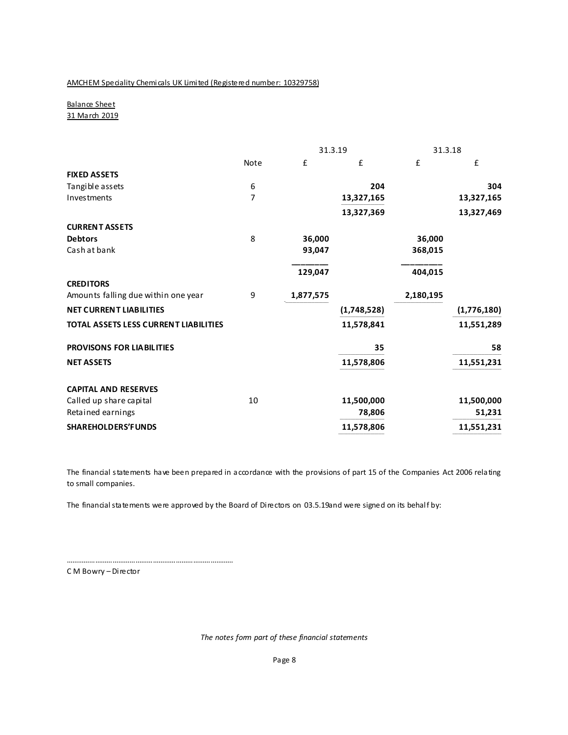## Balance Sheet 31 March 2019

|                                              |                | 31.3.19   |             | 31.3.18   |             |
|----------------------------------------------|----------------|-----------|-------------|-----------|-------------|
|                                              | Note           | £         | £           | £         | £           |
| <b>FIXED ASSETS</b>                          |                |           |             |           |             |
| Tangible assets                              | 6              |           | 204         |           | 304         |
| Investments                                  | $\overline{7}$ |           | 13,327,165  |           | 13,327,165  |
|                                              |                |           | 13,327,369  |           | 13,327,469  |
| <b>CURRENT ASSETS</b>                        |                |           |             |           |             |
| <b>Debtors</b>                               | 8              | 36,000    |             | 36,000    |             |
| Cash at bank                                 |                | 93,047    |             | 368,015   |             |
|                                              |                | 129,047   |             | 404,015   |             |
| <b>CREDITORS</b>                             |                |           |             |           |             |
| Amounts falling due within one year          | 9              | 1,877,575 |             | 2,180,195 |             |
| <b>NET CURRENT LIABILITIES</b>               |                |           | (1,748,528) |           | (1,776,180) |
| <b>TOTAL ASSETS LESS CURRENT LIABILITIES</b> |                |           | 11,578,841  |           | 11,551,289  |
| <b>PROVISONS FOR LIABILITIES</b>             |                |           | 35          |           | 58          |
| <b>NET ASSETS</b>                            |                |           | 11,578,806  |           | 11,551,231  |
| <b>CAPITAL AND RESERVES</b>                  |                |           |             |           |             |
| Called up share capital                      | 10             |           | 11,500,000  |           | 11,500,000  |
| Retained earnings                            |                |           | 78,806      |           | 51,231      |
| <b>SHAREHOLDERS'FUNDS</b>                    |                |           | 11,578,806  |           | 11,551,231  |
|                                              |                |           |             |           |             |

The financial statements have been prepared in accordance with the provisions of part 15 of the Companies Act 2006 relating to small companies.

The financial statements were approved by the Board of Directors on 03.5.19and were signed on its behalf by:

C M Bowry – Director

……………………………………………………………………………

*The notes form part of these financial statements*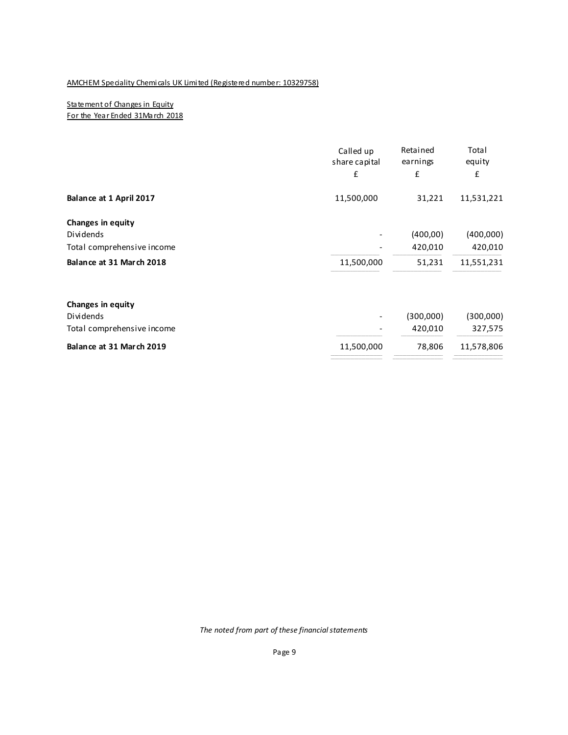## Statement of Changes in Equity For the Year Ended 31March 2018

|                            | Called up<br>share capital<br>£ | Retained<br>earnings<br>£ | Total<br>equity<br>£ |
|----------------------------|---------------------------------|---------------------------|----------------------|
| Balance at 1 April 2017    | 11,500,000                      | 31,221                    | 11,531,221           |
| <b>Changes in equity</b>   |                                 |                           |                      |
| Dividends                  |                                 | (400,00)                  | (400,000)            |
| Total comprehensive income |                                 | 420,010                   | 420,010              |
| Balance at 31 March 2018   | 11,500,000                      | 51,231                    | 11,551,231           |
| <b>Changes in equity</b>   |                                 |                           |                      |
| Dividends                  |                                 | (300,000)                 | (300,000)            |
| Total comprehensive income |                                 | 420,010                   | 327,575              |
| Balance at 31 March 2019   | 11,500,000                      | 78,806                    | 11,578,806           |

*The noted from part of these financial statements*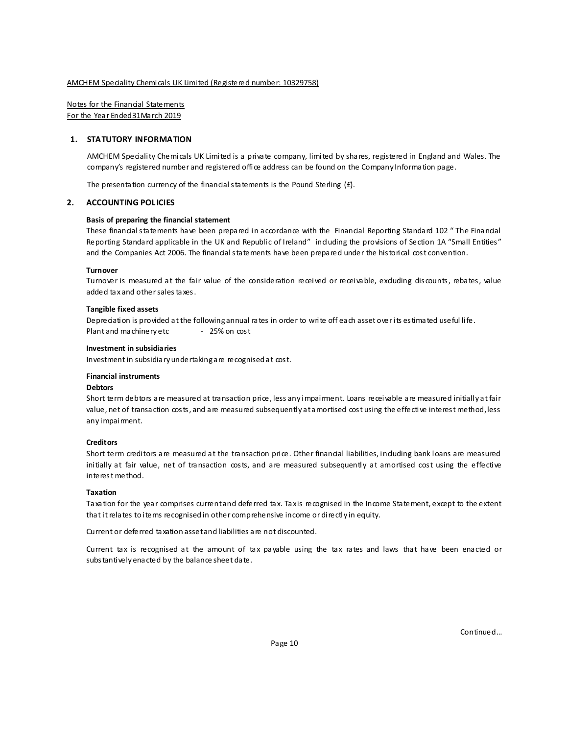Notes for the Financial Statements For the Year Ended31March 2019

### **1. STATUTORY INFORMATION**

AMCHEM Speciality Chemicals UK Limited is a private company, limited by shares, registered in England and Wales. The company's registered number and registered office address can be found on the Company Information page.

The presentation currency of the financial statements is the Pound Sterling  $(f)$ .

### **2. ACCOUNTING POL ICIES**

### **Basis of preparing the financial statement**

These financial statements have been prepared in accordance with the Financial Reporting Standard 102 " The Financial Reporting Standard applicable in the UK and Republic of Ireland" induding the provisions of Section 1A "Small Entities" and the Companies Act 2006. The financial statements have been prepared under the historical cost convention.

#### **Turnover**

Turnover is measured at the fair value of the consideration received or receivable, exduding discounts, rebates, value added tax and other sales taxes.

### **Tangible fixed assets**

Depreciation is provided at the following annual rates in order to write off each asset over its estimated useful life. Plant and machinery etc - 25% on cost

#### **Investment in subsidiaries**

Investment in subsidiary undertaking are recognised at cost.

### **Financial instruments**

## **Debtors**

Short term debtors are measured at transaction price, less any impairment. Loans receivable are measured initially at fair value, net of transaction costs, and are measured subsequently at amortised cost using the effective interest method, less any impaiment.

### **Creditors**

Short term creditors are measured at the transaction price. Other financial liabilities, including bank loans are measured initially at fair value, net of transaction costs, and are measured subsequently at amortised cost using the effective interest method.

### **Taxation**

Taxation for the year comprises current and deferred tax. Taxis recognised in the Income Statement, except to the extent that it relates to items recognised in other comprehensive income or directly in equity.

Current or deferred taxation asset and liabilities are not discounted.

Current tax is recognised at the amount of tax payable using the tax rates and laws that have been enacted or substantively enacted by the balance sheet date.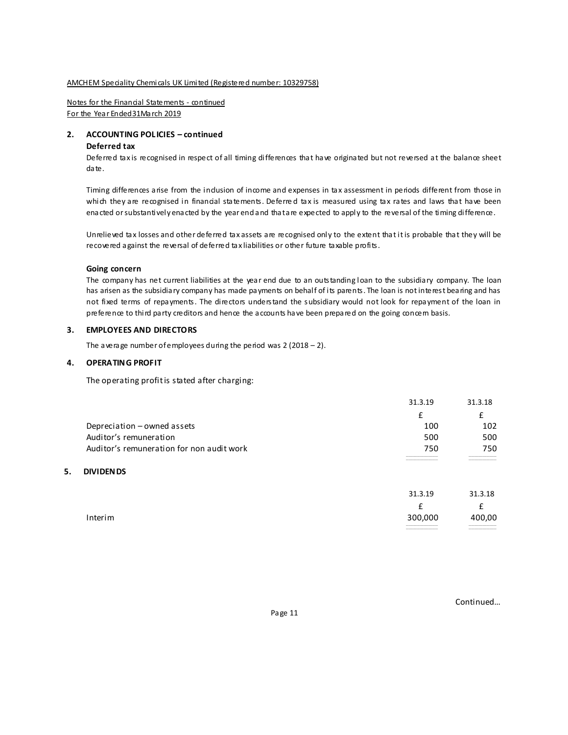Notes for the Financial Statements - continued For the Year Ended31March 2019

## **2. ACCOUNTING POL ICIES – continued**

## **Deferred tax**

Deferred tax is recognised in respect of all timing differences that have originated but not reversed at the balance sheet date.

Timing differences arise from the indusion of income and expenses in tax assessment in periods different from those in which they are recognised in financial statements. Deferred tax is measured using tax rates and laws that have been enacted or substantively enacted by the year end and that are expected to apply to the reversal of the timing difference.

Unrelieved tax losses and other deferred tax assets are recognised only to the extent that it is probable that they will be recovered against the reversal of deferred tax liabilities or other future taxable profits.

### **Going concern**

The company has net current liabilities at the year end due to an outstanding loan to the subsidiary company. The loan has arisen as the subsidiary company has made payments on behalf of its parents. The loan is not interest bearing and has not fixed terms of repayments. The directors understand the subsidiary would not look for repayment of the loan in preference to third party creditors and hence the accounts have been prepared on the going concern basis.

### **3. EMPLOYEES AND DIRECTORS**

The average number of employees during the period was  $2(2018 - 2)$ .

## **4. OPERATING PROFIT**

**5. DIVIDENDS** 

The operating profit is stated after charging:

|                                           | 31.3.19 | 31.3.18 |
|-------------------------------------------|---------|---------|
|                                           | £       | £       |
| Depreciation - owned assets               | 100     | 102     |
| Auditor's remuneration                    | 500     | 500     |
| Auditor's remuneration for non audit work | 750     | 750     |
|                                           |         |         |
| <b>DIVIDENDS</b>                          |         |         |
|                                           | 31.3.19 | 31.3.18 |
|                                           | f       | £       |
| Interim                                   | 300,000 | 400,00  |
|                                           |         |         |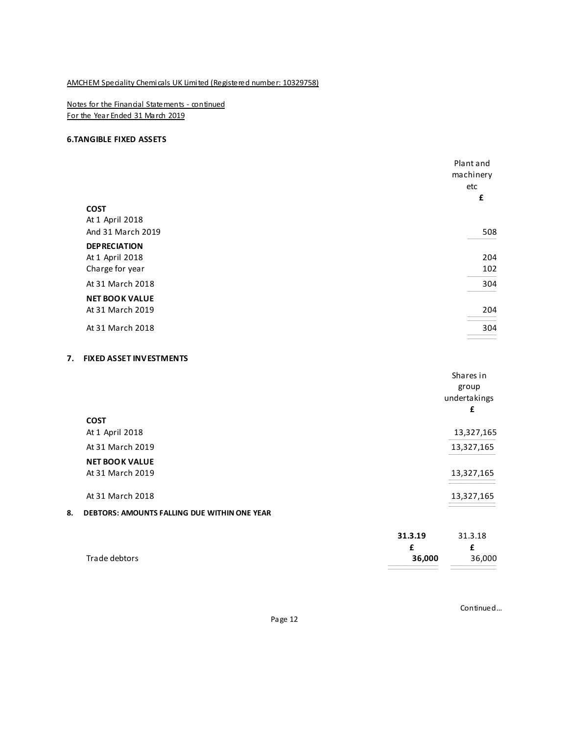Notes for the Financial Statements - continued For the Year Ended 31 March 2019

## **6.TANGIBLE FIXED ASSETS**

|                       | Plant and<br>machinery |
|-----------------------|------------------------|
|                       | etc                    |
|                       | £                      |
| <b>COST</b>           |                        |
| At 1 April 2018       |                        |
| And 31 March 2019     | 508                    |
| <b>DEPRECIATION</b>   |                        |
| At 1 April 2018       | 204                    |
| Charge for year       | 102                    |
| At 31 March 2018      | 304                    |
| <b>NET BOOK VALUE</b> |                        |
| At 31 March 2019      | 204                    |
| At 31 March 2018      | 304                    |

## **7. FIXED ASSET INVESTMENTS**

| 8. | <b>DEBTORS: AMOUNTS FALLING DUE WITHIN ONE YEAR</b> |                                         |
|----|-----------------------------------------------------|-----------------------------------------|
|    | At 31 March 2018                                    | 13,327,165                              |
|    | <b>NET BOOK VALUE</b><br>At 31 March 2019           | 13,327,165                              |
|    | At 31 March 2019                                    | 13,327,165                              |
|    | At 1 April 2018                                     | 13,327,165                              |
|    | <b>COST</b>                                         | Shares in<br>group<br>undertakings<br>£ |

|               | 31.3.19 | 31.3.18 |
|---------------|---------|---------|
|               |         | £       |
| Trade debtors | 36,000  | 36,000  |
|               |         |         |

Continued…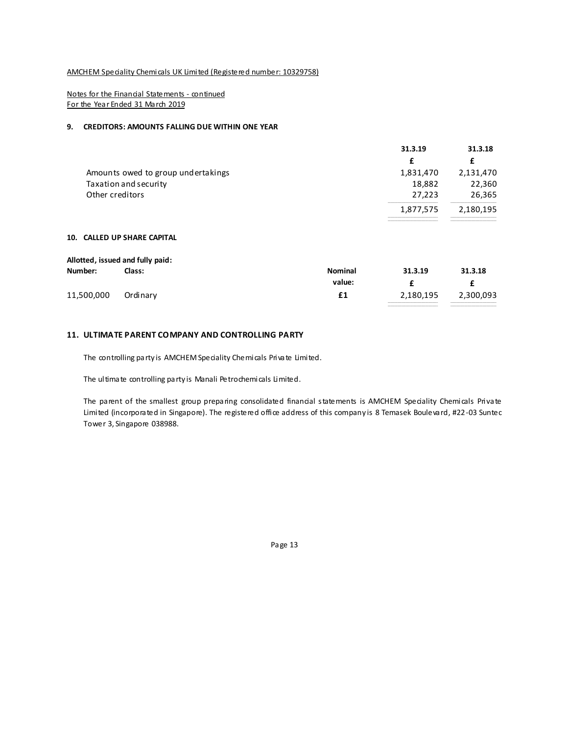Notes for the Financial Statements - continued For the Year Ended 31 March 2019

## **9. CREDITORS: AMOUNTS FALLING DUE WITHIN ONE YEAR**

|                                    | 31.3.19   | 31.3.18   |
|------------------------------------|-----------|-----------|
|                                    |           |           |
| Amounts owed to group undertakings | 1,831,470 | 2,131,470 |
| Taxation and security              | 18,882    | 22,360    |
| Other creditors                    | 27,223    | 26,365    |
|                                    | 1,877,575 | 2,180,195 |
|                                    |           |           |

 $\mathcal{L}_\text{max}$ 

 $\mathcal{L}_\text{max}$ 

#### **10. CALLED UP SHARE CAPITAL**

| Allotted, issued and fully paid: |                |         |           |           |  |  |
|----------------------------------|----------------|---------|-----------|-----------|--|--|
| Number:<br>Class:                | <b>Nominal</b> | 31.3.19 | 31.3.18   |           |  |  |
|                                  |                | value:  |           |           |  |  |
| 11,500,000                       | Ordinary       | £1      | 2.180.195 | 2,300,093 |  |  |

## **11. ULTIMATE PARENT COMPANY AND CONTROLLING PARTY**

The controlling party is AMCHEM Speciality Chemicals Private Limited.

The ultimate controlling party is Manali Petrochemicals Limited.

The parent of the smallest group preparing consolidated financial statements is AMCHEM Speciality Chemicals Private Limited (incorporated in Singapore). The registered office address of this company is 8 Temasek Boulevard, #22-03 Suntec Tower 3, Singapore 038988.

Page 13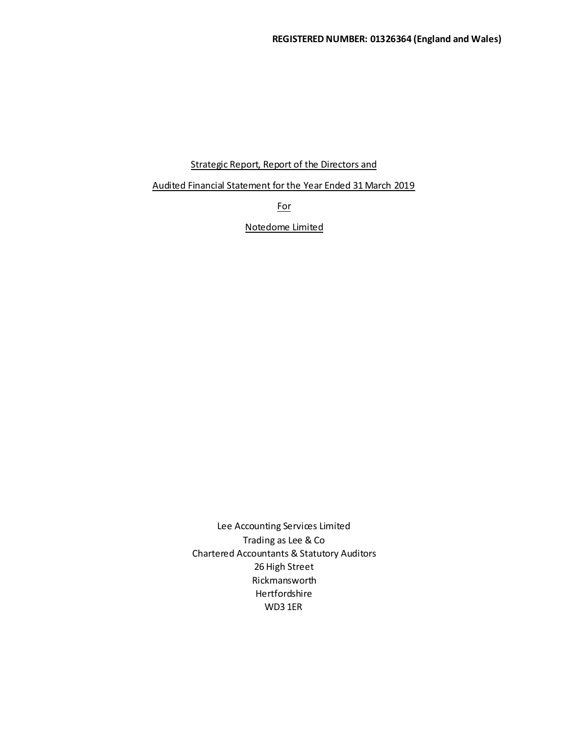## Strategic Report, Report of the Directors and

Audited Financial Statement for the Year Ended 31 March 2019

For

Notedome Limited

Lee Accounting Services Limited Trading as Lee & Co Chartered Accountants & Statutory Auditors 26 High Street Rickmansworth Hertfordshire WD3 1ER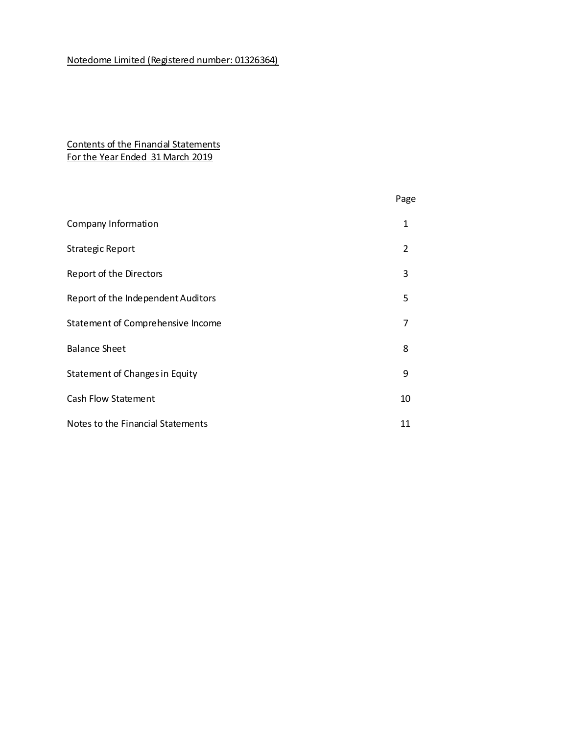## Notedome Limited (Registered number: 01326364)

## Contents of the Financial Statements For the Year Ended 31 March 2019

|                                    | Page         |
|------------------------------------|--------------|
| Company Information                | $\mathbf{1}$ |
| Strategic Report                   | 2            |
| Report of the Directors            | 3            |
| Report of the Independent Auditors | 5            |
| Statement of Comprehensive Income  | 7            |
| <b>Balance Sheet</b>               | 8            |
| Statement of Changes in Equity     | 9            |
| <b>Cash Flow Statement</b>         | 10           |
| Notes to the Financial Statements  | 11           |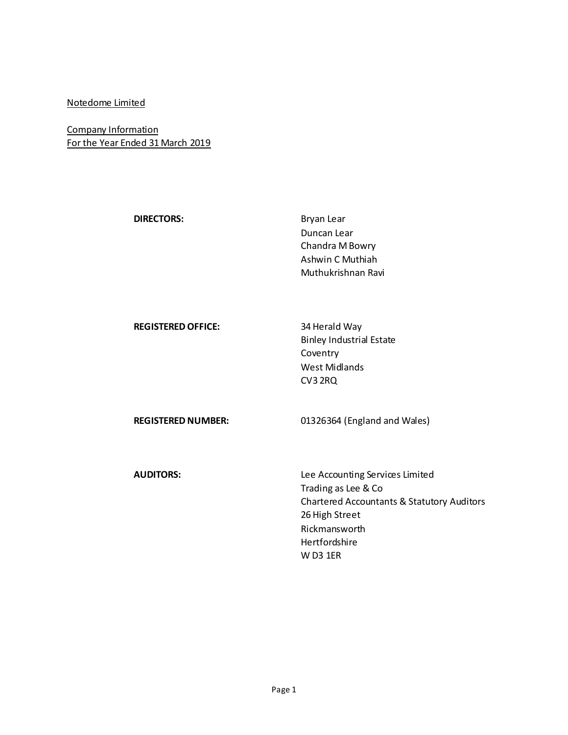## Notedome Limited

## Company Information For the Year Ended 31 March 2019

| <b>DIRECTORS:</b>         | Bryan Lear<br>Duncan Lear<br>Chandra M Bowry<br>Ashwin C Muthiah<br>Muthukrishnan Ravi                                                                              |
|---------------------------|---------------------------------------------------------------------------------------------------------------------------------------------------------------------|
| <b>REGISTERED OFFICE:</b> | 34 Herald Way<br><b>Binley Industrial Estate</b><br>Coventry<br><b>West Midlands</b><br>CV3 2RQ                                                                     |
| <b>REGISTERED NUMBER:</b> | 01326364 (England and Wales)                                                                                                                                        |
| <b>AUDITORS:</b>          | Lee Accounting Services Limited<br>Trading as Lee & Co<br>Chartered Accountants & Statutory Auditors<br>26 High Street<br>Rickmansworth<br>Hertfordshire<br>WD3 1ER |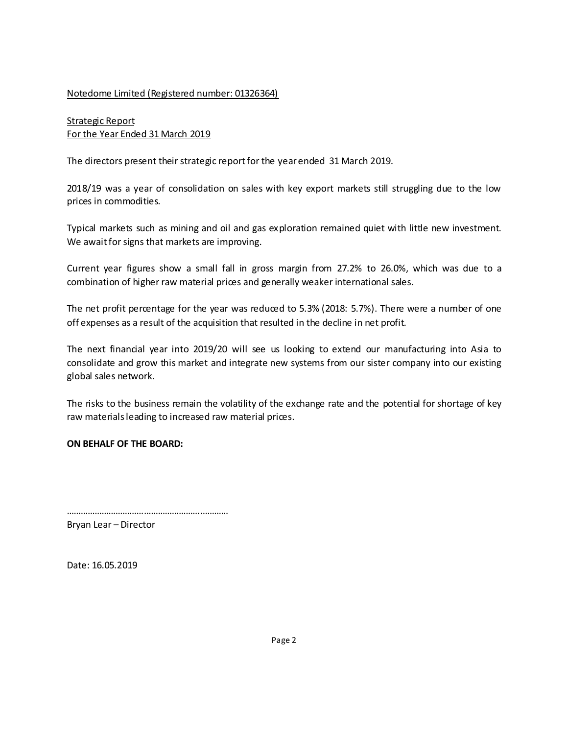## Notedome Limited (Registered number: 01326364)

Strategic Report For the Year Ended 31 March 2019

The directors present their strategic report for the year ended 31 March 2019.

2018/19 was a year of consolidation on sales with key export markets still struggling due to the low prices in commodities.

Typical markets such as mining and oil and gas exploration remained quiet with little new investment. We await for signs that markets are improving.

Current year figures show a small fall in gross margin from 27.2% to 26.0%, which was due to a combination of higher raw material prices and generally weaker international sales.

The net profit percentage for the year was reduced to 5.3% (2018: 5.7%). There were a number of one off expenses as a result of the acquisition that resulted in the decline in net profit.

The next financial year into 2019/20 will see us looking to extend our manufacturing into Asia to consolidate and grow this market and integrate new systems from our sister company into our existing global sales network.

The risks to the business remain the volatility of the exchange rate and the potential for shortage of key raw materials leading to increased raw material prices.

## **ON BEHALF OF THE BOARD:**

……………………………………………………………

Bryan Lear – Director

Date: 16.05.2019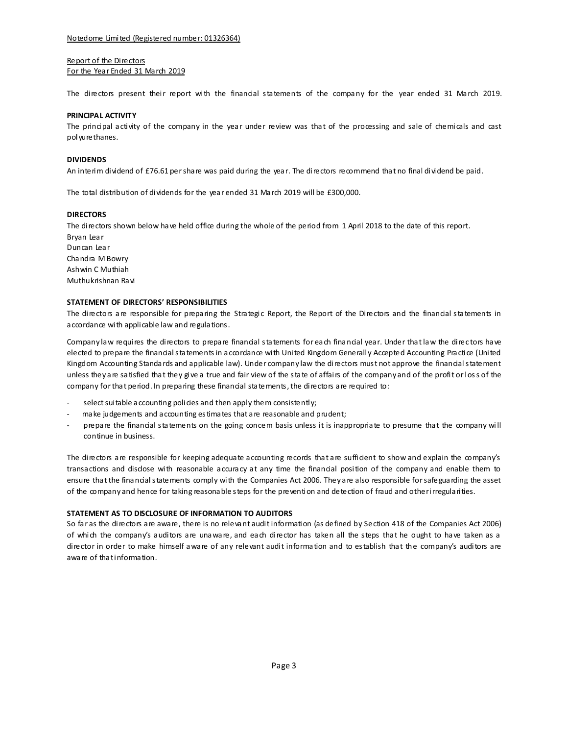Notedome Limited (Registered number: 01326364)

#### Report of the Directors

For the Year Ended 31 March 2019

The directors present their report with the financial statements of the company for the year ended 31 March 2019.

### **PRINCIPAL ACTIVITY**

The principal activity of the company in the year under review was that of the processing and sale of chemicals and cast polyurethanes.

### **DIVIDENDS**

An interim dividend of £76.61 per share was paid during the year. The directors recommend that no final dividend be paid.

The total distribution of dividends for the year ended 31 March 2019 will be £300,000.

### **DIRECTORS**

The directors shown below have held office during the whole of the period from 1 April 2018 to the date of this report. Bryan Lear Duncan Lear Chandra M Bowry Ashwin C Muthiah Muthukrishnan Ravi

### **STATEMENT OF DIRECTORS' RESPONSIBILITIES**

The directors are responsible for preparing the Strategic Report, the Report of the Directors and the financial statements in accordance with applicable law and regulations.

Company law requires the directors to prepare financial statements for each financial year. Under that law the direc tors have elected to prepare the financial statements in accordance with United Kingdom Generally Accepted Accounting Practice (United Kingdom Accounting Standards and applicable law). Under company law the directors must not approve the financial statement unless they are satisfied that they give a true and fair view of the state of affairs of the company and of the profit or los s of the company for that period. In preparing these financial statements, the directors are required to:

- select suitable accounting policies and then apply them consistently;
- make judgements and accounting estimates that are reasonable and prudent;
- prepare the financial statements on the going concern basis unless it is inappropriate to presume that the company will continue in business.

The directors are responsible for keeping adequate accounting records that are sufficient to show and explain the company's transactions and disclose with reasonable accuracy at any time the financial position of the company and enable them to ensure that the financial statements comply with the Companies Act 2006. They are also responsible for safeguarding the asset of the company and hence for taking reasonable steps for the prevention and detection of fraud and other irregularities.

### **STATEMENT AS TO DISCLOSURE OF INFORMATION TO AUDITORS**

So far as the directors are aware, there is no relevant audit information (as defined by Section 418 of the Companies Act 2006) of which the company's auditors are unaware, and each director has taken all the steps that he ought to have taken as a director in order to make himself aware of any relevant audit information and to establish that the company's auditors are aware of that information.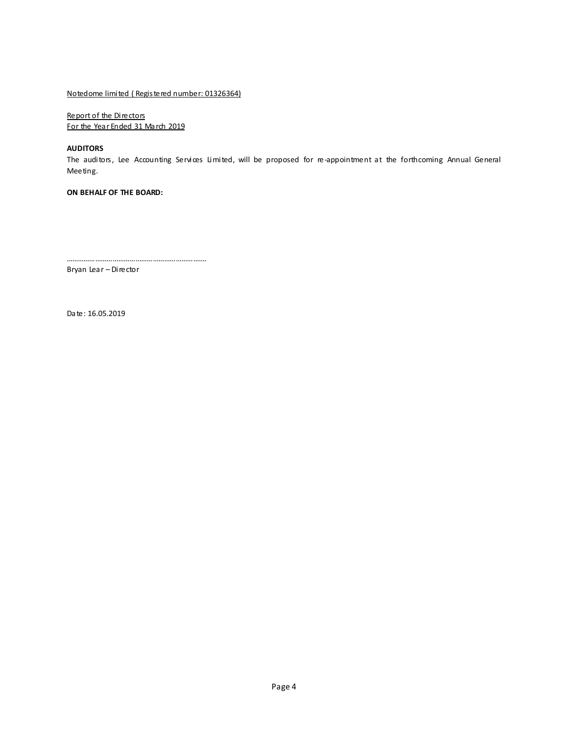## Notedome limited ( Registered number: 01326364)

### Report of the Directors For the Year Ended 31 March 2019

## **AUDITORS**

The auditors, Lee Accounting Services Limited, will be proposed for re-appointment at the forthcoming Annual General Meeting.

## **ON BEHALF OF THE BOARD:**

……………………………………………………………….

Bryan Lear – Director

Date: 16.05.2019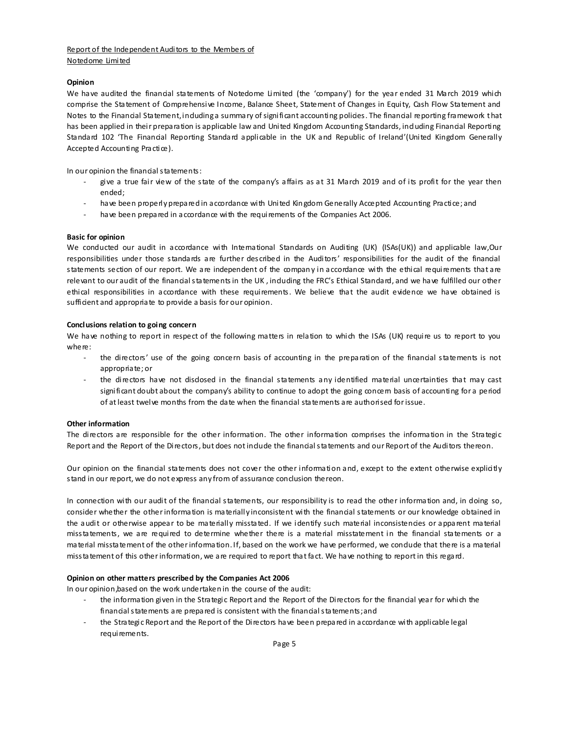## Report of the Independent Auditors to the Members of Notedome Limited

#### **Opinion**

We have audited the financial statements of Notedome Limited (the 'company') for the year ended 31 March 2019 which comprise the Statement of Comprehensive Income, Balance Sheet, Statement of Changes in Equity, Cash Flow Statement and Notes to the Financial Statement, including a summary of significant accounting policies. The financial reporting framework t hat has been applied in their preparation is applicable law and United Kingdom Accounting Standards, induding Financial Reporting Standard 102 'The Financial Reporting Standard applicable in the UK and Republic of Ireland'(United Kingdom Generally Accepted Accounting Practice).

In our opinion the financial statements:

- give a true fair view of the state of the company's affairs as at 31 March 2019 and of its profit for the year then ended;
- have been properly prepared in accordance with United Kingdom Generally Accepted Accounting Practice; and
- have been prepared in accordance with the requirements of the Companies Act 2006.

#### **Basic for opinion**

We conducted our audit in accordance with International Standards on Auditing (UK) (ISAs(UK)) and applicable law,Our responsibilities under those standards are further described in the Auditors' responsibilities for the audit of the financial statements section of our report. We are independent of the company in accordance with the ethical requirements that are relevant to our audit of the financial statements in the UK , including the FRC's Ethical Standard, and we have fulfilled our other ethical responsibilities in accordance with these requirements. We believe that the audit evidence we have obtained is sufficient and appropriate to provide a basis for our opinion.

#### **Conclusions relation to going concern**

We have nothing to report in respect of the following matters in relation to which the ISAs (UK) require us to report to you where:

- the directors' use of the going concern basis of accounting in the preparation of the financial statements is not appropriate; or
- the directors have not disdosed in the financial statements any identified material uncertainties that may cast significant doubt about the company's ability to continue to adopt the going concem basis of accounting for a period of at least twelve months from the date when the financial statements are authorised for issue.

#### **Other information**

The directors are responsible for the other information. The other information comprises the information in the Strategic Report and the Report of the Directors, but does not indude the financial statements and our Report of the Auditors thereon.

Our opinion on the financial statements does not cover the other information and, except to the extent otherwise explicitly stand in our report, we do not express any from of assurance conclusion thereon.

In connection with our audit of the financial statements, our responsibility is to read the other information and, in doing so, consider whether the other information is materially inconsistent with the financial statements or our knowledge obtained in the audit or otherwise appear to be materially misstated. If we identify such material inconsistencies or apparent material misstatements, we are required to determine whether there is a material misstatement in the financial statements or a material misstatement of the other information. If, based on the work we have performed, we condude that there is a material misstatement of this other information, we are required to report that fact. We have nothing to report in this regard.

#### **Opinion on other matters prescribed by the Companies Act 2006**

In our opinion,based on the work undertaken in the course of the audit:

- the information given in the Strategic Report and the Report of the Directors for the financial year for which the financial statements are prepared is consistent with the financial statements; and
- the Strategic Report and the Report of the Directors have been prepared in accordance with applicable legal requirements.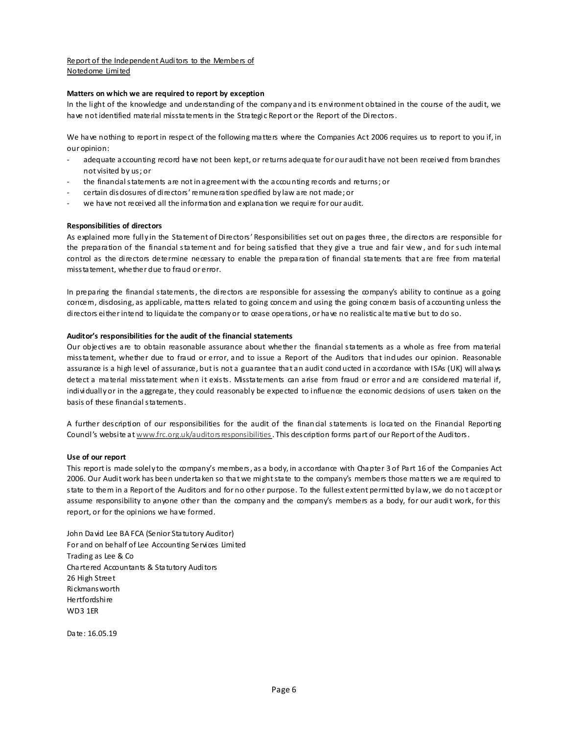## Report of the Independent Auditors to the Members of Notedome Limited

### **Matters on which we are required to report by exception**

In the light of the knowledge and understanding of the company and its environment obtained in the course of the audit, we have not identified material misstatements in the Strategic Report or the Report of the Directors.

We have nothing to report in respect of the following matters where the Companies Act 2006 requires us to report to you if, in our opinion:

- adequate accounting record have not been kept, or returns adequate for our audit have not been received from branches not visited by us; or
- the financial statements are not in agreement with the accounting records and returns; or
- certain disdosures of directors' remuneration specified by law are not made; or
- we have not received all the information and explanation we require for our audit.

#### **Responsibilities of directors**

As explained more fully in the Statement of Directors' Responsibilities set out on pages three , the directors are responsible for the preparation of the financial statement and for being satisfied that they give a true and fair view , and for such internal control as the directors determine necessary to enable the preparation of financial statements that are free from material misstatement, whether due to fraud or error.

In preparing the financial statements, the directors are responsible for assessing the company's ability to continue as a going concern, disclosing, as applicable, matters related to going concern and using the going concern basis of accounting unless the directors either intend to liquidate the company or to cease operations, or have no realistic alte rnative but to do so.

### **Auditor's responsibilities for the audit of the financial statements**

Our objectives are to obtain reasonable assurance about whether the financial statements as a whole as free from material misstatement, whether due to fraud or error, and to issue a Report of the Auditors that includes our opinion. Reasonable assurance is a high level of assurance, but is not a guarantee that an audit cond ucted in accordance with ISAs (UK) will always detect a material misstatement when it exists. Misstatements can arise from fraud or error and are considered material if, individually or in the aggregate, they could reasonably be expected to influence the economic decisions of users taken on the basis of these financial statements.

A further description of our responsibilities for the audit of the finan cial statements is located on the Financial Reporting Council's website at www.frc.org.uk/auditors responsibilities. This description forms part of our Report of the Auditors.

#### **Use of our report**

This report is made solely to the company's members, as a body, in accordance with Chapter 3 of Part 16 of the Companies Act 2006. Our Audit work has been undertaken so that we might state to the company's members those matters we are required to state to them in a Report of the Auditors and for no other purpose. To the fullest extent permitted by law, we do no t accept or assume responsibility to anyone other than the company and the company's members as a body, for our audit work, for this report, or for the opinions we have formed.

John David Lee BA FCA (Senior Statutory Auditor) For and on behalf of Lee Accounting Services Limited Trading as Lee & Co Chartered Accountants & Statutory Auditors 26 High Street Rickmansworth Hertfordshire WD3 1ER

Date: 16.05.19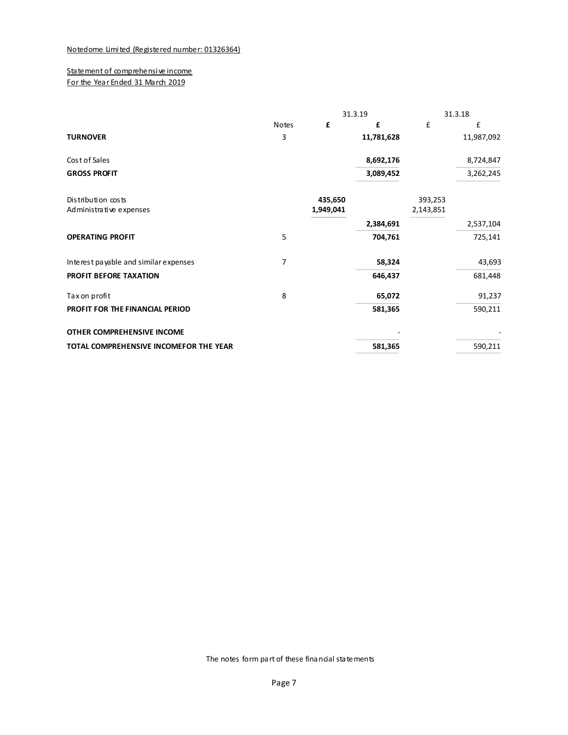## Notedome Limited (Registered number: 01326364)

## Statement of comprehensive income For the Year Ended 31 March 2019

|                                        |              |           | 31.3.19    |           | 31.3.18    |  |
|----------------------------------------|--------------|-----------|------------|-----------|------------|--|
|                                        | <b>Notes</b> | £         | £          | £         | £          |  |
| <b>TURNOVER</b>                        | 3            |           | 11,781,628 |           | 11,987,092 |  |
| Cost of Sales                          |              |           | 8,692,176  |           | 8,724,847  |  |
| <b>GROSS PROFIT</b>                    |              |           | 3,089,452  |           | 3,262,245  |  |
| Distribution costs                     |              | 435,650   |            | 393,253   |            |  |
| Administrative expenses                |              | 1,949,041 |            | 2,143,851 |            |  |
|                                        |              |           | 2,384,691  |           | 2,537,104  |  |
| <b>OPERATING PROFIT</b>                | 5            |           | 704,761    |           | 725,141    |  |
| Interest payable and similar expenses  | 7            |           | 58,324     |           | 43,693     |  |
| PROFIT BEFORE TAXATION                 |              |           | 646,437    |           | 681,448    |  |
| Tax on profit                          | 8            |           | 65,072     |           | 91,237     |  |
| PROFIT FOR THE FINANCIAL PERIOD        |              |           | 581,365    |           | 590,211    |  |
| OTHER COMPREHENSIVE INCOME             |              |           |            |           |            |  |
| TOTAL COMPREHENSIVE INCOMEFOR THE YEAR |              |           | 581,365    |           | 590,211    |  |

The notes form part of these financial statements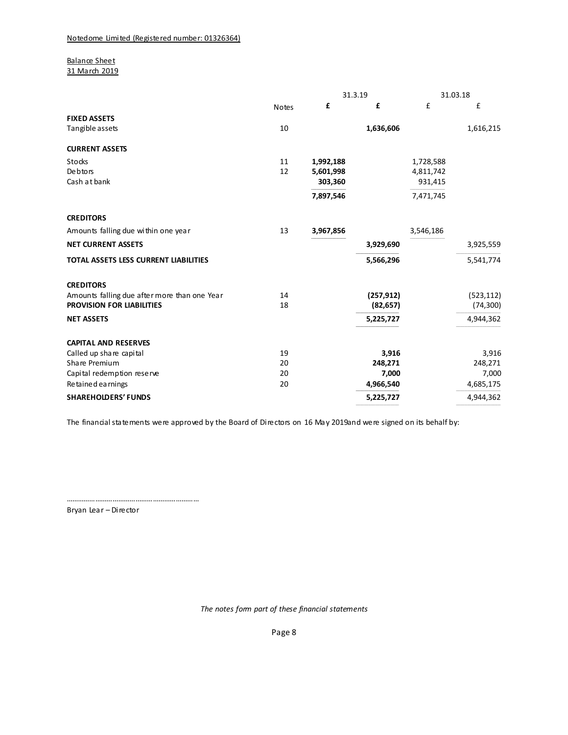## Balance Sheet 31 March 2019

|                                              |              | 31.3.19   |            | 31.03.18  |            |
|----------------------------------------------|--------------|-----------|------------|-----------|------------|
|                                              | <b>Notes</b> | £         | £          | £         | £          |
| <b>FIXED ASSETS</b>                          |              |           |            |           |            |
| Tangible assets                              | 10           |           | 1,636,606  |           | 1,616,215  |
| <b>CURRENT ASSETS</b>                        |              |           |            |           |            |
| Stocks                                       | 11           | 1,992,188 |            | 1,728,588 |            |
| Debtors                                      | 12           | 5,601,998 |            | 4,811,742 |            |
| Cash at bank                                 |              | 303,360   |            | 931,415   |            |
|                                              |              | 7,897,546 |            | 7,471,745 |            |
| <b>CREDITORS</b>                             |              |           |            |           |            |
| Amounts falling due within one year          | 13           | 3,967,856 |            | 3,546,186 |            |
| <b>NET CURRENT ASSETS</b>                    |              |           | 3,929,690  |           | 3,925,559  |
| TOTAL ASSETS LESS CURRENT LIABILITIES        |              |           | 5,566,296  |           | 5,541,774  |
| <b>CREDITORS</b>                             |              |           |            |           |            |
| Amounts falling due after more than one Year | 14           |           | (257, 912) |           | (523, 112) |
| <b>PROVISION FOR LIABILITIES</b>             | 18           |           | (82, 657)  |           | (74, 300)  |
| <b>NET ASSETS</b>                            |              |           | 5,225,727  |           | 4,944,362  |
| <b>CAPITAL AND RESERVES</b>                  |              |           |            |           |            |
| Called up share capital                      | 19           |           | 3,916      |           | 3,916      |
| Share Premium                                | 20           |           | 248,271    |           | 248,271    |
| Capital redemption reserve                   | 20           |           | 7,000      |           | 7,000      |
| Retained earnings                            | 20           |           | 4,966,540  |           | 4,685,175  |
| <b>SHAREHOLDERS' FUNDS</b>                   |              |           | 5,225,727  |           | 4,944,362  |

The financial statements were approved by the Board of Directors on 16 May 2019and were signed on its behalf by:

Bryan Lear – Director

……………………………………………………………

*The notes form part of these financial statements* 

Page 8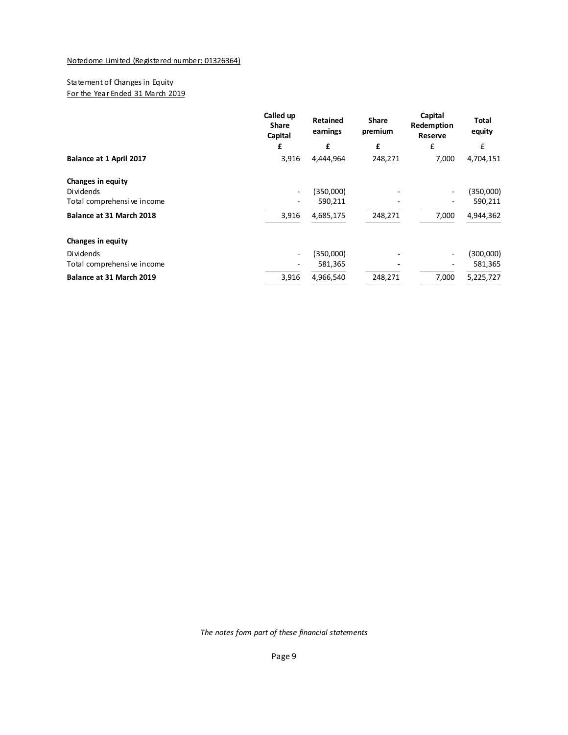## Notedome Limited (Registered number: 01326364)

## Statement of Changes in Equity For the Year Ended 31 March 2019

|                            | Called up<br><b>Share</b><br>Capital | Retained<br>earnings | <b>Share</b><br>premium  | Capital<br>Redemption<br>Reserve | <b>Total</b><br>equity |
|----------------------------|--------------------------------------|----------------------|--------------------------|----------------------------------|------------------------|
|                            | £                                    | £                    | £                        | £                                | £                      |
| Balance at 1 April 2017    | 3,916                                | 4,444,964            | 248,271                  | 7,000                            | 4,704,151              |
| Changes in equity          |                                      |                      |                          |                                  |                        |
| Di vi dends                |                                      | (350,000)            |                          |                                  | (350,000)              |
| Total comprehensive income |                                      | 590,211              |                          | ۰                                | 590,211                |
| Balance at 31 March 2018   | 3,916                                | 4,685,175            | 248,271                  | 7,000                            | 4,944,362              |
| Changes in equity          |                                      |                      |                          |                                  |                        |
| Di vi dends                |                                      | (350,000)            |                          | ٠                                | (300,000)              |
| Total comprehensive income | ۰                                    | 581,365              | $\overline{\phantom{0}}$ | ٠                                | 581,365                |
| Balance at 31 March 2019   | 3,916                                | 4,966,540            | 248,271                  | 7,000                            | 5,225,727              |

*The notes form part of these financial statements*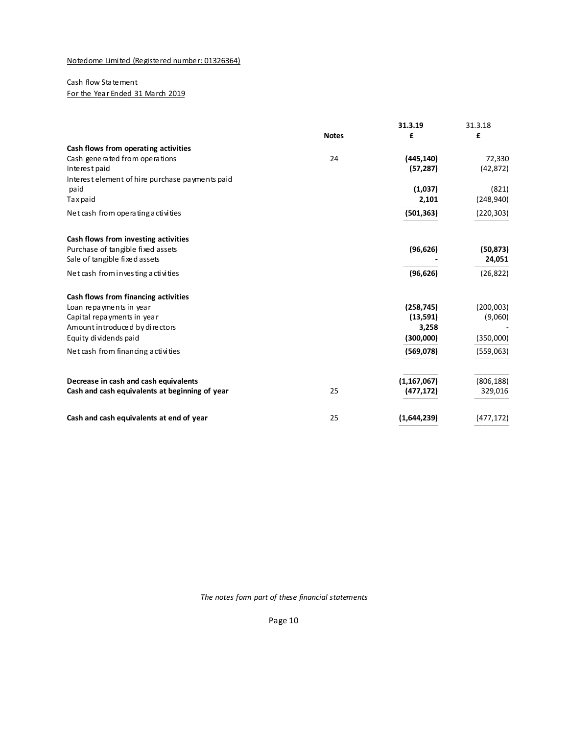## Notedome Limited (Registered number: 01326364)

## Cash flow Statement

## For the Year Ended 31 March 2019

|                                                                    | 31.3.19      |                         | 31.3.18             |
|--------------------------------------------------------------------|--------------|-------------------------|---------------------|
|                                                                    | <b>Notes</b> | £                       | £                   |
| Cash flows from operating activities                               |              |                         |                     |
| Cash generated from operations<br>Interest paid                    | 24           | (445, 140)<br>(57, 287) | 72,330<br>(42, 872) |
| Interest element of hire purchase payments paid<br>paid            |              | (1,037)                 | (821)               |
| Tax paid                                                           |              | 2,101                   | (248, 940)          |
| Net cash from operating activities                                 |              | (501, 363)              | (220, 303)          |
| Cash flows from investing activities                               |              |                         |                     |
| Purchase of tangible fixed assets<br>Sale of tangible fixed assets |              | (96, 626)               | (50, 873)<br>24,051 |
| Net cash from investing activities                                 |              | (96, 626)               | (26, 822)           |
| Cash flows from financing activities                               |              |                         |                     |
| Loan repayments in year                                            |              | (258, 745)              | (200,003)           |
| Capital repayments in year                                         |              | (13,591)                | (9,060)             |
| Amount introduced by directors                                     |              | 3,258                   |                     |
| Equity dividends paid                                              |              | (300,000)               | (350,000)           |
| Net cash from financing activities                                 |              | (569,078)               | (559,063)           |
| Decrease in cash and cash equivalents                              |              | (1, 167, 067)           | (806, 188)          |
| Cash and cash equivalents at beginning of year                     | 25           | (477,172)               | 329,016             |
| Cash and cash equivalents at end of year                           | 25           | (1,644,239)             | (477, 172)          |

*The notes form part of these financial statements* 

Page 10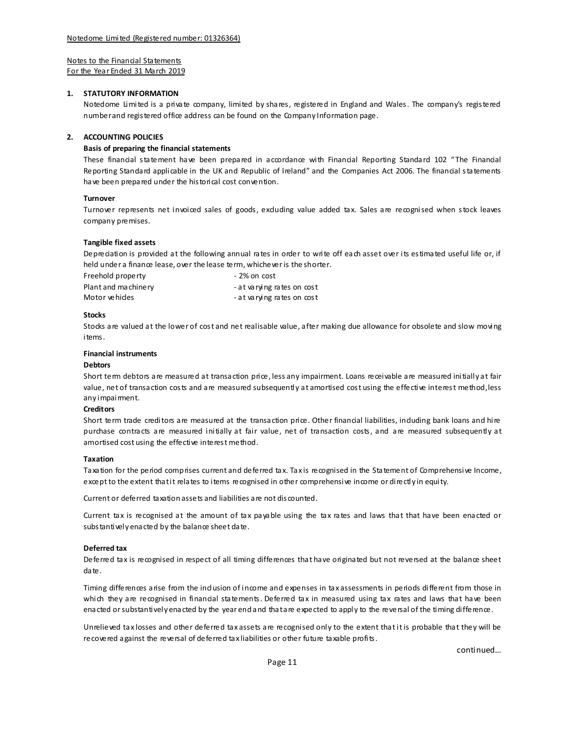## Notes to the Financial Statements For the Year Ended 31 March 2019

### **1. STATUTORY INFORMATION**

Notedome Limited is a private company, limited by shares, registered in England and Wales. The company's registered number and registered office address can be found on the Company Information page.

### **2. ACCOUNTING POLICIES**

#### **Basis of preparing the financial statements**

These financial statement have been prepared in accordance with Financial Reporting Standard 102 "The Financial Reporting Standard applicable in the UK and Republic of Ireland" and the Companies Act 2006. The financial statements have been prepared under the historical cost convention.

#### **Turnover**

Turnover represents net invoiced sales of goods, exduding value added tax. Sales are recognised when stock leaves company premises.

### **Tangible fixed assets**

Depreciation is provided at the following annual rates in order to write off each asset over its estimated useful life or, if held under a finance lease, over the lease term, whichever is the shorter.

| Freehold property   | - 2% on cost               |
|---------------------|----------------------------|
| Plant and machinery | - at varying rates on cost |
| Motor vehides       | - at varying rates on cost |

#### **Stocks**

Stocks are valued at the lower of cost and net realisable value, after making due allowance for obsolete and slow moving items.

#### **Financial instruments**

#### **Debtors**

Short term debtors are measured at transaction price, less any impairment. Loans receivable are measured initially at fair value, net of transaction costs and are measured subsequently at amortised cost using the effective interest method, less any impaiment.

### **Creditors**

Short term trade creditors are measured at the transaction price. Other financial liabilities, including bank loans and hire purchase contracts are measured initially at fair value, net of transaction costs, and are measured subsequently at amortised cost using the effective interest method.

#### **Taxation**

Taxation for the period comprises current and deferred tax. Tax is recognised in the Statement of Comprehensive Income, except to the extent that it relates to items recognised in other comprehensive income or directly in equity.

Current or deferred taxation assets and liabilities are not discounted.

Current tax is recognised at the amount of tax payable using the tax rates and laws that that have been enacted or substantively enacted by the balance sheet date.

#### **Deferred tax**

Deferred tax is recognised in respect of all timing differences that have originated but not reversed at the balance sheet date.

Timing differences arise from the indusion of income and expenses in tax assessments in periods different from those in which they are recognised in financial statements. Deferred tax in measured using tax rates and laws that have been enacted or substantively enacted by the year end and that are expected to apply to the reversal of the timing difference.

Unrelieved tax losses and other deferred tax assets are recognised only to the extent that it is probable that they will be recovered against the reversal of deferred tax liabilities or other future taxable profits.

continued…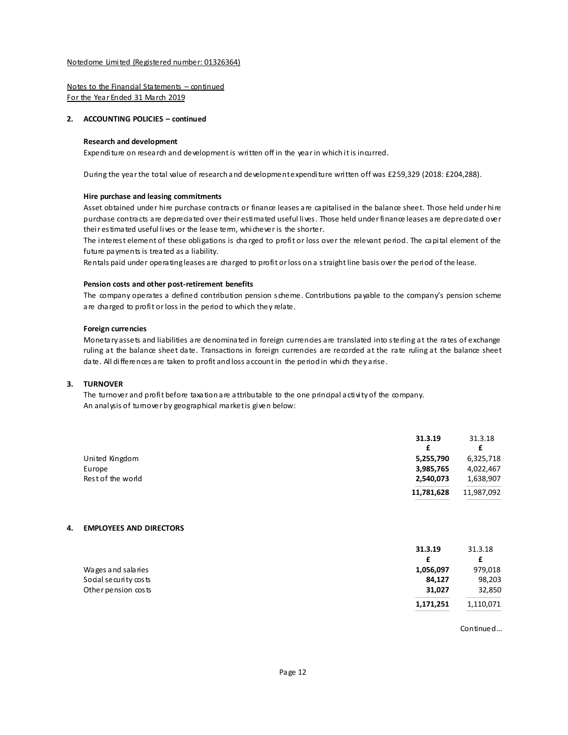#### Notedome Limited (Registered number: 01326364)

Notes to the Financial Statements  $-$  continued For the Year Ended 31 March 2019

#### **2. ACCOUNTING POLICIES – continued**

#### **Research and development**

Expenditure on research and development is written off in the year in which it is incurred.

During the year the total value of research and development expenditure written off was £259,329 (2018: £204,288).

#### **Hire purchase and leasing commitments**

Asset obtained under hire purchase contracts or finance leases are capitalised in the balance sheet. Those held under hire purchase contracts are depreciated over their estimated useful lives. Those held under finance leases are depreciated over their estimated useful lives or the lease term, whichever is the shorter.

The interest element of these obligations is cha rged to profit or loss over the relevant period. The capital element of the future payments is treated as a liability.

Rentals paid under operating leases are charged to profit or loss on a straight line basis over the period of the lease.

#### **Pension costs and other post-retirement benefits**

The company operates a defined contribution pension scheme. Contributions payable to the company's pension scheme are charged to profit or loss in the period to which they relate.

#### **Foreign currencies**

Monetary assets and liabilities are denominated in foreign currencies are translated into sterling at the rates of exchange ruling at the balance sheet date. Transactions in foreign currencies are recorded at the rate ruling at the balance sheet date. All differences are taken to profit and loss account in the period in which they arise.

### **3. TURNOVER**

The turnover and profit before taxation are attributable to the one principal activity of the company. An analysis of tumover by geographical market is given below:

| 31.3.19    | 31.3.18    |
|------------|------------|
|            |            |
| 5,255,790  | 6,325,718  |
| 3,985,765  | 4,022,467  |
| 2,540,073  | 1,638,907  |
| 11,781,628 | 11,987,092 |
|            |            |

#### **4. EMPLOYEES AND DIRECTORS**

|                       | 31.3.19   | 31.3.18   |
|-----------------------|-----------|-----------|
|                       | £         |           |
| Wages and salaries    | 1,056,097 | 979,018   |
| Social security costs | 84,127    | 98,203    |
| Other pension costs   | 31.027    | 32,850    |
|                       | 1,171,251 | 1,110,071 |

Continued…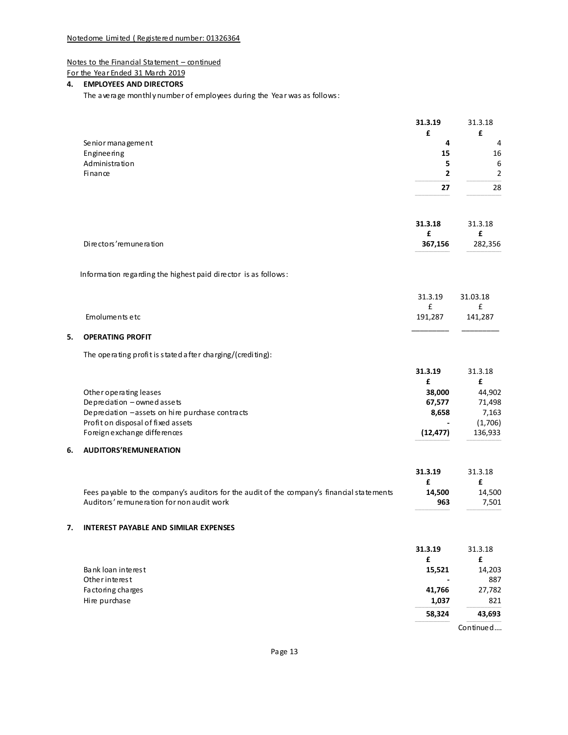## Notes to the Financial Statement  $-$  continued

## For the Year Ended 31 March 2019 **4. EMPLOYEES AND DIRECTORS**

The average monthly number of employees during the Year was as follows:

|    |                                                                                            | 31.3.19        | 31.3.18        |
|----|--------------------------------------------------------------------------------------------|----------------|----------------|
|    |                                                                                            | £              | £              |
|    | Senior management                                                                          | 4              | 4              |
|    | Engineering                                                                                | 15             | 16             |
|    | Administration                                                                             | 5              | 6              |
|    | Finance                                                                                    | $\overline{2}$ | $\overline{2}$ |
|    |                                                                                            | 27             | 28             |
|    |                                                                                            |                |                |
|    |                                                                                            | 31.3.18        | 31.3.18        |
|    |                                                                                            | £              | £              |
|    | Directors' remuneration                                                                    | 367,156        | 282,356        |
|    | Information regarding the highest paid director is as follows:                             |                |                |
|    |                                                                                            | 31.3.19        | 31.03.18       |
|    |                                                                                            | £              | £              |
|    | Emoluments etc                                                                             | 191,287        | 141,287        |
| 5. | <b>OPERATING PROFIT</b>                                                                    |                |                |
|    | The operating profit is stated after charging/(crediting):                                 |                |                |
|    |                                                                                            | 31.3.19        | 31.3.18        |
|    |                                                                                            | £              | £              |
|    | Other operating leases                                                                     | 38,000         | 44,902         |
|    | Depreciation - owned assets                                                                | 67,577         | 71,498         |
|    | Depreciation -assets on hire purchase contracts                                            | 8,658          | 7,163          |
|    | Profit on disposal of fixed assets                                                         |                | (1,706)        |
|    | Foreign exchange differences                                                               | (12, 477)      | 136,933        |
| 6. | <b>AUDITORS'REMUNERATION</b>                                                               |                |                |
|    |                                                                                            | 31.3.19        | 31.3.18        |
|    |                                                                                            | £              | £              |
|    | Fees payable to the company's auditors for the audit of the company's financial statements | 14,500         | 14,500         |
|    | Auditors' remuneration for non audit work                                                  | 963            | 7,501          |
| 7. | <b>INTEREST PAYABLE AND SIMILAR EXPENSES</b>                                               |                |                |
|    |                                                                                            | 31.3.19        | 31.3.18        |
|    |                                                                                            | £              | £              |
|    | Bank loan interest<br>Otherinterest                                                        | 15,521         | 14,203<br>887  |
|    | Factoring charges                                                                          | 41,766         | 27,782         |
|    | Hire purchase                                                                              | 1,037          | 821            |
|    |                                                                                            | 58,324         | 43,693         |
|    |                                                                                            |                |                |

Continued….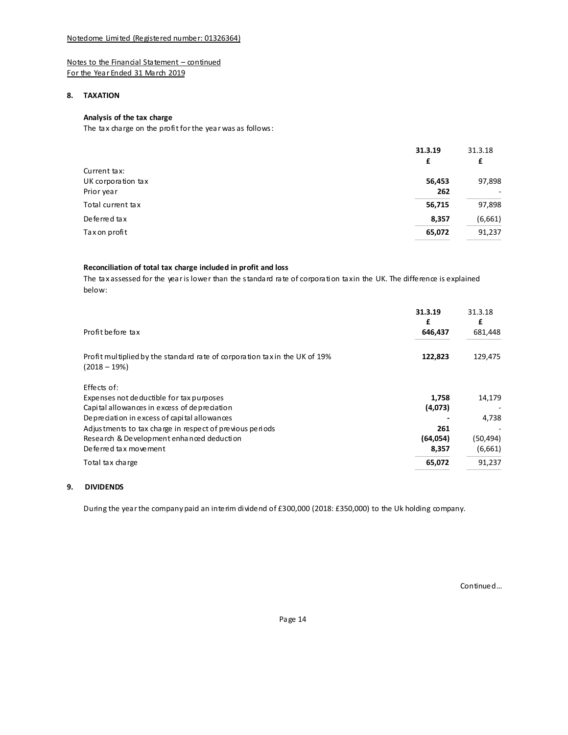# Notes to the Financial Statement  $-$  continued For the Year Ended 31 March 2019

### **8. TAXATION**

# **Analysis of the tax charge**

The tax charge on the profit for the year was as follows:

|                    | 31.3.19 | 31.3.18 |
|--------------------|---------|---------|
|                    | £       | £       |
| Current tax:       |         |         |
| UK corporation tax | 56,453  | 97,898  |
| Prior year         | 262     |         |
| Total current tax  | 56,715  | 97,898  |
| Deferred tax       | 8,357   | (6,661) |
| Tax on profit      | 65,072  | 91,237  |
|                    |         |         |

## **Reconciliation of total tax charge included in profit and loss**

The tax assessed for the year is lower than the standard rate of corporation taxin the UK. The difference is explained below:

|                                                                                              | 31.3.19<br>£ | 31.3.18<br>£ |
|----------------------------------------------------------------------------------------------|--------------|--------------|
| Profit before tax                                                                            | 646,437      | 681,448      |
| Profit multiplied by the standard rate of corporation tax in the UK of 19%<br>$(2018 - 19%)$ | 122,823      | 129,475      |
| Effects of:                                                                                  |              |              |
| Expenses not deductible for tax purposes                                                     | 1,758        | 14,179       |
| Capital allowances in excess of depredation                                                  | (4,073)      |              |
| Depredation in excess of capital allowances                                                  |              | 4,738        |
| Adjustments to tax charge in respect of previous periods                                     | 261          |              |
| Research & Development enhanced deduction                                                    | (64, 054)    | (50, 494)    |
| Deferred tax movement                                                                        | 8,357        | (6,661)      |
| Total tax charge                                                                             | 65,072       | 91,237       |

## **9. DIVIDENDS**

During the year the company paid an interim dividend of £300,000 (2018: £350,000) to the Uk holding company.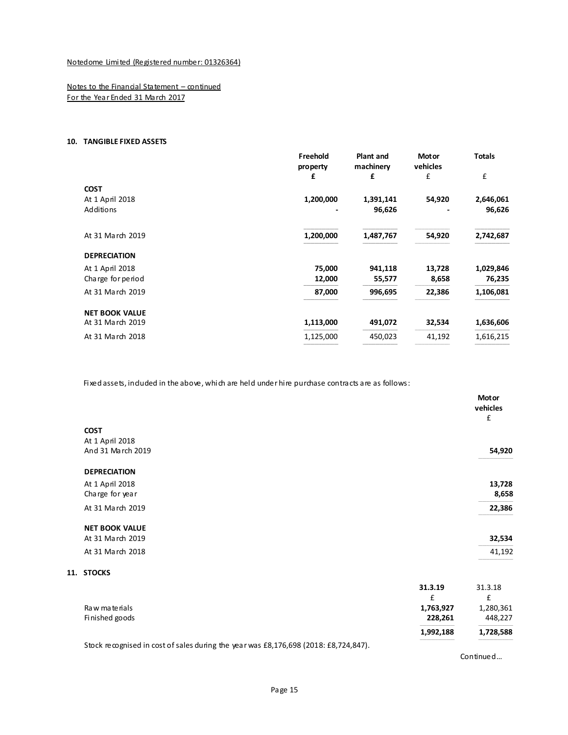# Notedome Limited (Registered number: 01326364)

Notes to the Financial Statement - continued For the Year Ended 31 March 2017

## **10. TANGIBLE FIXED ASSETS**

**11.** 

| Freehold<br>property | <b>Plant and</b><br>machinery | <b>Motor</b><br>vehicles | <b>Totals</b><br>£ |
|----------------------|-------------------------------|--------------------------|--------------------|
|                      |                               |                          |                    |
| 1,200,000            | 1,391,141                     | 54,920                   | 2,646,061          |
|                      | 96,626                        |                          | 96,626             |
| 1,200,000            | 1,487,767                     | 54,920                   | 2,742,687          |
|                      |                               |                          |                    |
| 75,000               | 941,118                       | 13,728                   | 1,029,846          |
| 12,000               | 55,577                        | 8,658                    | 76,235             |
| 87,000               | 996,695                       | 22,386                   | 1,106,081          |
|                      |                               |                          |                    |
| 1,113,000            | 491,072                       | 32,534                   | 1,636,606          |
| 1,125,000            | 450,023                       | 41,192                   | 1,616,215          |
|                      | £                             | £                        | £                  |

Fixed assets, induded in the above, which are held under hire purchase contracts are as follows:

|                                                                                      |           | Motor<br>vehicles<br>£ |
|--------------------------------------------------------------------------------------|-----------|------------------------|
| <b>COST</b>                                                                          |           |                        |
| At 1 April 2018                                                                      |           |                        |
| And 31 March 2019                                                                    |           | 54,920                 |
| <b>DEPRECIATION</b>                                                                  |           |                        |
| At 1 April 2018                                                                      |           | 13,728                 |
| Charge for year                                                                      |           | 8,658                  |
| At 31 March 2019                                                                     |           | 22,386                 |
| <b>NET BOOK VALUE</b>                                                                |           |                        |
| At 31 March 2019                                                                     |           | 32,534                 |
| At 31 March 2018                                                                     |           | 41,192                 |
| <b>STOCKS</b>                                                                        |           |                        |
|                                                                                      | 31.3.19   | 31.3.18                |
|                                                                                      | £         | £                      |
| Raw materials                                                                        | 1,763,927 | 1,280,361              |
| Finished goods                                                                       | 228,261   | 448,227                |
|                                                                                      | 1,992,188 | 1,728,588              |
| Stock recognised in cost of sales during the year was £8,176,698 (2018: £8,724,847). |           |                        |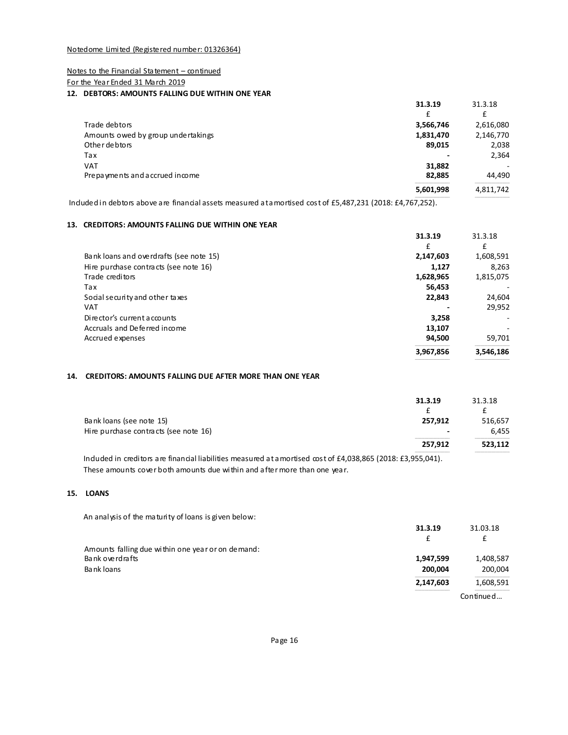# Notes to the Financial Statement - continued

For the Year Ended 31 March 2019

## **12. DEBTORS: AMOUNTS FALLING DUE WITHIN ONE YEAR**

|                                    | 31.3.19   | 31.3.18   |
|------------------------------------|-----------|-----------|
|                                    | £         |           |
| Trade debtors                      | 3,566,746 | 2,616,080 |
| Amounts owed by group undertakings | 1,831,470 | 2,146,770 |
| Other debtors                      | 89,015    | 2,038     |
| Tax                                |           | 2,364     |
| <b>VAT</b>                         | 31,882    | ۰         |
| Prepayments and accrued income     | 82,885    | 44,490    |
|                                    | 5,601,998 | 4,811,742 |
|                                    |           |           |

Induded in debtors above are financial assets measured at a mortised cost of £5,487,231 (2018: £4,767,252).

## **13. CREDITORS: AMOUNTS FALLING DUE WITHIN ONE YEAR**

|                                         | 31.3.19   | 31.3.18                  |
|-----------------------------------------|-----------|--------------------------|
|                                         | £         | £                        |
| Bank loans and overdrafts (see note 15) | 2,147,603 | 1,608,591                |
| Hire purchase contracts (see note 16)   | 1,127     | 8,263                    |
| Trade creditors                         | 1,628,965 | 1,815,075                |
| Tax                                     | 56,453    | ۰                        |
| Social security and other taxes         | 22,843    | 24,604                   |
| <b>VAT</b>                              |           | 29,952                   |
| Director's current accounts             | 3,258     | $\overline{\phantom{a}}$ |
| Accruals and Deferred income            | 13.107    | ۰                        |
| Accrued expenses                        | 94,500    | 59,701                   |
|                                         | 3,967,856 | 3,546,186                |

## **14. CREDITORS: AMOUNTS FALLING DUE AFTER MORE THAN ONE YEAR**

|                                                                                                            | 31.3.19 | 31.3.18 |
|------------------------------------------------------------------------------------------------------------|---------|---------|
|                                                                                                            |         |         |
| Bank loans (see note 15)                                                                                   | 257.912 | 516.657 |
| Hire purchase contracts (see note 16)                                                                      | ۰       | 6.455   |
|                                                                                                            | 257.912 | 523.112 |
| lnduded in creditors are financial lighilities measured at amorticed cost of £4,038,865 (2018: £3,955,041) |         |         |

 $\mathcal{L}_\text{max}$  and the contract of the contract of the contract of the contract of the contract of the contract of the contract of the contract of the contract of the contract of the contract of the contract of the contrac

Included in creditors are financial liabilities measured at amortised cost of £4,038,865 (2018: £3,955,041). These amounts cover both amounts due within and after more than one year.

# **15. LOANS**

An analysis of the maturity of loans is given below:

|                                                   | 31.3.19<br>f | 31.03.18<br>£ |
|---------------------------------------------------|--------------|---------------|
| Amounts falling due within one year or on demand: |              |               |
| Bank overdrafts                                   | 1,947,599    | 1,408,587     |
| Bank loans                                        | 200.004      | 200,004       |
|                                                   | 2,147,603    | 1,608,591     |
|                                                   |              | Continued     |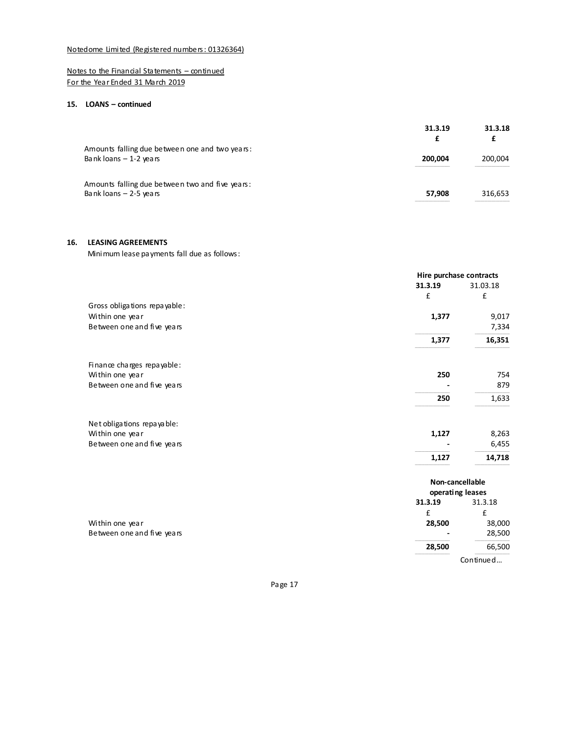# Notedome Limited (Registered numbers : 01326364)

# Notes to the Financial Statements - continued For the Year Ended 31 March 2019

## **15. LOANS – continued**

|                                                 | 31.3.19 | 31.3.18 |
|-------------------------------------------------|---------|---------|
|                                                 | £       | £       |
| Amounts falling due between one and two years:  |         |         |
| Bank loans $-1-2$ years                         | 200.004 | 200,004 |
|                                                 |         |         |
| Amounts falling due between two and five years: |         |         |
| Bank loans $-2-5$ years                         | 57,908  | 316,653 |
|                                                 |         |         |

# **16. LEASING AGREEMENTS**

Minimum lease payments fall due as follows:

|                              |                  | Hire purchase contracts |  |
|------------------------------|------------------|-------------------------|--|
|                              | 31.3.19          | 31.03.18                |  |
|                              | £                | £                       |  |
| Gross obligations repayable: |                  |                         |  |
| Within one year              | 1,377            | 9,017                   |  |
| Between one and five years   |                  | 7,334                   |  |
|                              | 1,377            | 16,351                  |  |
| Finance charges repayable:   |                  |                         |  |
| Within one year              | 250              | 754                     |  |
| Between one and five years   |                  | 879                     |  |
|                              | 250              | 1,633                   |  |
| Net obligations repayable:   |                  |                         |  |
| Within one year              | 1,127            | 8,263                   |  |
| Between one and five years   |                  | 6,455                   |  |
|                              | 1,127            | 14,718                  |  |
|                              | Non-cancellable  |                         |  |
|                              | operating leases |                         |  |
|                              | 31.3.19          | 31.3.18                 |  |
|                              | £                | £                       |  |
| Within one year              | 28,500           | 38,000                  |  |
| Between one and five years   |                  | 28,500                  |  |

Page 17

\_\_\_\_\_\_\_\_\_\_\_\_\_\_\_\_\_\_\_\_\_\_\_\_\_ \_\_\_\_\_\_\_\_\_\_\_\_\_\_\_\_\_\_\_\_\_\_\_\_\_ **28,500** 66,500  $\mathcal{L}_\text{max}$  and the contract of the contract of the contract of the contract of the contract of the contract of the contract of the contract of the contract of the contract of the contract of the contract of the contrac

Continued...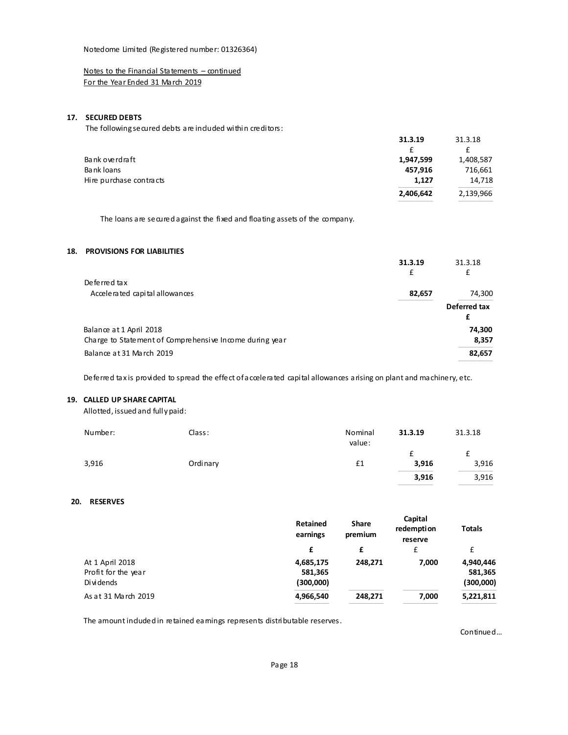Notes to the Financial Statements  $-$  continued For the Year Ended 31 March 2019

## **17. SECURED DEBTS**

The following secured debts are included within creditors:

|                         | 31.3.19   | 31.3.18   |
|-------------------------|-----------|-----------|
|                         |           |           |
| Bank overdraft          | 1,947,599 | 1,408,587 |
| Bank loans              | 457,916   | 716,661   |
| Hire purchase contracts | 1,127     | 14,718    |
|                         | 2,406,642 | 2,139,966 |
|                         |           |           |

The loans are secured against the fixed and floating assets of the company.

# **18. PROVISIONS FOR LIABILITIES**

|                                                         | 31.3.19 | 31.3.18      |
|---------------------------------------------------------|---------|--------------|
|                                                         | £       | £            |
| De ferred tax                                           |         |              |
| Accelerated capital allowances                          | 82,657  | 74,300       |
|                                                         |         | Deferred tax |
|                                                         |         | £            |
| Balance at 1 April 2018                                 |         | 74,300       |
| Charge to Statement of Comprehensive Income during year |         | 8,357        |
| Balance at 31 March 2019                                |         | 82,657       |

Deferred tax is provided to spread the effect of accelerated capital allowances arising on plant and machinery, etc.

#### **19. CALLED UP SHARE CAPITAL**

Allotted, issued and fully paid:

| Class:   | Nominal<br>value: | 31.3.19 | 31.3.18 |
|----------|-------------------|---------|---------|
|          |                   |         |         |
| Ordinary | £1                | 3,916   | 3,916   |
|          |                   | 3,916   | 3,916   |
|          |                   |         |         |

## **20. RESERVES**

|                     | Retained<br>earnings | <b>Share</b><br>premium | Capital<br>redempti on<br>reserve | <b>Totals</b> |
|---------------------|----------------------|-------------------------|-----------------------------------|---------------|
|                     | £                    | £                       | £                                 | £             |
| At 1 April 2018     | 4,685,175            | 248.271                 | 7.000                             | 4,940,446     |
| Profit for the year | 581,365              |                         |                                   | 581,365       |
| Di vi dends         | (300,000)            |                         |                                   | (300,000)     |
| As at 31 March 2019 | 4,966,540            | 248,271                 | 7.000                             | 5,221,811     |

The amount induded in retained eamings represents distributable reserves.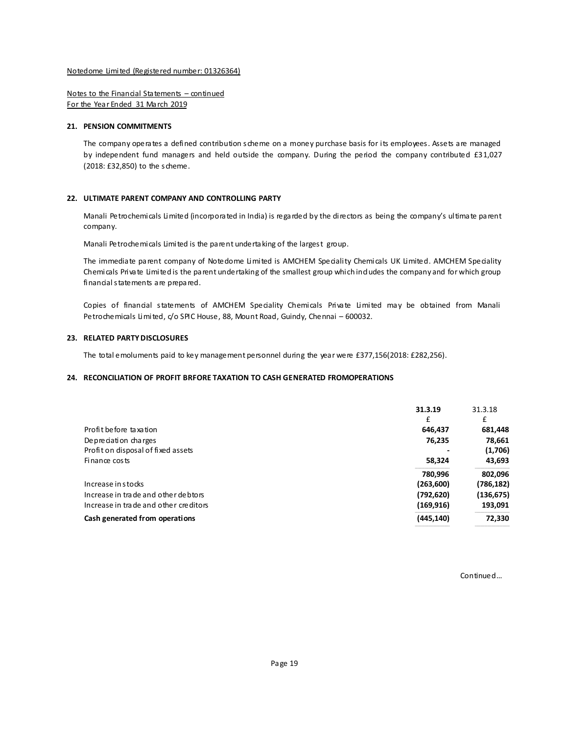### Notedome Limited (Registered number: 01326364)

Notes to the Financial Statements  $-$  continued For the Year Ended 31 March 2019

### **21. PENSION COMMITMENTS**

The company operates a defined contribution scheme on a money purchase basis for its employees. Assets are managed by independent fund managers and held outside the company. During the period the company contributed £31,027 (2018: £32,850) to the scheme.

### **22. ULTIMATE PARENT COMPANY AND CONTROLLING PARTY**

Manali Petrochemicals Limited (incorporated in India) is regarded by the directors as being the company's ultimate parent company.

Manali Petrochemicals Limited is the parent undertaking of the largest group.

The immediate parent company of Notedome Limited is AMCHEM Speciality Chemicals UK Limited. AMCHEM Speciality Chemicals Private Limited is the parent undertaking of the smallest group which indudes the company and for which group financial statements are prepared.

Copies of financial statements of AMCHEM Speciality Chemicals Private Limited may be obtained from Manali Petrochemicals Limited, c/o SPIC House, 88, Mount Road, Guindy, Chennai - 600032.

### **23. RELATED PARTY DISCLOSURES**

The total emoluments paid to key management personnel during the year were £377,156(2018: £282,256).

# **24. RECONCILIATION OF PROFIT BRFORE TAXATION TO CASH GENERATED FROMOPERATIONS**

| 31.3.19    | 31.3.18    |
|------------|------------|
| £          | £          |
| 646,437    | 681,448    |
| 76,235     | 78,661     |
|            | (1,706)    |
| 58,324     | 43,693     |
| 780.996    | 802,096    |
| (263,600)  | (786, 182) |
| (792, 620) | (136, 675) |
| (169, 916) | 193,091    |
| (445,140)  | 72,330     |
|            |            |